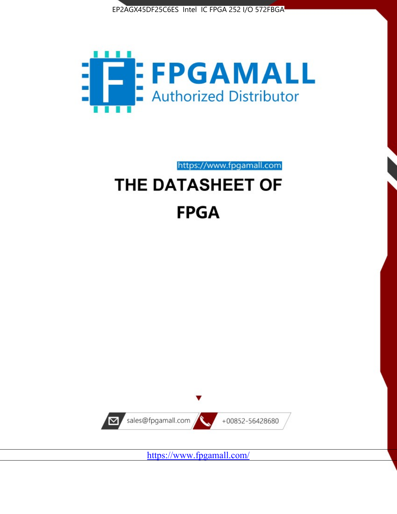



# https://www.fpgamall.com THE DATASHEET OF

# **FPGA**



<https://www.fpgamall.com/>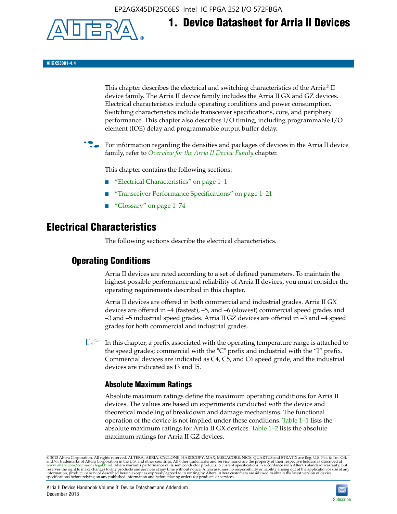EP2AGX45DF25C6ES Intel IC FPGA 252 I/O 572FBGA



**AIIGX53001-4.4**

This chapter describes the electrical and switching characteristics of the Arria® II device family. The Arria II device family includes the Arria II GX and GZ devices. Electrical characteristics include operating conditions and power consumption. Switching characteristics include transceiver specifications, core, and periphery performance. This chapter also describes I/O timing, including programmable I/O element (IOE) delay and programmable output buffer delay.

**1. Device Datasheet for Arria II Devices**

For information regarding the densities and packages of devices in the Arria II device family, refer to *[Overview for the Arria II Device Family](http://www.altera.com/literature/hb/arria-ii-gx/aiigx_51001.pdf)* chapter.

This chapter contains the following sections:

- *"Electrical Characteristics"* on page 1–1
- "Transceiver Performance Specifications" on page 1–21
- "Glossary" on page 1–74

# **Electrical Characteristics**

The following sections describe the electrical characteristics.

# **Operating Conditions**

Arria II devices are rated according to a set of defined parameters. To maintain the highest possible performance and reliability of Arria II devices, you must consider the operating requirements described in this chapter.

Arria II devices are offered in both commercial and industrial grades. Arria II GX devices are offered in –4 (fastest), –5, and –6 (slowest) commercial speed grades and –3 and –5 industrial speed grades. Arria II GZ devices are offered in –3 and –4 speed grades for both commercial and industrial grades.

 $\Box$  In this chapter, a prefix associated with the operating temperature range is attached to the speed grades; commercial with the "C" prefix and industrial with the "I" prefix. Commercial devices are indicated as C4, C5, and C6 speed grade, and the industrial devices are indicated as I3 and I5.

# **Absolute Maximum Ratings**

Absolute maximum ratings define the maximum operating conditions for Arria II devices. The values are based on experiments conducted with the device and theoretical modeling of breakdown and damage mechanisms. The functional operation of the device is not implied under these conditions. Table 1–1 lists the absolute maximum ratings for Arria II GX devices. Table 1–2 lists the absolute maximum ratings for Arria II GZ devices.

© 2013 Altera Corporation. All rights reserved. ALTERA, ARRIA, CYCLONE, HARDCOPY, MAX, MEGACORE, NIOS, QUARTUS and STRATIX are Reg. U.S. Pat. & Tm. Off. [and/or trademarks of Altera Corporat](http://www.altera.com/common/legal.html)ion in the U.S. and other countri

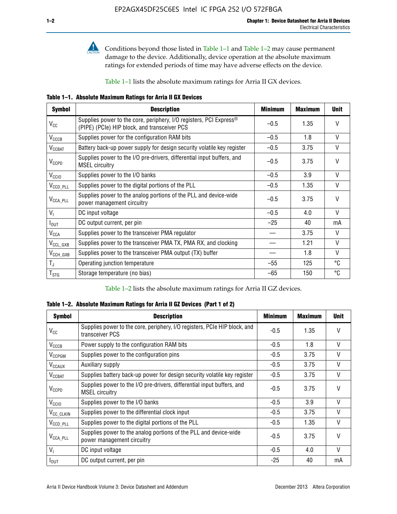

**Conditions beyond those listed in Table 1–1 and Table 1–2 may cause permanent** damage to the device. Additionally, device operation at the absolute maximum ratings for extended periods of time may have adverse effects on the device.

Table 1–1 lists the absolute maximum ratings for Arria II GX devices.

**Table 1–1. Absolute Maximum Ratings for Arria II GX Devices** 

| <b>Symbol</b>         | <b>Description</b>                                                                                                 | <b>Minimum</b> | <b>Maximum</b> | <b>Unit</b>  |
|-----------------------|--------------------------------------------------------------------------------------------------------------------|----------------|----------------|--------------|
| $V_{CC}$              | Supplies power to the core, periphery, I/O registers, PCI Express®<br>(PIPE) (PCIe) HIP block, and transceiver PCS | $-0.5$         | 1.35           | $\vee$       |
| $V_{CCCB}$            | Supplies power for the configuration RAM bits                                                                      | $-0.5$         | 1.8            | V            |
| $V_{\text{CCBAT}}$    | Battery back-up power supply for design security volatile key register                                             | $-0.5$         | 3.75           | V            |
| $V_{CCPD}$            | Supplies power to the I/O pre-drivers, differential input buffers, and<br><b>MSEL circuitry</b>                    | $-0.5$         | 3.75           | $\vee$       |
| V <sub>CCIO</sub>     | Supplies power to the I/O banks                                                                                    | $-0.5$         | 3.9            | $\mathsf{V}$ |
| $V_{\text{CCD\_PLL}}$ | Supplies power to the digital portions of the PLL                                                                  | $-0.5$         | 1.35           | V            |
| $V_{\text{CCA\_PLL}}$ | Supplies power to the analog portions of the PLL and device-wide<br>power management circuitry                     | $-0.5$         | 3.75           | $\mathsf{V}$ |
| $V_{1}$               | DC input voltage                                                                                                   | $-0.5$         | 4.0            | V            |
| $I_{\text{OUT}}$      | DC output current, per pin                                                                                         | $-25$          | 40             | mA           |
| $V_{\text{CCA}}$      | Supplies power to the transceiver PMA regulator                                                                    |                | 3.75           | V            |
| $V_{CCL_GXB}$         | Supplies power to the transceiver PMA TX, PMA RX, and clocking                                                     |                | 1.21           | $\vee$       |
| $V_{\text{CCH_GXB}}$  | Supplies power to the transceiver PMA output (TX) buffer                                                           |                | 1.8            | V            |
| $T_{\rm J}$           | Operating junction temperature                                                                                     | $-55$          | 125            | °C           |
| $T_{\tt STG}$         | Storage temperature (no bias)                                                                                      | -65            | 150            | ℃            |

Table 1–2 lists the absolute maximum ratings for Arria II GZ devices.

**Table 1–2. Absolute Maximum Ratings for Arria II GZ Devices (Part 1 of 2)**

| <b>Symbol</b>            | <b>Description</b>                                                                              | <b>Minimum</b> | <b>Maximum</b> | <b>Unit</b>  |
|--------------------------|-------------------------------------------------------------------------------------------------|----------------|----------------|--------------|
| $V_{CC}$                 | Supplies power to the core, periphery, I/O registers, PCIe HIP block, and<br>transceiver PCS    | -0.5           | 1.35           | $\mathsf{V}$ |
| $V_{CCCB}$               | Power supply to the configuration RAM bits                                                      | $-0.5$         | 1.8            | $\vee$       |
| V <sub>CCPGM</sub>       | Supplies power to the configuration pins                                                        | $-0.5$         | 3.75           | $\vee$       |
| <b>V<sub>CCAUX</sub></b> | Auxiliary supply                                                                                | $-0.5$         | 3.75           | $\vee$       |
| $V_{\text{CGBAT}}$       | Supplies battery back-up power for design security volatile key register                        | -0.5           | 3.75           | V            |
| $V_{CCPD}$               | Supplies power to the I/O pre-drivers, differential input buffers, and<br><b>MSEL circuitry</b> | -0.5           | 3.75           | $\mathsf{V}$ |
| V <sub>CCIO</sub>        | Supplies power to the I/O banks                                                                 | $-0.5$         | 3.9            | $\mathsf{V}$ |
| $V_{\rm CC\_CLKIN}$      | Supplies power to the differential clock input                                                  | $-0.5$         | 3.75           | $\vee$       |
| $V_{\text{CCD\_PLL}}$    | Supplies power to the digital portions of the PLL                                               | $-0.5$         | 1.35           | V            |
| $V_{\text{CCA\_PLL}}$    | Supplies power to the analog portions of the PLL and device-wide<br>power management circuitry  | $-0.5$         | 3.75           | $\mathsf{V}$ |
| V <sub>1</sub>           | DC input voltage                                                                                | $-0.5$         | 4.0            | $\vee$       |
| $I_{\text{OUT}}$         | DC output current, per pin                                                                      | $-25$          | 40             | mA           |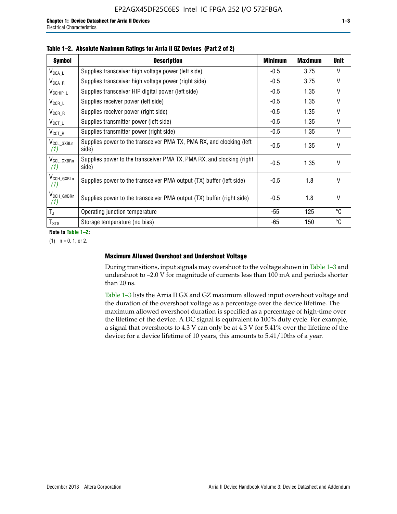| <b>Symbol</b>                  | <b>Description</b>                                                              | <b>Minimum</b> | <b>Maximum</b> | <b>Unit</b>  |
|--------------------------------|---------------------------------------------------------------------------------|----------------|----------------|--------------|
| $V_{\texttt{CCA}\_\textsf{L}}$ | Supplies transceiver high voltage power (left side)                             | $-0.5$         | 3.75           | V            |
| $V_{\mathsf{CCA\_R}}$          | Supplies transceiver high voltage power (right side)                            | $-0.5$         | 3.75           | $\vee$       |
| $V_{CCHIP\_L}$                 | Supplies transceiver HIP digital power (left side)                              | $-0.5$         | 1.35           | $\vee$       |
| $V_{CCR\_L}$                   | Supplies receiver power (left side)                                             | $-0.5$         | 1.35           | $\vee$       |
| $V_{CCR\_R}$                   | Supplies receiver power (right side)                                            | $-0.5$         | 1.35           | $\mathsf{V}$ |
| $V_{CCT\_L}$                   | Supplies transmitter power (left side)                                          | $-0.5$         | 1.35           | $\vee$       |
| $V_{CCT_R}$                    | Supplies transmitter power (right side)                                         | $-0.5$         | 1.35           | V            |
| V <sub>CCL_GXBLn</sub><br>(1)  | Supplies power to the transceiver PMA TX, PMA RX, and clocking (left<br>side)   | $-0.5$         | 1.35           | $\vee$       |
| V <sub>CCL_GXBRn</sub><br>(1)  | Supplies power to the transceiver PMA TX, PMA RX, and clocking (right)<br>side) | $-0.5$         | 1.35           | $\vee$       |
| V <sub>CCH_GXBLn</sub><br>(1)  | Supplies power to the transceiver PMA output (TX) buffer (left side)            | -0.5           | 1.8            | $\mathsf{V}$ |
| V <sub>CCH_GXBRn</sub><br>(1)  | Supplies power to the transceiver PMA output (TX) buffer (right side)           | -0.5           | 1.8            | $\vee$       |
| $T_{\rm J}$                    | Operating junction temperature                                                  | -55            | 125            | °C           |
| $T_{\text{STG}}$               | Storage temperature (no bias)                                                   | -65            | 150            | ℃            |

**Note to Table 1–2:**

 $(1)$   $n = 0, 1,$  or 2.

### **Maximum Allowed Overshoot and Undershoot Voltage**

During transitions, input signals may overshoot to the voltage shown in Table 1–3 and undershoot to –2.0 V for magnitude of currents less than 100 mA and periods shorter than 20 ns.

Table 1–3 lists the Arria II GX and GZ maximum allowed input overshoot voltage and the duration of the overshoot voltage as a percentage over the device lifetime. The maximum allowed overshoot duration is specified as a percentage of high-time over the lifetime of the device. A DC signal is equivalent to 100% duty cycle. For example, a signal that overshoots to 4.3 V can only be at 4.3 V for 5.41% over the lifetime of the device; for a device lifetime of 10 years, this amounts to 5.41/10ths of a year.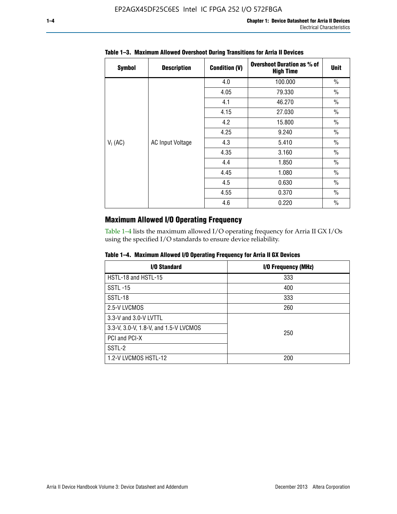| <b>Symbol</b> | <b>Description</b>      | <b>Condition (V)</b> | <b>Overshoot Duration as % of</b><br><b>High Time</b> | <b>Unit</b>   |
|---------------|-------------------------|----------------------|-------------------------------------------------------|---------------|
|               |                         | 4.0                  | 100.000                                               | $\frac{0}{0}$ |
|               |                         | 4.05                 | 79.330                                                | $\frac{0}{0}$ |
|               |                         | 4.1                  | 46.270                                                | $\frac{0}{0}$ |
| $V_1$ (AC)    |                         | 4.15                 | 27.030                                                | $\frac{0}{0}$ |
|               |                         | 4.2<br>15.800        | $\frac{0}{0}$                                         |               |
|               |                         | 4.25                 | 9.240                                                 | $\frac{0}{0}$ |
|               | <b>AC Input Voltage</b> | 4.3                  | 5.410                                                 | $\frac{0}{0}$ |
|               |                         | 4.35                 | 3.160                                                 | $\frac{0}{0}$ |
|               |                         | 4.4                  | 1.850                                                 | $\frac{0}{0}$ |
|               |                         | 4.45                 | 1.080                                                 | $\frac{0}{0}$ |
|               |                         | 4.5                  | 0.630                                                 | $\frac{0}{0}$ |
|               |                         | 4.55                 | 0.370                                                 | $\frac{0}{0}$ |
|               |                         | 4.6                  | 0.220                                                 | $\frac{0}{0}$ |

## **Table 1–3. Maximum Allowed Overshoot During Transitions for Arria II Devices**

# **Maximum Allowed I/O Operating Frequency**

Table 1–4 lists the maximum allowed I/O operating frequency for Arria II GX I/Os using the specified I/O standards to ensure device reliability.

| I/O Standard                          | I/O Frequency (MHz) |
|---------------------------------------|---------------------|
| HSTL-18 and HSTL-15                   | 333                 |
| <b>SSTL-15</b>                        | 400                 |
| SSTL-18                               | 333                 |
| 2.5-V LVCMOS                          | 260                 |
| 3.3-V and 3.0-V LVTTL                 |                     |
| 3.3-V, 3.0-V, 1.8-V, and 1.5-V LVCMOS | 250                 |
| PCI and PCI-X                         |                     |
| SSTL-2                                |                     |
| 1.2-V LVCMOS HSTL-12                  | 200                 |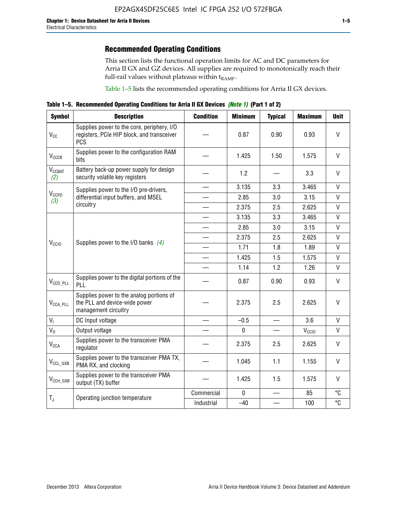# **Recommended Operating Conditions**

This section lists the functional operation limits for AC and DC parameters for Arria II GX and GZ devices. All supplies are required to monotonically reach their full-rail values without plateaus within  $t_{RAMP}$ .

Table 1–5 lists the recommended operating conditions for Arria II GX devices.

**Table 1–5. Recommended Operating Conditions for Arria II GX Devices** *(Note 1)* **(Part 1 of 2)**

| <b>Symbol</b>                   | <b>Description</b>                                                                                     | <b>Condition</b> | <b>Minimum</b> | <b>Typical</b>                    | <b>Maximum</b>    | <b>Unit</b>  |
|---------------------------------|--------------------------------------------------------------------------------------------------------|------------------|----------------|-----------------------------------|-------------------|--------------|
| $V_{CC}$                        | Supplies power to the core, periphery, I/O<br>registers, PCIe HIP block, and transceiver<br><b>PCS</b> |                  | 0.87           | 0.90                              | 0.93              | $\vee$       |
| $V_{CCCB}$                      | Supplies power to the configuration RAM<br>bits                                                        |                  | 1.425          | 1.50                              | 1.575             | $\mathsf{V}$ |
| <b>V<sub>CCBAT</sub></b><br>(2) | Battery back-up power supply for design<br>security volatile key registers                             |                  | 1.2            |                                   | 3.3               | $\vee$       |
|                                 | Supplies power to the I/O pre-drivers,                                                                 |                  | 3.135          | 3.3                               | 3.465             | $\mathsf{V}$ |
| $V_{CCPD}$<br>(3)               | differential input buffers, and MSEL                                                                   |                  | 2.85           | 3.0                               | 3.15              | $\mathsf{V}$ |
|                                 | circuitry                                                                                              |                  | 2.375          | 2.5                               | 2.625             | $\mathsf{V}$ |
|                                 |                                                                                                        |                  | 3.135          | 3.3                               | 3.465             | $\mathsf{V}$ |
| V <sub>CCIO</sub>               |                                                                                                        |                  | 2.85           | 3.0                               | 3.15              | $\mathsf{V}$ |
|                                 | Supplies power to the I/O banks $(4)$                                                                  |                  | 2.375          | 2.5                               | 2.625             | V            |
|                                 |                                                                                                        |                  | 1.71           | 1.8                               | 1.89              | $\mathsf{V}$ |
|                                 |                                                                                                        |                  | 1.425          | 1.5                               | 1.575             | $\mathsf{V}$ |
|                                 |                                                                                                        |                  | 1.14           | 1.2                               | 1.26              | $\mathsf{V}$ |
| $V_{CCD\_PLL}$                  | Supplies power to the digital portions of the<br>PLL                                                   |                  | 0.87           | 0.90                              | 0.93              | V            |
| $V_{\text{CCA\_PLL}}$           | Supplies power to the analog portions of<br>the PLL and device-wide power<br>management circuitry      |                  | 2.375          | 2.5                               | 2.625             | V            |
| $V_{I}$                         | DC Input voltage                                                                                       |                  | $-0.5$         |                                   | 3.6               | V            |
| $V_0$                           | Output voltage                                                                                         |                  | $\mathbf 0$    | $\overbrace{\phantom{123221111}}$ | V <sub>CCIO</sub> | V            |
| <b>V<sub>CCA</sub></b>          | Supplies power to the transceiver PMA<br>regulator                                                     |                  | 2.375          | 2.5                               | 2.625             | $\mathsf{V}$ |
| $V_{CCL_GXB}$                   | Supplies power to the transceiver PMA TX,<br>PMA RX, and clocking                                      |                  | 1.045          | 1.1                               | 1.155             | $\vee$       |
| $V_{CCH_GXB}$                   | Supplies power to the transceiver PMA<br>output (TX) buffer                                            |                  | 1.425          | 1.5                               | 1.575             | $\mathsf{V}$ |
|                                 | Operating junction temperature                                                                         | Commercial       | $\mathbf 0$    |                                   | 85                | °C           |
| $T_{J}$                         |                                                                                                        | Industrial       | $-40$          |                                   | 100               | °C           |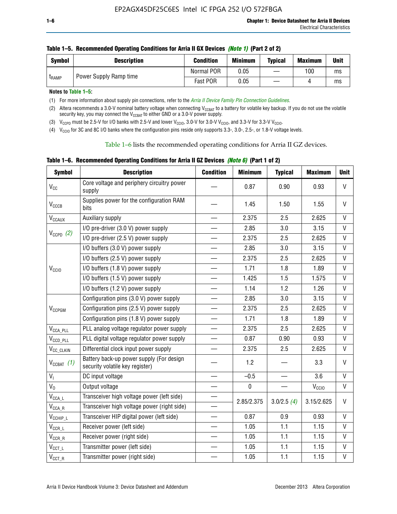| <b>Symbol</b> | <b>Description</b>     | <b>Condition</b> | <b>Minimum</b> | <b>Typical</b> | <b>Maximum</b> | <b>Unit</b> |
|---------------|------------------------|------------------|----------------|----------------|----------------|-------------|
| <b>LRAMP</b>  | Power Supply Ramp time | Normal POR       | 0.05           | —              | 100            | ms          |
|               |                        | Fast POR         | 0.05           |                |                | ms          |

| Table 1–5. Recommended Operating Conditions for Arria II GX Devices (Note 1) (Part 2 of 2) |  |  |  |
|--------------------------------------------------------------------------------------------|--|--|--|
|                                                                                            |  |  |  |

**Notes to Table 1–5:** 

(1) For more information about supply pin connections, refer to the *[Arria II Device Family Pin Connection Guidelines](http://www.altera.com/literature/dp/arria-ii-gx/PCG-01007.pdf)*.

(2) Altera recommends a 3.0-V nominal battery voltage when connecting V<sub>CCBAT</sub> to a battery for volatile key backup. If you do not use the volatile security key, you may connect the V<sub>CCBAT</sub> to either GND or a 3.0-V power supply.

(3)  $V_{CCPD}$  must be 2.5-V for I/O banks with 2.5-V and lower  $V_{CCIO}$ , 3.0-V for 3.0-V  $V_{CCIO}$ , and 3.3-V for 3.3-V  $V_{CCIO}$ .

(4)  $V_{\text{CCIO}}$  for 3C and 8C I/O banks where the configuration pins reside only supports 3.3-, 3.0-, 2.5-, or 1.8-V voltage levels.

Table 1–6 lists the recommended operating conditions for Arria II GZ devices.

**Table 1–6. Recommended Operating Conditions for Arria II GZ Devices** *(Note 6)* **(Part 1 of 2)**

| <b>Symbol</b>                  | <b>Description</b>                                                          | <b>Condition</b>         | <b>Minimum</b> | <b>Typical</b> | <b>Maximum</b>    | <b>Unit</b>  |
|--------------------------------|-----------------------------------------------------------------------------|--------------------------|----------------|----------------|-------------------|--------------|
| V <sub>CC</sub>                | Core voltage and periphery circuitry power<br>supply                        |                          | 0.87           | 0.90           | 0.93              | $\mathsf{V}$ |
| $V_{CCCB}$                     | Supplies power for the configuration RAM<br>bits                            |                          | 1.45           | 1.50           | 1.55              | V            |
| $V_{\text{CCAUX}}$             | Auxiliary supply                                                            |                          | 2.375          | 2.5            | 2.625             | V            |
|                                | I/O pre-driver (3.0 V) power supply                                         |                          | 2.85           | 3.0            | 3.15              | V            |
| $V_{CCPD}$ (2)                 | I/O pre-driver (2.5 V) power supply                                         | $\qquad \qquad$          | 2.375          | 2.5            | 2.625             | V            |
|                                | I/O buffers (3.0 V) power supply                                            |                          | 2.85           | 3.0            | 3.15              | V            |
|                                | I/O buffers (2.5 V) power supply                                            | $\equiv$                 | 2.375          | 2.5            | 2.625             | $\mathsf{V}$ |
| V <sub>CCIO</sub>              | I/O buffers (1.8 V) power supply                                            |                          | 1.71           | 1.8            | 1.89              | V            |
|                                | I/O buffers (1.5 V) power supply                                            |                          | 1.425          | 1.5            | 1.575             | $\mathsf{V}$ |
|                                | I/O buffers (1.2 V) power supply                                            |                          | 1.14           | 1.2            | 1.26              | $\vee$       |
|                                | Configuration pins (3.0 V) power supply                                     |                          | 2.85           | 3.0            | 3.15              | $\vee$       |
| V <sub>CCPGM</sub>             | Configuration pins (2.5 V) power supply                                     |                          | 2.375          | 2.5            | 2.625             | $\vee$       |
|                                | Configuration pins (1.8 V) power supply                                     | $\equiv$                 | 1.71           | 1.8            | 1.89              | V            |
| $V_{\text{CCA\_PLL}}$          | PLL analog voltage regulator power supply                                   | $\overline{\phantom{0}}$ | 2.375          | 2.5            | 2.625             | $\vee$       |
| $V_{CCD\_PLL}$                 | PLL digital voltage regulator power supply                                  |                          | 0.87           | 0.90           | 0.93              | $\mathsf{V}$ |
| V <sub>CC_CLKIN</sub>          | Differential clock input power supply                                       | $\qquad \qquad$          | 2.375          | 2.5            | 2.625             | $\mathsf{V}$ |
| $V_{CCBAT}$ (1)                | Battery back-up power supply (For design<br>security volatile key register) |                          | 1.2            |                | 3.3               | $\vee$       |
| V <sub>I</sub>                 | DC input voltage                                                            |                          | $-0.5$         |                | 3.6               | $\mathsf{V}$ |
| $V_0$                          | Output voltage                                                              |                          | $\pmb{0}$      |                | V <sub>CCIO</sub> | V            |
| $V_{\text{CCA\_L}}$            | Transceiver high voltage power (left side)                                  |                          |                |                |                   | V            |
| $\mathsf{V}_{\mathsf{CCA\_R}}$ | Transceiver high voltage power (right side)                                 |                          | 2.85/2.375     | 3.0/2.5(4)     | 3.15/2.625        |              |
| $V_{CCHIP\_L}$                 | Transceiver HIP digital power (left side)                                   | $\overline{\phantom{0}}$ | 0.87           | 0.9            | 0.93              | $\mathsf{V}$ |
| $V_{CCR\_L}$                   | Receiver power (left side)                                                  |                          | 1.05           | 1.1            | 1.15              | V            |
| $\mathsf{V}_{\mathsf{CCR\_R}}$ | Receiver power (right side)                                                 |                          | 1.05           | 1.1            | 1.15              | V            |
| $\mathsf{V}_{\mathsf{CCT\_L}}$ | Transmitter power (left side)                                               |                          | 1.05           | 1.1            | 1.15              | V            |
| $V_{CCT\_R}$                   | Transmitter power (right side)                                              |                          | 1.05           | 1.1            | 1.15              | V            |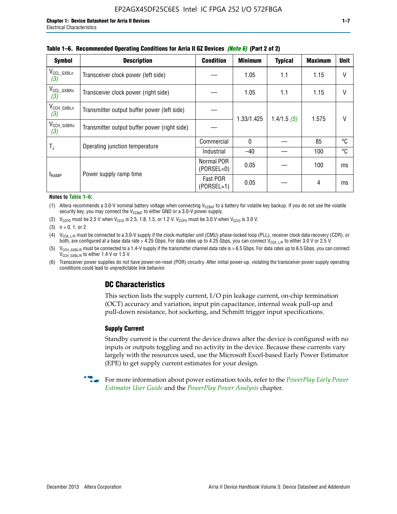| <b>Symbol</b>                 | <b>Description</b>                           | <b>Condition</b>           | <b>Minimum</b> | <b>Typical</b> | <b>Maximum</b> | <b>Unit</b> |
|-------------------------------|----------------------------------------------|----------------------------|----------------|----------------|----------------|-------------|
| $V_{CCL_GXBLn}$<br>(3)        | Transceiver clock power (left side)          |                            | 1.05           | 1.1            | 1.15           | V           |
| V <sub>CCL_GXBRn</sub><br>(3) | Transceiver clock power (right side)         |                            | 1.05           | 1.1            | 1.15           |             |
| V <sub>CCH_GXBLn</sub><br>(3) | Transmitter output buffer power (left side)  |                            | 1.33/1.425     | 1.4/1.5(5)     | 1.575          |             |
| V <sub>CCH_GXBRn</sub><br>(3) | Transmitter output buffer power (right side) |                            |                |                |                |             |
|                               | Operating junction temperature               | Commercial                 | 0              |                | 85             | ℃           |
| $T_{\rm J}$                   |                                              | Industrial                 | $-40$          |                | 100            | °C          |
| t <sub>RAMP</sub>             | Power supply ramp time                       | Normal POR<br>$(PORSEL=0)$ | 0.05           |                | 100            | ms          |
|                               |                                              | Fast POR<br>$(PORSEL=1)$   | 0.05           |                | 4              | ms          |

#### **Table 1–6. Recommended Operating Conditions for Arria II GZ Devices** *(Note 6)* **(Part 2 of 2)**

#### **Notes to Table 1–6:**

(1) Altera recommends a 3.0-V nominal battery voltage when connecting  $V_{CCBAT}$  to a battery for volatile key backup. If you do not use the volatile security key, you may connect the  $V_{\text{CCBAT}}$  to either GND or a 3.0-V power supply.

(2)  $V_{CCPD}$  must be 2.5 V when  $V_{CCIO}$  is 2.5, 1.8, 1.5, or 1.2 V.  $V_{CCPD}$  must be 3.0 V when  $V_{CCIO}$  is 3.0 V.

(3)  $n = 0, 1, or 2$ .

(4)  $V_{CCA~LR}$  must be connected to a 3.0-V supply if the clock multiplier unit (CMU) phase-locked loop (PLL), receiver clock data recovery (CDR), or both, are configured at a base data rate > 4.25 Gbps. For data rates up to 4.25 Gbps, you can connect V<sub>CCA L/R</sub> to either 3.0 V or 2.5 V.

- (5)  $V_{\text{CCH\_GXBL/R}}$  must be connected to a 1.4-V supply if the transmitter channel data rate is > 6.5 Gbps. For data rates up to 6.5 Gbps, you can connect V<sub>CCH\_GXBL/R</sub> to either 1.4 V or 1.5 V.
- (6) Transceiver power supplies do not have power-on-reset (POR) circuitry. After initial power-up, violating the transceiver power supply operating conditions could lead to unpredictable link behavior.

# **DC Characteristics**

This section lists the supply current, I/O pin leakage current, on-chip termination (OCT) accuracy and variation, input pin capacitance, internal weak pull-up and pull-down resistance, hot socketing, and Schmitt trigger input specifications.

## **Supply Current**

Standby current is the current the device draws after the device is configured with no inputs or outputs toggling and no activity in the device. Because these currents vary largely with the resources used, use the Microsoft Excel-based Early Power Estimator (EPE) to get supply current estimates for your design.

**For more information about power estimation tools, refer to the** *PowerPlay Early Power* **<b>Formation** *[Estimator User Guide](http://www.altera.com/literature/ug/ug_epe.pdf
)* and the *[PowerPlay Power Analysis](http://www.altera.com/literature/hb/qts/qts_qii53013.pdf)* chapter.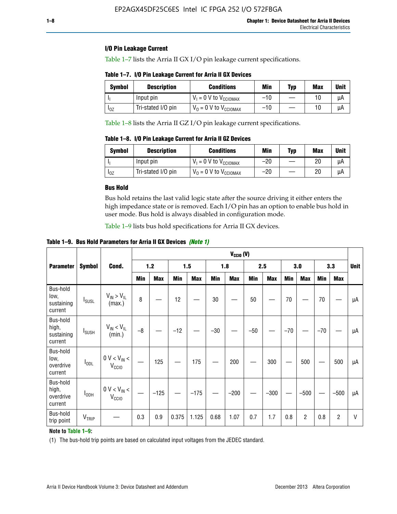## **I/O Pin Leakage Current**

Table 1–7 lists the Arria II GX I/O pin leakage current specifications.

**Table 1–7. I/O Pin Leakage Current for Arria II GX Devices**

| <b>Symbol</b>          | <b>Description</b> | <b>Conditions</b>                   | Min   | Typ | Max | <b>Unit</b> |
|------------------------|--------------------|-------------------------------------|-------|-----|-----|-------------|
|                        | Input pin          | $V_1 = 0$ V to $V_{\text{CCIOMAX}}$ | $-10$ |     |     | uА          |
| <b>I</b> <sub>OZ</sub> | Tri-stated I/O pin | $V_0 = 0$ V to $V_{\text{CCIOMAX}}$ | $-10$ |     |     | uА          |

Table 1–8 lists the Arria II GZ I/O pin leakage current specifications.

**Table 1–8. I/O Pin Leakage Current for Arria II GZ Devices**

| Symbol | <b>Description</b> | <b>Conditions</b>                   | Min   | Typ | Max | Unit |
|--------|--------------------|-------------------------------------|-------|-----|-----|------|
|        | Input pin          | $V_1 = 0$ V to $V_{\text{CCIOMAX}}$ | $-20$ |     | 20  | uА   |
| 10Z    | Tri-stated I/O pin | $V_0 = 0$ V to $V_{\text{CCIOMAX}}$ | $-20$ |     | 20  | μA   |

## **Bus Hold**

Bus hold retains the last valid logic state after the source driving it either enters the high impedance state or is removed. Each I/O pin has an option to enable bus hold in user mode. Bus hold is always disabled in configuration mode.

Table 1–9 lists bus hold specifications for Arria II GX devices.

**Table 1–9. Bus Hold Parameters for Arria II GX Devices** *(Note 1)*

|                                            |                          |                                                  |       | $V_{CClO}$ (V) |       |            |       |            |       |            |       |                |       |            |             |
|--------------------------------------------|--------------------------|--------------------------------------------------|-------|----------------|-------|------------|-------|------------|-------|------------|-------|----------------|-------|------------|-------------|
| <b>Parameter</b>                           | <b>Symbol</b>            | Cond.                                            | $1.2$ |                | 1.5   |            | 1.8   |            | 2.5   |            | 3.0   |                | 3.3   |            | <b>Unit</b> |
|                                            |                          |                                                  | Min   | <b>Max</b>     | Min   | <b>Max</b> | Min   | <b>Max</b> | Min   | <b>Max</b> | Min   | <b>Max</b>     | Min   | <b>Max</b> |             |
| Bus-hold<br>low,<br>sustaining<br>current  | <b>I</b> <sub>SUSL</sub> | $V_{IN}$ > $V_{IL}$<br>(max.)                    | 8     |                | 12    |            | 30    |            | 50    |            | 70    |                | 70    |            | μA          |
| Bus-hold<br>high,<br>sustaining<br>current | I <sub>SUSH</sub>        | $V_{IN}$ < $V_{IL}$<br>(min.)                    | $-8$  |                | $-12$ |            | $-30$ |            | $-50$ |            | $-70$ |                | $-70$ |            | μA          |
| Bus-hold<br>low,<br>overdrive<br>current   | $I_{ODL}$                | $0 V < V_{IN} <$<br>V <sub>CCIO</sub>            |       | 125            |       | 175        |       | 200        |       | 300        |       | 500            |       | 500        | μA          |
| Bus-hold<br>high,<br>overdrive<br>current  | $I_{ODH}$                | $0$ V $<$ V $_{\rm IN}$ $<$<br>V <sub>CCIO</sub> |       | $-125$         |       | $-175$     |       | $-200$     |       | $-300$     |       | $-500$         |       | $-500$     | μA          |
| Bus-hold<br>trip point                     | VTRIP                    |                                                  | 0.3   | 0.9            | 0.375 | 1.125      | 0.68  | 1.07       | 0.7   | 1.7        | 0.8   | $\overline{c}$ | 0.8   | 2          | V           |

## **Note to Table 1–9:**

(1) The bus-hold trip points are based on calculated input voltages from the JEDEC standard.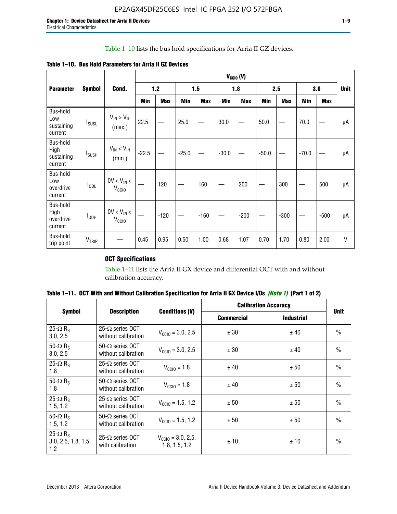# Table 1–10 lists the bus hold specifications for Arria II GZ devices.

|                                           | <b>Symbol</b>            | Cond.                                | $V_{CGIO} (V)$ |            |         |            |         |            |         |            |         |            |              |
|-------------------------------------------|--------------------------|--------------------------------------|----------------|------------|---------|------------|---------|------------|---------|------------|---------|------------|--------------|
| <b>Parameter</b>                          |                          |                                      | $1.2$          |            |         | 1.5        |         | 1.8        |         | 2.5        |         | 3.0        |              |
|                                           |                          |                                      | Min            | <b>Max</b> | Min     | <b>Max</b> | Min     | <b>Max</b> | Min     | <b>Max</b> | Min     | <b>Max</b> |              |
| Bus-hold<br>Low<br>sustaining<br>current  | $I_{SUSL}$               | $V_{IN} > V_{IL}$<br>(max.)          | 22.5           |            | 25.0    |            | 30.0    |            | 50.0    |            | 70.0    |            | μA           |
| Bus-hold<br>High<br>sustaining<br>current | <b>I</b> <sub>SUSH</sub> | $V_{IN}$ < $V_{IH}$<br>(min.)        | $-22.5$        |            | $-25.0$ |            | $-30.0$ |            | $-50.0$ |            | $-70.0$ |            | μA           |
| Bus-hold<br>Low<br>overdrive<br>current   | $I_{ODL}$                | $0V < V_{IN}$<br>V <sub>CCIO</sub>   |                | 120        |         | 160        |         | 200        |         | 300        |         | 500        | μA           |
| Bus-hold<br>High<br>overdrive<br>current  | $I_{ODH}$                | $0V < V_{IN} <$<br>V <sub>CCIO</sub> |                | $-120$     |         | $-160$     |         | $-200$     |         | $-300$     |         | $-500$     | μA           |
| Bus-hold<br>trip point                    | VTRIP                    |                                      | 0.45           | 0.95       | 0.50    | 1.00       | 0.68    | 1.07       | 0.70    | 1.70       | 0.80    | 2.00       | $\mathsf{V}$ |

**Table 1–10. Bus Hold Parameters for Arria II GZ Devices**

# **OCT Specifications**

Table 1–11 lists the Arria II GX device and differential OCT with and without calibration accuracy.

|                                                           |                                               |                                                | <b>Calibration Accuracy</b> | <b>Unit</b>       |               |
|-----------------------------------------------------------|-----------------------------------------------|------------------------------------------------|-----------------------------|-------------------|---------------|
| <b>Symbol</b>                                             | <b>Description</b>                            | <b>Conditions (V)</b>                          | <b>Commercial</b>           | <b>Industrial</b> |               |
| 25 $\Omega$ R <sub>s</sub><br>3.0, 2.5                    | $25-\Omega$ series OCT<br>without calibration | $V_{\text{CC10}} = 3.0, 2.5$                   | ± 30                        | ± 40              | $\frac{0}{0}$ |
| 50- $\Omega$ R <sub>S</sub><br>3.0, 2.5                   | $50-\Omega$ series OCT<br>without calibration | $V_{\text{CC10}} = 3.0, 2.5$                   | ± 30                        | ± 40              | $\frac{0}{0}$ |
| 25- $\Omega$ R <sub>S</sub><br>1.8                        | $25-\Omega$ series OCT<br>without calibration | $V_{CCl0} = 1.8$                               | ± 40                        | ± 50              | $\frac{0}{0}$ |
| 50- $\Omega$ R <sub>s</sub><br>1.8                        | $50-\Omega$ series OCT<br>without calibration | $V_{\text{CC10}} = 1.8$                        | ± 40                        | ± 50              | $\frac{0}{0}$ |
| 25- $\Omega$ R <sub>S</sub><br>1.5, 1.2                   | $25-\Omega$ series OCT<br>without calibration | $V_{\text{CC10}} = 1.5, 1.2$                   | ± 50                        | ± 50              | $\frac{0}{0}$ |
| 50- $\Omega$ R <sub>s</sub><br>1.5, 1.2                   | $50-\Omega$ series OCT<br>without calibration | $V_{\text{CC10}} = 1.5, 1.2$                   | ± 50                        | ± 50              | $\frac{0}{0}$ |
| 25- $\Omega$ R <sub>S</sub><br>3.0, 2.5, 1.8, 1.5,<br>1.2 | 25- $\Omega$ series OCT<br>with calibration   | $V_{\text{CC10}} = 3.0, 2.5,$<br>1.8, 1.5, 1.2 | ±10                         | ±10               | $\frac{0}{0}$ |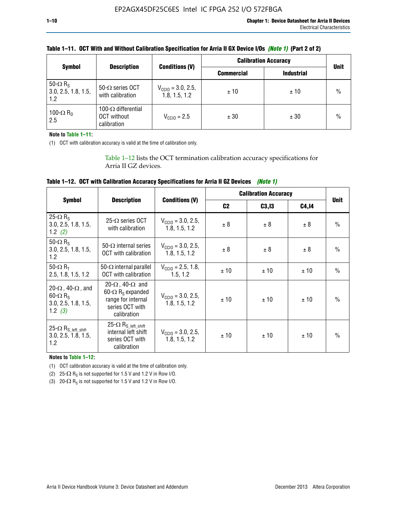| <b>Symbol</b>                                             | <b>Description</b>                                       |                                                | <b>Calibration Accuracy</b> | <b>Unit</b>       |               |
|-----------------------------------------------------------|----------------------------------------------------------|------------------------------------------------|-----------------------------|-------------------|---------------|
|                                                           |                                                          | <b>Conditions (V)</b>                          | <b>Commercial</b>           | <b>Industrial</b> |               |
| 50- $\Omega$ R <sub>S</sub><br>3.0, 2.5, 1.8, 1.5,<br>1.2 | 50- $\Omega$ series OCT<br>with calibration              | $V_{\text{CCIO}} = 3.0, 2.5,$<br>1.8, 1.5, 1.2 | ±10                         | ± 10              | $\frac{0}{0}$ |
| 100- $\Omega$ R <sub>D</sub><br>2.5                       | 100- $\Omega$ differential<br>OCT without<br>calibration | $V_{\text{CCIQ}} = 2.5$                        | ± 30                        | ± 30              | $\%$          |

## **Table 1–11. OCT With and Without Calibration Specification for Arria II GX Device I/Os** *(Note 1)* **(Part 2 of 2)**

#### **Note to Table 1–11:**

(1) OCT with calibration accuracy is valid at the time of calibration only.

Table 1–12 lists the OCT termination calibration accuracy specifications for Arria II GZ devices.

| Table 1–12. OCT with Calibration Accuracy Specifications for Arria II GZ Devices (Note 1) |  |  |  |
|-------------------------------------------------------------------------------------------|--|--|--|
|-------------------------------------------------------------------------------------------|--|--|--|

|                                                                                                       |                                                                                                                                 |                                                | <b>Calibration Accuracy</b> |        |       |               |
|-------------------------------------------------------------------------------------------------------|---------------------------------------------------------------------------------------------------------------------------------|------------------------------------------------|-----------------------------|--------|-------|---------------|
| <b>Symbol</b>                                                                                         | <b>Description</b>                                                                                                              | <b>Conditions (V)</b>                          | C <sub>2</sub>              | C3, I3 | C4,14 | <b>Unit</b>   |
| 25 $\Omega$ R <sub>s</sub><br>3.0, 2.5, 1.8, 1.5,<br>1.2 $(2)$                                        | $25-\Omega$ series OCT<br>with calibration                                                                                      | $V_{CGI0} = 3.0, 2.5,$<br>1.8.1.5.1.2          | ± 8                         | ± 8    | ± 8   | $\frac{0}{0}$ |
| 50- $\Omega$ R <sub>S</sub><br>3.0, 2.5, 1.8, 1.5,<br>1.2                                             | 50- $\Omega$ internal series<br>OCT with calibration                                                                            | $V_{\text{CC10}} = 3.0, 2.5,$<br>1.8, 1.5, 1.2 | ± 8                         | ± 8    | ± 8   | $\frac{0}{0}$ |
| 50- $\Omega$ R <sub>T</sub><br>2.5, 1.8, 1.5, 1.2                                                     | 50- $\Omega$ internal parallel<br><b>OCT</b> with calibration                                                                   | $V_{\text{CC10}} = 2.5, 1.8,$<br>1.5.1.2       | ± 10                        | ± 10   | ± 10  | $\frac{0}{0}$ |
| 20- $\Omega$ , 40- $\Omega$ , and<br>$60 - \Omega$ R <sub>S</sub><br>3.0, 2.5, 1.8, 1.5,<br>1.2 $(3)$ | 20- $\Omega$ , 40- $\Omega$ and<br>60- $\Omega$ R <sub>s</sub> expanded<br>range for internal<br>series OCT with<br>calibration | $V_{\text{CC10}} = 3.0, 2.5,$<br>1.8.1.5.1.2   | ± 10                        | ± 10   | ± 10  | $\frac{0}{0}$ |
| 25- $\Omega$ R <sub>S_left_shift</sub><br>3.0, 2.5, 1.8, 1.5,<br>1.2                                  | 25- $\Omega$ R <sub>S left shift</sub><br>internal left shift<br>series OCT with<br>calibration                                 | $V_{\text{CGI0}} = 3.0, 2.5,$<br>1.8, 1.5, 1.2 | ± 10                        | ±10    | ± 10  | $\frac{0}{0}$ |

**Notes to Table 1–12:**

(1) OCT calibration accuracy is valid at the time of calibration only.

(2) 25- $\Omega$  R<sub>S</sub> is not supported for 1.5 V and 1.2 V in Row I/O.

(3)  $20-\Omega$  R<sub>S</sub> is not supported for 1.5 V and 1.2 V in Row I/O.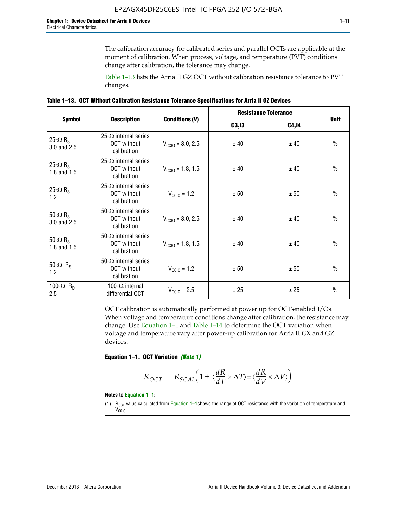The calibration accuracy for calibrated series and parallel OCTs are applicable at the moment of calibration. When process, voltage, and temperature (PVT) conditions change after calibration, the tolerance may change.

Table 1–13 lists the Arria II GZ OCT without calibration resistance tolerance to PVT changes.

|  | Table 1–13. OCT Without Calibration Resistance Tolerance Specifications for Arria II GZ Devices |  |  |  |
|--|-------------------------------------------------------------------------------------------------|--|--|--|
|--|-------------------------------------------------------------------------------------------------|--|--|--|

|                                            |                                                                   |                              | <b>Resistance Tolerance</b> |              |               |
|--------------------------------------------|-------------------------------------------------------------------|------------------------------|-----------------------------|--------------|---------------|
| <b>Symbol</b>                              | <b>Description</b>                                                | <b>Conditions (V)</b>        | C3, I3                      | <b>C4,14</b> | <b>Unit</b>   |
| 25- $\Omega$ R <sub>S</sub><br>3.0 and 2.5 | $25-\Omega$ internal series<br><b>OCT</b> without<br>calibration  | $V_{\text{CGI0}} = 3.0, 2.5$ | ± 40                        | ± 40         | $\frac{0}{0}$ |
| 25- $\Omega$ R <sub>S</sub><br>1.8 and 1.5 | 25- $\Omega$ internal series<br><b>OCT</b> without<br>calibration | $V_{\text{CC10}} = 1.8, 1.5$ | ± 40                        | ± 40         | $\frac{0}{0}$ |
| 25- $\Omega$ R <sub>S</sub><br>1.2         | 25- $\Omega$ internal series<br><b>OCT</b> without<br>calibration | $V_{\text{CC10}} = 1.2$      | ± 50                        | ± 50         | $\frac{0}{0}$ |
| 50- $\Omega$ R <sub>s</sub><br>3.0 and 2.5 | $50-\Omega$ internal series<br><b>OCT</b> without<br>calibration  | $V_{\text{CC10}} = 3.0, 2.5$ | ± 40                        | ± 40         | $\frac{0}{0}$ |
| 50- $\Omega$ R <sub>S</sub><br>1.8 and 1.5 | 50- $\Omega$ internal series<br><b>OCT</b> without<br>calibration | $V_{\text{CC10}} = 1.8, 1.5$ | ± 40                        | ± 40         | $\frac{0}{0}$ |
| 50- $\Omega$ R <sub>s</sub><br>1.2         | 50- $\Omega$ internal series<br><b>OCT</b> without<br>calibration | $V_{\text{CC10}} = 1.2$      | ± 50                        | ± 50         | $\frac{0}{0}$ |
| 100- $\Omega$ R <sub>n</sub><br>2.5        | 100- $\Omega$ internal<br>differential OCT                        | $V_{\text{CC10}} = 2.5$      | ± 25                        | ± 25         | $\frac{0}{0}$ |

OCT calibration is automatically performed at power up for OCT-enabled I/Os. When voltage and temperature conditions change after calibration, the resistance may change. Use Equation 1–1 and Table 1–14 to determine the OCT variation when voltage and temperature vary after power-up calibration for Arria II GX and GZ devices.

**Equation 1–1. OCT Variation** *(Note 1)*

$$
R_{OCT} = R_{SCAL} \Big( 1 + \langle \frac{dR}{dT} \times \Delta T \rangle \pm \langle \frac{dR}{dV} \times \Delta V \rangle \Big)
$$

#### **Notes to Equation 1–1:**

(1)  $R_{OCT}$  value calculated from Equation 1–1shows the range of OCT resistance with the variation of temperature and V<sub>CCIO</sub>.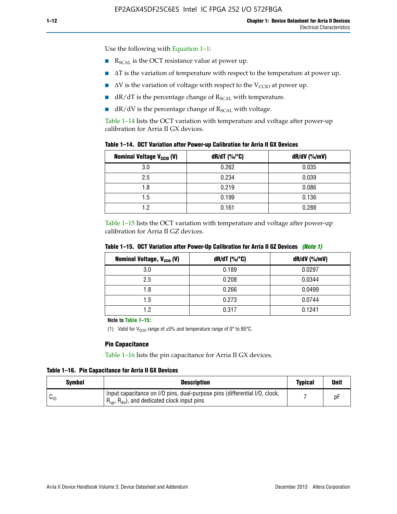Use the following with Equation 1–1:

- $\blacksquare$  R<sub>SCAL</sub> is the OCT resistance value at power up.
- $\blacksquare$   $\Delta T$  is the variation of temperature with respect to the temperature at power up.
- $\blacksquare$   $\Delta V$  is the variation of voltage with respect to the V<sub>CCIO</sub> at power up.
- $\blacksquare$  dR/dT is the percentage change of  $R_{\text{SCAL}}$  with temperature.
- $\blacksquare$  dR/dV is the percentage change of R<sub>SCAL</sub> with voltage.

Table 1–14 lists the OCT variation with temperature and voltage after power-up calibration for Arria II GX devices.

| Table 1-14. OCT Variation after Power-up Calibration for Arria II GX Devices |  |  |  |  |  |  |  |  |  |
|------------------------------------------------------------------------------|--|--|--|--|--|--|--|--|--|
|------------------------------------------------------------------------------|--|--|--|--|--|--|--|--|--|

| <b>Nominal Voltage V<sub>CCIO</sub> (V)</b> | $dR/dT$ (%/°C) | $dR/dV$ (%/mV) |
|---------------------------------------------|----------------|----------------|
| 3.0                                         | 0.262          | 0.035          |
| 2.5                                         | 0.234          | 0.039          |
| 1.8                                         | 0.219          | 0.086          |
| 1.5                                         | 0.199          | 0.136          |
| 1.2                                         | 0.161          | 0.288          |

Table 1–15 lists the OCT variation with temperature and voltage after power-up calibration for Arria II GZ devices.

| <b>Nominal Voltage, V<sub>ccio</sub> (V)</b> | $dR/dT$ (%/°C) | dR/dV (%/mV) |
|----------------------------------------------|----------------|--------------|
| 3.0                                          | 0.189          | 0.0297       |
| 2.5                                          | 0.208          | 0.0344       |
| 1.8                                          | 0.266          | 0.0499       |
| 1.5                                          | 0.273          | 0.0744       |
| 1.2                                          | 0.317          | 0.1241       |

**Table 1–15. OCT Variation after Power-Up Calibration for Arria II GZ Devices** *(Note 1)*

**Note to Table 1–15:**

(1) Valid for V<sub>CCIO</sub> range of  $\pm 5\%$  and temperature range of 0° to 85°C.

#### **Pin Capacitance**

Table 1–16 lists the pin capacitance for Arria II GX devices.

**Table 1–16. Pin Capacitance for Arria II GX Devices**

| Symbol   | <b>Description</b>                                                                                                                               | <b>Typical</b> | <b>Unit</b> |
|----------|--------------------------------------------------------------------------------------------------------------------------------------------------|----------------|-------------|
| $v_{10}$ | Input capacitance on I/O pins, dual-purpose pins (differential I/O, clock,<br>$R_{\text{up}}$ , $R_{\text{dn}}$ , and dedicated clock input pins |                | D۲          |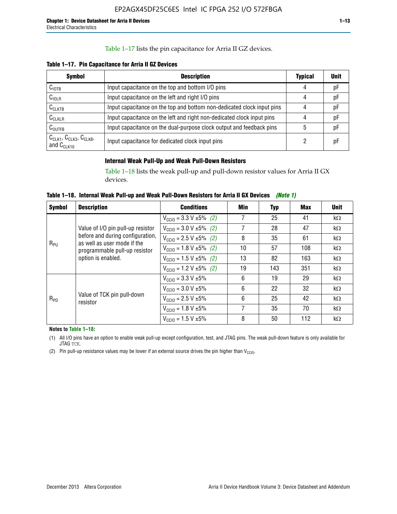## Table 1–17 lists the pin capacitance for Arria II GZ devices.

**Table 1–17. Pin Capacitance for Arria II GZ Devices** 

| <b>Symbol</b>                                    | <b>Description</b>                                                     | <b>Typical</b> | <b>Unit</b> |
|--------------------------------------------------|------------------------------------------------------------------------|----------------|-------------|
| $C_{\text{IOTB}}$                                | Input capacitance on the top and bottom I/O pins                       | 4              | pF          |
| C <sub>IOLR</sub>                                | Input capacitance on the left and right I/O pins                       | 4              | pF          |
| $C_{CLKTB}$                                      | Input capacitance on the top and bottom non-dedicated clock input pins |                | рF          |
| $C_{CLKLR}$                                      | Input capacitance on the left and right non-dedicated clock input pins |                | pF          |
| $C_{\text{OUTFB}}$                               | Input capacitance on the dual-purpose clock output and feedback pins   | 5              | pF          |
| $CCLK1$ , $CCLK3$ , $CCLK8$ ,<br>and $C_{CLK10}$ | Input capacitance for dedicated clock input pins                       |                | рF          |

## **Internal Weak Pull-Up and Weak Pull-Down Resistors**

Table 1–18 lists the weak pull-up and pull-down resistor values for Arria II GX devices.

**Table 1–18. Internal Weak Pull-up and Weak Pull-Down Resistors for Arria II GX Devices** *(Note 1)* 

| <b>Symbol</b> | <b>Description</b>                                                                                                                                          | <b>Conditions</b>                              | Min | Typ | Max | <b>Unit</b> |
|---------------|-------------------------------------------------------------------------------------------------------------------------------------------------------------|------------------------------------------------|-----|-----|-----|-------------|
|               |                                                                                                                                                             | $V_{\text{CC10}} = 3.3 \text{ V} \pm 5\%$ (2)  | 7   | 25  | 41  | $k\Omega$   |
| $R_{PU}$      | Value of I/O pin pull-up resistor<br>before and during configuration,<br>as well as user mode if the<br>programmable pull-up resistor<br>option is enabled. | $V_{\text{CC10}} = 3.0 V \pm 5\%$ (2)          | 7   | 28  | 47  | $k\Omega$   |
|               |                                                                                                                                                             | $V_{\text{CC10}} = 2.5 V \pm 5\% (2)$          | 8   | 35  | 61  | $k\Omega$   |
|               |                                                                                                                                                             | $V_{\text{CC10}} = 1.8 \text{ V } \pm 5\%$ (2) | 10  | 57  | 108 | $k\Omega$   |
|               |                                                                                                                                                             | $V_{\text{CC10}} = 1.5 \text{ V} \pm 5\%$ (2)  | 13  | 82  | 163 | $k\Omega$   |
|               |                                                                                                                                                             | $V_{\text{CC10}} = 1.2 V \pm 5\%$ (2)          | 19  | 143 | 351 | $k\Omega$   |
|               |                                                                                                                                                             | $V_{\text{CC10}} = 3.3 V \pm 5\%$              | 6   | 19  | 29  | $k\Omega$   |
|               |                                                                                                                                                             | $V_{\text{CC10}} = 3.0 V \pm 5\%$              | 6   | 22  | 32  | $k\Omega$   |
| $R_{PD}$      | Value of TCK pin pull-down<br>resistor                                                                                                                      | $V_{\text{CC10}} = 2.5 V \pm 5\%$              | 6   | 25  | 42  | $k\Omega$   |
|               |                                                                                                                                                             | $V_{\text{CC10}} = 1.8 \text{ V} \pm 5\%$      | 7   | 35  | 70  | $k\Omega$   |
|               |                                                                                                                                                             | $V_{\text{CC10}} = 1.5 V \pm 5\%$              | 8   | 50  | 112 | kΩ          |

**Notes to Table 1–18:**

(1) All I/O pins have an option to enable weak pull-up except configuration, test, and JTAG pins. The weak pull-down feature is only available for JTAG TCK.

(2) Pin pull-up resistance values may be lower if an external source drives the pin higher than  $V_{\text{CCIO}}$ .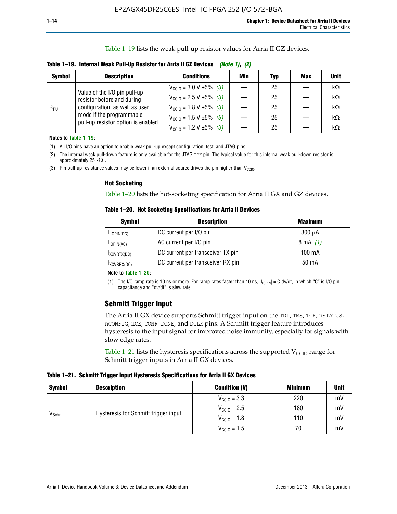Table 1–19 lists the weak pull-up resistor values for Arria II GZ devices.

| <b>Symbol</b> | <b>Description</b>             | <b>Conditions</b>                                      | Min | <b>Typ</b> | <b>Max</b>      | <b>Unit</b> |
|---------------|--------------------------------|--------------------------------------------------------|-----|------------|-----------------|-------------|
|               | Value of the I/O pin pull-up   | $V_{\text{CC10}} = 3.0 V \pm 5\%$ (3)                  |     | 25         | $\qquad \qquad$ | kΩ          |
|               | resistor before and during     | $V_{\text{CC10}} = 2.5 V \pm 5\%$ (3)                  |     | 25         |                 | kΩ          |
| $R_{PU}$      | configuration, as well as user | $V_{\text{CC10}} = 1.8 \text{ V } \pm 5\% \text{ (3)}$ |     | 25         |                 | kΩ          |

**Table 1–19. Internal Weak Pull-Up Resistor for Arria II GZ Devices** *(Note 1)***,** *(2)*

**Notes to Table 1–19:**

(1) All I/O pins have an option to enable weak pull-up except configuration, test, and JTAG pins.

(2) The internal weak pull-down feature is only available for the JTAG TCK pin. The typical value for this internal weak pull-down resistor is approximately 25 k $\Omega$ .

(3) Pin pull-up resistance values may be lower if an external source drives the pin higher than  $V_{\text{CCIO}}$ .

#### **Hot Socketing**

mode if the programmable pull-up resistor option is enabled.

Table 1–20 lists the hot-socketing specification for Arria II GX and GZ devices.

**Table 1–20. Hot Socketing Specifications for Arria II Devices** 

| <b>Symbol</b> | <b>Description</b>                | <b>Maximum</b> |
|---------------|-----------------------------------|----------------|
| IIOPIN(DC)    | DC current per I/O pin            | $300 \mu A$    |
| $I$ IOPIN(AC) | AC current per I/O pin            | 8 mA $(1)$     |
| IXCVRTX(DC)   | DC current per transceiver TX pin | 100 mA         |
| IXCVRRX(DC)   | DC current per transceiver RX pin | 50 mA          |

 $V_{\text{CC10}} = 1.5 \text{ V} \pm 5\%$  *(3)* — 25 — kΩ  $V_{\text{CC10}} = 1.2 \text{ V } \pm 5\% \text{ (3)}$   $\frac{1}{25}$   $\frac{1}{25}$   $\frac{1}{25}$   $\frac{1}{25}$ 

#### **Note to Table 1–20:**

(1) The I/O ramp rate is 10 ns or more. For ramp rates faster than 10 ns,  $|I_{10\text{PIN}}| = C$  dv/dt, in which "C" is I/O pin capacitance and "dv/dt" is slew rate.

# **Schmitt Trigger Input**

The Arria II GX device supports Schmitt trigger input on the TDI, TMS, TCK, nSTATUS, nCONFIG, nCE, CONF\_DONE, and DCLK pins. A Schmitt trigger feature introduces hysteresis to the input signal for improved noise immunity, especially for signals with slow edge rates.

Table 1–21 lists the hysteresis specifications across the supported  $V<sub>CCIO</sub>$  range for Schmitt trigger inputs in Arria II GX devices.

**Table 1–21. Schmitt Trigger Input Hysteresis Specifications for Arria II GX Devices**

| <b>Symbol</b>        | <b>Description</b>                   | <b>Condition (V)</b>    | <b>Minimum</b> | <b>Unit</b> |
|----------------------|--------------------------------------|-------------------------|----------------|-------------|
|                      |                                      | $V_{\text{CGI0}} = 3.3$ | 220            | mV          |
|                      | Hysteresis for Schmitt trigger input | $V_{\text{CCIO}} = 2.5$ | 180            | mV          |
| V <sub>Schmitt</sub> |                                      | $V_{\text{CCIO}} = 1.8$ | 110            | mV          |
|                      |                                      | $V_{\text{CCIO}} = 1.5$ | 70             | mV          |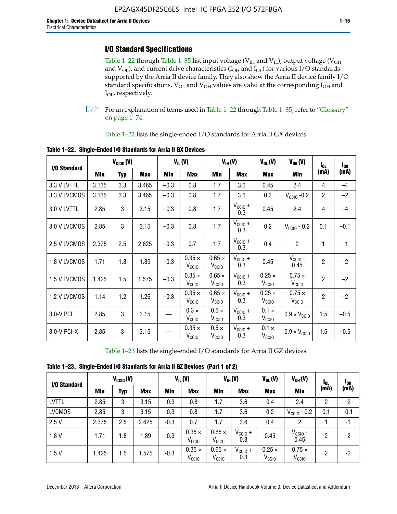# **I/O Standard Specifications**

Table 1–22 through Table 1–35 list input voltage ( $V_{IH}$  and  $V_{IL}$ ), output voltage ( $V_{OH}$ and  $V_{OL}$ ), and current drive characteristics ( $I_{OH}$  and  $I_{OL}$ ) for various I/O standards supported by the Arria II device family. They also show the Arria II device family I/O standard specifications.  $V_{OL}$  and  $V_{OH}$  values are valid at the corresponding  $I_{OH}$  and I<sub>OL</sub>, respectively.

**1.** For an explanation of terms used in Table 1–22 through Table 1–35, refer to "Glossary" on page 1–74.

Table 1–22 lists the single-ended I/O standards for Arria II GX devices.

| I/O Standard | $V_{CCl0} (V)$ |            | $V_{IL}(V)$ |        | $V_{IH}(V)$                        |                                    | $V_{OL}(V)$                | $V_{OH} (V)$                       | $I_{0L}$                           | $I_{0H}$       |        |
|--------------|----------------|------------|-------------|--------|------------------------------------|------------------------------------|----------------------------|------------------------------------|------------------------------------|----------------|--------|
|              | Min            | <b>Typ</b> | <b>Max</b>  | Min    | <b>Max</b>                         | Min                                | <b>Max</b>                 | <b>Max</b>                         | Min                                | (mA)           | (mA)   |
| 3.3 V LVTTL  | 3.135          | 3.3        | 3.465       | $-0.3$ | 0.8                                | 1.7                                | 3.6                        | 0.45                               | 2.4                                | 4              | $-4$   |
| 3.3 V LVCMOS | 3.135          | 3.3        | 3.465       | $-0.3$ | 0.8                                | 1.7                                | 3.6                        | 0.2                                | $V_{\text{CCIO}}$ -0.2             | $\overline{2}$ | $-2$   |
| 3.0 V LVTTL  | 2.85           | 3          | 3.15        | $-0.3$ | 0.8                                | 1.7                                | $V_{CC10}$ +<br>0.3        | 0.45                               | 2.4                                | 4              | $-4$   |
| 3.0 V LVCMOS | 2.85           | 3          | 3.15        | $-0.3$ | 0.8                                | 1.7                                | $V_{CC10} +$<br>0.3        | 0.2                                | $V_{\text{CCIO}}$ - 0.2            | 0.1            | $-0.1$ |
| 2.5 V LVCMOS | 2.375          | 2.5        | 2.625       | $-0.3$ | 0.7                                | 1.7                                | $V_{\text{CCIO}} +$<br>0.3 | 0.4                                | $\overline{2}$                     | 1              | $-1$   |
| 1.8 V LVCMOS | 1.71           | 1.8        | 1.89        | $-0.3$ | $0.35 \times$<br>V <sub>CCIO</sub> | $0.65 \times$<br>V <sub>CCIO</sub> | $V_{CCIO} +$<br>0.3        | 0.45                               | $V_{\text{CCIO}}$ -<br>0.45        | $\overline{2}$ | $-2$   |
| 1.5 V LVCMOS | 1.425          | 1.5        | 1.575       | $-0.3$ | $0.35 \times$<br>V <sub>CCIO</sub> | $0.65 \times$<br>V <sub>CCIO</sub> | $V_{CC10} +$<br>0.3        | $0.25 \times$<br>V <sub>CCIO</sub> | $0.75 \times$<br>V <sub>CCIO</sub> | $\overline{2}$ | $-2$   |
| 1.2 V LVCMOS | 1.14           | 1.2        | 1.26        | $-0.3$ | $0.35 \times$<br>V <sub>CCIO</sub> | $0.65 \times$<br>V <sub>CCIO</sub> | $V_{CC10} +$<br>0.3        | $0.25 \times$<br>V <sub>CCIO</sub> | $0.75 \times$<br>$V_{\text{CGIO}}$ | $\overline{2}$ | $-2$   |
| 3.0-V PCI    | 2.85           | 3          | 3.15        |        | $0.3 \times$<br>V <sub>CCIO</sub>  | $0.5 \times$<br>$V_{\rm CCIO}$     | $V_{CClO}$ +<br>0.3        | $0.1 \times$<br>V <sub>CCIO</sub>  | $0.9 \times V_{\text{CC10}}$       | 1.5            | $-0.5$ |
| 3.0-V PCI-X  | 2.85           | 3          | 3.15        |        | $0.35 \times$<br>V <sub>CCIO</sub> | $0.5 \times$<br>V <sub>CCIO</sub>  | $V_{\text{CCIO}} +$<br>0.3 | $0.1 \times$<br>V <sub>CCIO</sub>  | $0.9 \times V_{\text{CC10}}$       | 1.5            | $-0.5$ |

**Table 1–22. Single-Ended I/O Standards for Arria II GX Devices**

Table 1–23 lists the single-ended I/O standards for Arria II GZ devices.

| Table 1-23. Single-Ended I/O Standards for Arria II GZ Devices (Part 1 of 2) |  |
|------------------------------------------------------------------------------|--|
|                                                                              |  |

|               | $V_{\text{CCIO}}(V)$ |     | $V_{IL}(V)$ |            | $V_{IH} (V)$                       |                                    | $V_{OL}(V)$                | $V_{OH} (V)$                       | <sup>1</sup> OL                    | <b>I</b> OH |        |
|---------------|----------------------|-----|-------------|------------|------------------------------------|------------------------------------|----------------------------|------------------------------------|------------------------------------|-------------|--------|
| I/O Standard  | Min                  | Typ | <b>Max</b>  | <b>Min</b> | <b>Max</b>                         | Min                                | <b>Max</b>                 | <b>Max</b>                         | <b>Min</b>                         | (mA)        | (mA)   |
| <b>LVTTL</b>  | 2.85                 | 3   | 3.15        | $-0.3$     | 0.8                                | 1.7                                | 3.6                        | 0.4                                | 2.4                                | 2           | $-2$   |
| <b>LVCMOS</b> | 2.85                 | 3   | 3.15        | $-0.3$     | 0.8                                | 1.7                                | 3.6                        | 0.2                                | $V_{\text{CCIO}}$ - 0.2            | 0.1         | $-0.1$ |
| 2.5V          | 2.375                | 2.5 | 2.625       | $-0.3$     | 0.7                                | 1.7                                | 3.6                        | 0.4                                | 2                                  |             | $-1$   |
| 1.8V          | 1.71                 | 1.8 | 1.89        | $-0.3$     | $0.35 \times$<br>V <sub>CCIO</sub> | $0.65 \times$<br>V <sub>CCIO</sub> | $V_{CClO}$ +<br>0.3        | 0.45                               | $V_{CGIO}$ -<br>0.45               | 2           | -2     |
| 1.5V          | 1.425                | 1.5 | .575        | $-0.3$     | $0.35 \times$<br>V <sub>CCIO</sub> | $0.65 \times$<br>V <sub>CCIO</sub> | $V_{\text{CC1O}} +$<br>0.3 | $0.25 \times$<br>V <sub>CCIO</sub> | $0.75 \times$<br>V <sub>CCIO</sub> | 2           | -2     |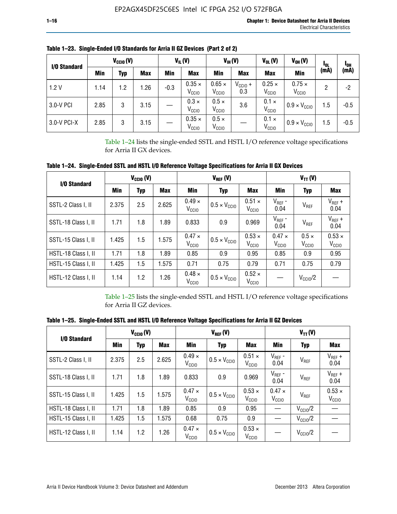| I/O Standard | $V_{\text{CCIO}}(V)$ |     |            | $V_{IL}(V)$ |                                    | $V_{IH} (V)$<br>$V_{OL}(V)$        |                     | $V_{OH} (V)$                       | <b>I</b> OL                        | <sup>1</sup> OH |        |
|--------------|----------------------|-----|------------|-------------|------------------------------------|------------------------------------|---------------------|------------------------------------|------------------------------------|-----------------|--------|
|              | Min                  | Typ | <b>Max</b> | Min         | <b>Max</b>                         | Min                                | <b>Max</b>          | <b>Max</b>                         | Min                                | (mA)            | (mA)   |
| 1.2V         | 1.14                 | 1.2 | .26        | $-0.3$      | $0.35 \times$<br>V <sub>CCIO</sub> | $0.65 \times$<br>V <sub>CCIO</sub> | $V_{CC10}$ +<br>0.3 | $0.25 \times$<br>V <sub>CCIO</sub> | $0.75 \times$<br>V <sub>CCIO</sub> | 2               | -2     |
| 3.0-V PCI    | 2.85                 | 3   | 3.15       |             | $0.3 \times$<br>V <sub>CCIO</sub>  | $0.5 \times$<br>V <sub>ccio</sub>  | 3.6                 | $0.1 \times$<br>V <sub>CCIO</sub>  | $0.9 \times V_{\text{CC10}}$       | 1.5             | $-0.5$ |
| 3.0-V PCI-X  | 2.85                 | 3   | 3.15       |             | $0.35 \times$<br>V <sub>CCIO</sub> | $0.5 \times$<br>V <sub>CCIO</sub>  |                     | $0.1 \times$<br>V <sub>CCIO</sub>  | $0.9 \times V_{\text{CC10}}$       | 1.5             | $-0.5$ |

**Table 1–23. Single-Ended I/O Standards for Arria II GZ Devices (Part 2 of 2)**

Table 1–24 lists the single-ended SSTL and HSTL I/O reference voltage specifications for Arria II GX devices.

**Table 1–24. Single-Ended SSTL and HSTL I/O Reference Voltage Specifications for Arria II GX Devices**

| I/O Standard        |       | $V_{CGI0} (V)$ |            |                                    | $V_{REF}(V)$                 |                                    | $V_{TT} (V)$                    |                                   |                                    |  |
|---------------------|-------|----------------|------------|------------------------------------|------------------------------|------------------------------------|---------------------------------|-----------------------------------|------------------------------------|--|
|                     | Min   | <b>Typ</b>     | <b>Max</b> | Min                                | Typ                          | Max                                | Min                             | <b>Typ</b>                        | <b>Max</b>                         |  |
| SSTL-2 Class I, II  | 2.375 | 2.5            | 2.625      | $0.49 \times$<br>V <sub>CCIO</sub> | $0.5 \times V_{\text{CCIO}}$ | $0.51 \times$<br>V <sub>CCIO</sub> | $V_{REF}$ -<br>0.04             | $V_{REF}$                         | $V_{REF}$ +<br>0.04                |  |
| SSTL-18 Class I, II | 1.71  | 1.8            | 1.89       | 0.833                              | 0.9                          | 0.969                              | $V_{REF}$ -<br>0.04             | V <sub>REF</sub>                  | $V_{REF}$ +<br>0.04                |  |
| SSTL-15 Class I, II | 1.425 | 1.5            | 1.575      | $0.47 \times$<br>V <sub>CCD</sub>  | $0.5 \times V_{\text{CC10}}$ | $0.53 \times$<br>V <sub>CCIO</sub> | $0.47 \times$<br>$V_{\rm CClO}$ | $0.5 \times$<br>V <sub>CCIO</sub> | $0.53 \times$<br>V <sub>CCIO</sub> |  |
| HSTL-18 Class I, II | 1.71  | 1.8            | 1.89       | 0.85                               | 0.9                          | 0.95                               | 0.85                            | 0.9                               | 0.95                               |  |
| HSTL-15 Class I, II | 1.425 | 1.5            | 1.575      | 0.71                               | 0.75                         | 0.79                               | 0.71                            | 0.75                              | 0.79                               |  |
| HSTL-12 Class I, II | 1.14  | 1.2            | 1.26       | $0.48 \times$<br>V <sub>CCIO</sub> | $0.5 \times V_{\text{CC10}}$ | $0.52 \times$<br>V <sub>CClO</sub> |                                 | $V_{\text{CClO}}/2$               |                                    |  |

Table 1–25 lists the single-ended SSTL and HSTL I/O reference voltage specifications for Arria II GZ devices.

**Table 1–25. Single-Ended SSTL and HSTL I/O Reference Voltage Specifications for Arria II GZ Devices** 

| I/O Standard        |       | $V_{\text{CCIO}}(V)$ |            |                                    | $V_{REF}(V)$                 |                                    | $V_{TT}(V)$                       |                     |                                    |  |
|---------------------|-------|----------------------|------------|------------------------------------|------------------------------|------------------------------------|-----------------------------------|---------------------|------------------------------------|--|
|                     | Min   | <b>Typ</b>           | <b>Max</b> | Min                                | Typ                          | <b>Max</b>                         | Min                               | Typ                 | Max                                |  |
| SSTL-2 Class I, II  | 2.375 | 2.5                  | 2.625      | $0.49 \times$<br>V <sub>CCIO</sub> | $0.5 \times V_{\text{CC10}}$ | $0.51 \times$<br>V <sub>CCIO</sub> | $V_{REF}$ -<br>0.04               | V <sub>REF</sub>    | $V_{REF}$ +<br>0.04                |  |
| SSTL-18 Class I, II | 1.71  | 1.8                  | 1.89       | 0.833                              | 0.9                          | 0.969                              | $V_{REF}$ -<br>0.04               | V <sub>REF</sub>    | $V_{REF}$ +<br>0.04                |  |
| SSTL-15 Class I, II | 1.425 | 1.5                  | 1.575      | $0.47 \times$<br>V <sub>CCIO</sub> | $0.5 \times V_{\text{CC10}}$ | $0.53 \times$<br>V <sub>CCIO</sub> | $0.47 \times$<br>V <sub>CCD</sub> | V <sub>REF</sub>    | $0.53 \times$<br>V <sub>CCIO</sub> |  |
| HSTL-18 Class I, II | 1.71  | 1.8                  | 1.89       | 0.85                               | 0.9                          | 0.95                               |                                   | $V_{\text{CC10}}/2$ |                                    |  |
| HSTL-15 Class I, II | 1.425 | 1.5                  | 1.575      | 0.68                               | 0.75                         | 0.9                                |                                   | $V_{\rm CC10}$ /2   |                                    |  |
| HSTL-12 Class I, II | 1.14  | 1.2                  | 1.26       | $0.47 \times$<br>V <sub>CCIO</sub> | $0.5 \times V_{\text{CC10}}$ | $0.53 \times$<br>V <sub>CCIO</sub> |                                   | $V_{\text{CC10}}/2$ |                                    |  |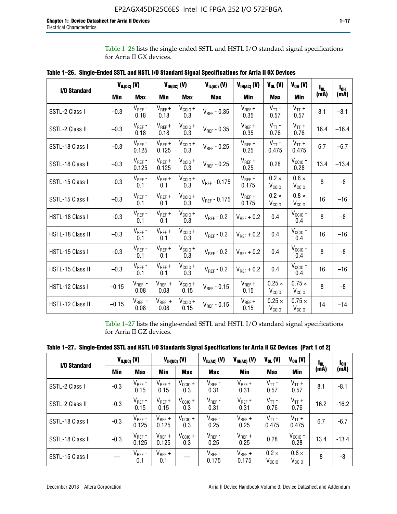Table 1–26 lists the single-ended SSTL and HSTL I/O standard signal specifications for Arria II GX devices.

|                  | $V_{IL(DC)}(V)$ |                      |                      | $V_{IH(DC)}(V)$             | $V_{IL(AC)}$ (V)  | $V_{IH(AC)}$ (V)     | $V_{OL}$ (V)                       | $V_{OH} (V)$                       | l <sub>ol</sub> | $I_{0H}$ |
|------------------|-----------------|----------------------|----------------------|-----------------------------|-------------------|----------------------|------------------------------------|------------------------------------|-----------------|----------|
| I/O Standard     | <b>Min</b>      | <b>Max</b>           | <b>Min</b>           | <b>Max</b>                  | <b>Max</b>        | Min                  | <b>Max</b>                         | <b>Min</b>                         | (mA)            | (mA)     |
| SSTL-2 Class I   | $-0.3$          | $V_{REF}$ -<br>0.18  | $V_{REF} +$<br>0.18  | $V_{\text{CCIO}} +$<br>0.3  | $V_{REF} - 0.35$  | $V_{REF} +$<br>0.35  | $V_{TT}$ -<br>0.57                 | $V_{TT}$ +<br>0.57                 | 8.1             | $-8.1$   |
| SSTL-2 Class II  | $-0.3$          | $V_{REF}$ -<br>0.18  | $V_{REF} +$<br>0.18  | $V_{CCIO} +$<br>0.3         | $V_{REF}$ - 0.35  | $V_{REF} +$<br>0.35  | $V_{TT}$ -<br>0.76                 | $V_{TT}$ +<br>0.76                 | 16.4            | $-16.4$  |
| SSTL-18 Class I  | $-0.3$          | $V_{REF}$ -<br>0.125 | $V_{REF}$ +<br>0.125 | $V_{\text{CC1O}} +$<br>0.3  | $V_{REF}$ - 0.25  | $V_{REF}$ +<br>0.25  | $V_{TT}$ -<br>0.475                | $V_{TT}$ +<br>0.475                | 6.7             | $-6.7$   |
| SSTL-18 Class II | $-0.3$          | $V_{REF}$ -<br>0.125 | $V_{REF}$ +<br>0.125 | $V_{\text{CC1O}} +$<br>0.3  | $V_{REF}$ - 0.25  | $V_{REF}$ +<br>0.25  | 0.28                               | $V_{CGIO}$ -<br>0.28               | 13.4            | $-13.4$  |
| SSTL-15 Class I  | $-0.3$          | $V_{REF}$ -<br>0.1   | $V_{REF}$ +<br>0.1   | $V_{\text{CCIO}} +$<br>0.3  | $V_{REF} - 0.175$ | $V_{REF}$ +<br>0.175 | $0.2 \times$<br>V <sub>CCIO</sub>  | $0.8 \times$<br>V <sub>CCIO</sub>  | 8               | $-8$     |
| SSTL-15 Class II | $-0.3$          | $V_{REF}$ -<br>0.1   | $V_{REF}$ +<br>0.1   | $V_{CCIO} +$<br>0.3         | $V_{REF}$ - 0.175 | $V_{REF}$ +<br>0.175 | $0.2 \times$<br>V <sub>CCIO</sub>  | $0.8 \times$<br>V <sub>CCIO</sub>  | 16              | $-16$    |
| HSTL-18 Class I  | $-0.3$          | $V_{REF}$ -<br>0.1   | $V_{REF}$ +<br>0.1   | $V_{\text{CCIO}} +$<br>0.3  | $V_{REF} - 0.2$   | $V_{REF}$ + 0.2      | 0.4                                | $V_{CGIO}$ -<br>0.4                | 8               | $-8$     |
| HSTL-18 Class II | $-0.3$          | $V_{REF}$ -<br>0.1   | $V_{REF}$ +<br>0.1   | $V_{\text{CC1O}} +$<br>0.3  | $V_{REF}$ - 0.2   | $V_{RFF}$ + 0.2      | 0.4                                | $V_{\text{CCIO}}$ -<br>0.4         | 16              | $-16$    |
| HSTL-15 Class I  | $-0.3$          | $V_{REF}$ -<br>0.1   | $V_{REF}$ +<br>0.1   | $V_{\text{CCIO}} +$<br>0.3  | $V_{REF}$ - 0.2   | $V_{REF}$ + 0.2      | 0.4                                | $V_{\text{CCIO}}$ -<br>0.4         | 8               | $-8$     |
| HSTL-15 Class II | $-0.3$          | $V_{REF}$ -<br>0.1   | $V_{REF}$ +<br>0.1   | $V_{\text{CCIO}} +$<br>0.3  | $V_{REF}$ - 0.2   | $V_{REF}$ + 0.2      | 0.4                                | $V_{CCIO}$ -<br>0.4                | 16              | $-16$    |
| HSTL-12 Class I  | $-0.15$         | $V_{REF}$ -<br>0.08  | $V_{REF}$ +<br>0.08  | $V_{\text{CCIO}} +$<br>0.15 | $V_{REF}$ - 0.15  | $V_{REF} +$<br>0.15  | $0.25 \times$<br>V <sub>CCIO</sub> | $0.75 \times$<br>$V_{\text{CCIO}}$ | 8               | $-8$     |
| HSTL-12 Class II | $-0.15$         | $V_{REF}$ -<br>0.08  | $V_{REF}$ +<br>0.08  | $V_{\text{CCIO}} +$<br>0.15 | $V_{REF}$ - 0.15  | $V_{REF} +$<br>0.15  | $0.25 \times$<br>V <sub>CCIO</sub> | $0.75 \times$<br>V <sub>CCIO</sub> | 14              | $-14$    |

**Table 1–26. Single-Ended SSTL and HSTL I/O Standard Signal Specifications for Arria II GX Devices** 

Table 1–27 lists the single-ended SSTL and HSTL I/O standard signal specifications for Arria II GZ devices.

| I/O Standard     |        | $V_{IL(DC)}(V)$      | $V_{IH(DC)}(V)$      |                     | $V_{IL(AC)}(V)$      | $V_{IH(AC)}(V)$      | $V_{OL}$ (V)                      | $V_{OH} (V)$                   | $I_{0L}$ | <b>I<sub>OH</sub></b> |
|------------------|--------|----------------------|----------------------|---------------------|----------------------|----------------------|-----------------------------------|--------------------------------|----------|-----------------------|
|                  | Min    | <b>Max</b>           | <b>Min</b>           | <b>Max</b>          | <b>Max</b>           | Min                  | <b>Max</b>                        | Min                            | (mA)     | (mA)                  |
| SSTL-2 Class I   | $-0.3$ | $V_{REF}$ -<br>0.15  | $V_{REF} +$<br>0.15  | $V_{CClO} +$<br>0.3 | $V_{REF}$ -<br>0.31  | $V_{REF} +$<br>0.31  | $V_{TT}$ -<br>0.57                | $V_{TT}$ +<br>0.57             | 8.1      | $-8.1$                |
| SSTL-2 Class II  | $-0.3$ | $V_{REF}$ -<br>0.15  | $V_{REF} +$<br>0.15  | $V_{CClO} +$<br>0.3 | $V_{REF}$ -<br>0.31  | $V_{REF} +$<br>0.31  | $V_{TT}$ -<br>0.76                | $V_{TT}$ +<br>0.76             | 16.2     | $-16.2$               |
| SSTL-18 Class I  | $-0.3$ | $V_{REF}$ -<br>0.125 | $V_{REF}$ +<br>0.125 | $V_{CClO} +$<br>0.3 | $V_{REF}$ -<br>0.25  | $V_{REF}$ +<br>0.25  | $V_{TT}$ -<br>0.475               | $V_{TT}$ +<br>0.475            | 6.7      | $-6.7$                |
| SSTL-18 Class II | $-0.3$ | $V_{REF}$ -<br>0.125 | $V_{REF}$ +<br>0.125 | $V_{CC10} +$<br>0.3 | $V_{REF}$ -<br>0.25  | $V_{REF}$ +<br>0.25  | 0.28                              | $V_{\rm CCIO}$ -<br>0.28       | 13.4     | $-13.4$               |
| SSTL-15 Class I  |        | $V_{REF}$ -<br>0.1   | $V_{REF}$ +<br>0.1   |                     | $V_{REF}$ -<br>0.175 | $V_{REF}$ +<br>0.175 | $0.2 \times$<br>V <sub>CCIO</sub> | $0.8 \times$<br>$V_{\rm CClO}$ | 8        | -8                    |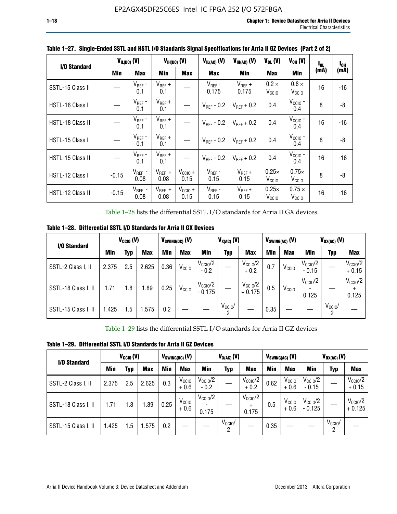| I/O Standard            | $V_{IL(DC)}$ (V) |                     | $V_{IH(DC)}$ (V)    |                             | $V_{IL(AC)}(V)$        | $V_{H(AC)}(V)$       | $V_{OL}$ (V)                      | $V_{OH} (V)$                       | l <sub>ol.</sub> | $I_{0H}$ |
|-------------------------|------------------|---------------------|---------------------|-----------------------------|------------------------|----------------------|-----------------------------------|------------------------------------|------------------|----------|
|                         | Min              | <b>Max</b>          | Min                 | <b>Max</b>                  | Max                    | <b>Min</b>           | Max                               | Min                                | (mA)             | (mA)     |
| SSTL-15 Class II        |                  | $V_{REF}$ -<br>0.1  | $V_{REF}$ +<br>0.1  |                             | $V_{REF}$ -<br>0.175   | $V_{REF}$ +<br>0.175 | $0.2 \times$<br>V <sub>CCIO</sub> | $0.8 \times$<br>V <sub>CCIO</sub>  | 16               | $-16$    |
| HSTL-18 Class I         |                  | $V_{REF}$ -<br>0.1  | $V_{REF}$ +<br>0.1  |                             | $V_{REF}$ - 0.2        | $V_{REF}$ + 0.2      | 0.4                               | $V_{\rm CCIO}$ -<br>0.4            | 8                | -8       |
| <b>HSTL-18 Class II</b> |                  | $V_{REF}$ -<br>0.1  | $V_{REF}$ +<br>0.1  |                             | $V_{\text{RFF}}$ - 0.2 | $V_{RFF}$ + 0.2      | 0.4                               | $V_{CCIO}$ -<br>0.4                | 16               | $-16$    |
| HSTL-15 Class I         |                  | $V_{REF}$ -<br>0.1  | $V_{REF}$ +<br>0.1  |                             | $V_{\text{RFF}}$ - 0.2 | $V_{RFF}$ + 0.2      | 0.4                               | $V_{\text{CCIO}}$ -<br>0.4         | 8                | -8       |
| HSTL-15 Class II        |                  | $V_{REF}$ -<br>0.1  | $V_{REF}$ +<br>0.1  |                             | $V_{REF}$ - 0.2        | $V_{RFF}$ + 0.2      | 0.4                               | $V_{\rm CCIO}$ -<br>0.4            | 16               | $-16$    |
| HSTL-12 Class I         | $-0.15$          | $V_{REF}$ -<br>0.08 | $V_{REF}$ +<br>0.08 | $V_{CCIO} +$<br>0.15        | $V_{REF}$ -<br>0.15    | $V_{REF} +$<br>0.15  | $0.25\times$<br>V <sub>CCIO</sub> | $0.75\times$<br>V <sub>CCIO</sub>  | 8                | -8       |
| HSTL-12 Class II        | $-0.15$          | $V_{REF}$ -<br>0.08 | $V_{REF}$ +<br>0.08 | $V_{\text{CC1O}} +$<br>0.15 | $V_{REF}$ -<br>0.15    | $V_{REF} +$<br>0.15  | $0.25\times$<br>V <sub>CCIO</sub> | $0.75 \times$<br>V <sub>CCIO</sub> | 16               | $-16$    |

**Table 1–27. Single-Ended SSTL and HSTL I/O Standards Signal Specifications for Arria II GZ Devices (Part 2 of 2)**

Table 1–28 lists the differential SSTL I/O standards for Arria II GX devices.

**Table 1–28. Differential SSTL I/O Standards for Arria II GX Devices**

| I/O Standard        | $V_{\text{CCIO}}(V)$ |            |            | $V_{SWING(DC)}$ (V) |                   | $V_{X(AC)}(V)$                  |                 |                                 |      | $V_{SWING(AC)}$ (V) | $V_{OX(AC)}$ (V)               |                 |                              |
|---------------------|----------------------|------------|------------|---------------------|-------------------|---------------------------------|-----------------|---------------------------------|------|---------------------|--------------------------------|-----------------|------------------------------|
|                     | Min                  | <b>Typ</b> | <b>Max</b> | Min                 | <b>Max</b>        | Min                             | Typ             | <b>Max</b>                      | Min  | <b>Max</b>          | Min                            | Typ             | <b>Max</b>                   |
| SSTL-2 Class I, II  | 2.375                | 2.5        | 2.625      | 0.36                | V <sub>CCIO</sub> | $V_{\text{CCIO}}/2$<br>$-0.2$   |                 | $V_{\rm CC10}$ /2<br>$+0.2$     | 0.7  | V <sub>CCIO</sub>   | $V_{\text{CC10}}/2$<br>$-0.15$ |                 | $V_{\rm CClO}/2$<br>$+0.15$  |
| SSTL-18 Class I, II | 1.71                 | 1.8        | l.89       | 0.25                | V <sub>CCIO</sub> | $V_{\text{CCIO}}/2$<br>$-0.175$ |                 | $V_{\text{CC10}}/2$<br>$+0.175$ | 0.5  | V <sub>CCIO</sub>   | $V_{\text{CC10}}/2$<br>0.125   |                 | $V_{\text{CCIO}}/2$<br>0.125 |
| SSTL-15 Class I, II | 1.425                | 1.5        | .575       | 0.2                 |                   |                                 | $V_{CCIO}$<br>2 |                                 | 0.35 |                     |                                | $V_{CClO}$<br>റ |                              |

Table 1–29 lists the differential SSTL I/O standards for Arria II GZ devices

**Table 1–29. Differential SSTL I/O Standards for Arria II GZ Devices**

| I/O Standard        | $V_{\text{CCIO}}(V)$ |     |            | $V_{SWING(DC)}(V)$ |                             | $V_{X(AC)}(V)$                |                     |                                   |      | $V_{SWING(AC)}$ (V)         | $V_{OX(AC)}(V)$                |                 |                                 |
|---------------------|----------------------|-----|------------|--------------------|-----------------------------|-------------------------------|---------------------|-----------------------------------|------|-----------------------------|--------------------------------|-----------------|---------------------------------|
|                     | Min                  | Typ | <b>Max</b> | Min                | <b>Max</b>                  | Min                           | Typ                 | <b>Max</b>                        | Min  | <b>Max</b>                  | Min                            | Typ             | <b>Max</b>                      |
| SSTL-2 Class I, II  | 2.375                | 2.5 | 2.625      | 0.3                | V <sub>CCIO</sub><br>$+0.6$ | $V_{\text{CC1O}}/2$<br>$-0.2$ |                     | $V_{\text{CCIO}}/2$<br>$+0.2$     | 0.62 | V <sub>CCIO</sub><br>$+0.6$ | $V_{\text{CC10}}/2$<br>$-0.15$ |                 | $V_{\text{CC10}}/2$<br>$+0.15$  |
| SSTL-18 Class I, II | 1.71                 | 1.8 | 1.89       | 0.25               | V <sub>CCIO</sub><br>$+0.6$ | $V_{\text{CCIO}}/2$<br>0.175  |                     | $V_{\text{CCIO}}/2$<br>÷<br>0.175 | 0.5  | V <sub>CCIO</sub><br>$+0.6$ | $V_{\text{CC10}}/2$<br>- 0.125 |                 | $V_{\text{CC10}}/2$<br>$+0.125$ |
| SSTL-15 Class I, II | 1.425                | 1.5 | .575       | 0.2                |                             |                               | $V_{\rm CCIO}$<br>2 |                                   | 0.35 |                             |                                | $V_{CClO}$<br>2 |                                 |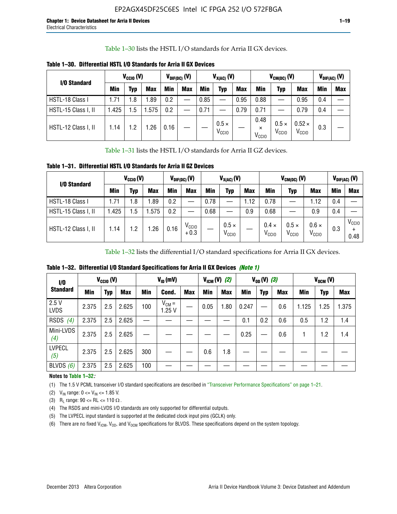Table 1–30 lists the HSTL I/O standards for Arria II GX devices.

| I/O Standard        | $V_{CGI0} (V)$ |            |            |      | $V_{\text{DIF(DC)}}$ (V)<br>$V_{X(AC)}(V)$ |            |                                   | $V_{CM(DC)}(V)$ |                                       |                                   | $V_{DIF(AC)}(V)$                   |     |            |
|---------------------|----------------|------------|------------|------|--------------------------------------------|------------|-----------------------------------|-----------------|---------------------------------------|-----------------------------------|------------------------------------|-----|------------|
|                     | <b>Min</b>     | Typ        | <b>Max</b> | Min  | <b>Max</b>                                 | <b>Min</b> | Typ                               | <b>Max</b>      | Min                                   | Typ                               | <b>Max</b>                         | Min | <b>Max</b> |
| HSTL-18 Class I     | 1.71           | . 8        | .89        | 0.2  | —                                          | 0.85       |                                   | 0.95            | 0.88                                  |                                   | 0.95                               | 0.4 |            |
| HSTL-15 Class I, II | l.425          | .5         | .575       | 0.2  |                                            | 0.71       |                                   | 0.79            | 0.71                                  |                                   | 0.79                               | 0.4 |            |
| HSTL-12 Class I, II | 1.14           | $\cdot$ .2 | .26        | 0.16 |                                            |            | $0.5 \times$<br>V <sub>CCIO</sub> |                 | 0.48<br>$\times$<br>V <sub>CCIO</sub> | $0.5 \times$<br>V <sub>CCIO</sub> | $0.52 \times$<br>V <sub>CCIO</sub> | 0.3 |            |

**Table 1–30. Differential HSTL I/O Standards for Arria II GX Devices**

Table 1–31 lists the HSTL I/O standards for Arria II GZ devices.

**Table 1–31. Differential HSTL I/O Standards for Arria II GZ Devices**

| I/O Standard        | $V_{\text{CCIO}}(V)$ |            |            |            | $V_{\text{DIF(DC)}}(V)$     | $V_{X(AC)}(V)$ |                                   |            |                                   | $V_{CM(DC)}$ (V)                  | $V_{DIF(AC)}$ (V)                 |     |                           |
|---------------------|----------------------|------------|------------|------------|-----------------------------|----------------|-----------------------------------|------------|-----------------------------------|-----------------------------------|-----------------------------------|-----|---------------------------|
|                     | Min                  | <b>Typ</b> | <b>Max</b> | <b>Min</b> | <b>Max</b>                  | Min            | Typ                               | <b>Max</b> | <b>Min</b>                        | <b>Typ</b>                        | <b>Max</b>                        | Min | <b>Max</b>                |
| HSTL-18 Class I     | 71. ا                | 1.8        | .89        | 0.2        |                             | 0.78           |                                   | 1.12       | 0.78                              |                                   | 1.12                              | 0.4 |                           |
| HSTL-15 Class I, II | .425                 | 5.،        | .575       | 0.2        | —                           | 0.68           |                                   | 0.9        | 0.68                              |                                   | 0.9                               | 0.4 |                           |
| HSTL-12 Class I, II | 1.14                 | 1.2        | .26        | 0.16       | V <sub>CCIO</sub><br>$+0.3$ |                | $0.5 \times$<br>V <sub>CCIO</sub> |            | $0.4 \times$<br>V <sub>CCIO</sub> | $0.5 \times$<br>V <sub>CCIO</sub> | $0.6 \times$<br>V <sub>CCIO</sub> | 0.3 | V <sub>CCIO</sub><br>0.48 |

Table 1–32 lists the differential I/O standard specifications for Arria II GX devices.

**Table 1–32. Differential I/O Standard Specifications for Arria II GX Devices** *(Note 1)*

| 1/0                  | $V_{CGI0} (V)$ |            |            |     | $V_{ID}$ (mV)       |            |      | $V_{IGM} (V)$ (2) |       | $V_{OD} (V)$ (3) |            |       | $V_{OCM} (V)$ |            |  |
|----------------------|----------------|------------|------------|-----|---------------------|------------|------|-------------------|-------|------------------|------------|-------|---------------|------------|--|
| <b>Standard</b>      | Min            | <b>Typ</b> | <b>Max</b> | Min | Cond.               | <b>Max</b> | Min  | <b>Max</b>        | Min   | <b>Typ</b>       | <b>Max</b> | Min   | <b>Typ</b>    | <b>Max</b> |  |
| 2.5V<br><b>LVDS</b>  | 2.375          | 2.5        | 2.625      | 100 | $V_{CM} =$<br>1.25V |            | 0.05 | 1.80              | 0.247 |                  | 0.6        | 1.125 | 1.25          | 1.375      |  |
| RSDS<br>(4)          | 2.375          | 2.5        | 2.625      |     |                     |            |      |                   | 0.1   | 0.2              | 0.6        | 0.5   | 1.2           | 1.4        |  |
| Mini-LVDS<br>(4)     | 2.375          | 2.5        | 2.625      |     |                     |            |      |                   | 0.25  |                  | 0.6        |       | 1.2           | 1.4        |  |
| <b>LVPECL</b><br>(5) | 2.375          | 2.5        | 2.625      | 300 |                     |            | 0.6  | 1.8               |       |                  |            |       |               |            |  |
| BLVDS $(6)$          | 2.375          | 2.5        | 2.625      | 100 |                     |            |      |                   |       |                  |            |       |               |            |  |

## **Notes to Table 1–32***:*

(1) The 1.5 V PCML transceiver I/O standard specifications are described in "Transceiver Performance Specifications" on page 1–21.

(2)  $V_{IN}$  range:  $0 \le V_{IN} \le 1.85$  V.

(3) R<sub>L</sub> range:  $90 \leq R$ L  $\leq 110 \Omega$ .

- (4) The RSDS and mini-LVDS I/O standards are only supported for differential outputs.
- (5) The LVPECL input standard is supported at the dedicated clock input pins (GCLK) only.
- (6) There are no fixed  $V_{ICM}$ ,  $V_{OD}$ , and  $V_{OCM}$  specifications for BLVDS. These specifications depend on the system topology.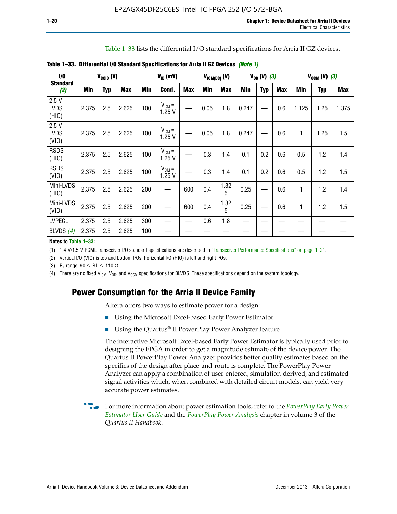Table 1–33 lists the differential I/O standard specifications for Arria II GZ devices.

| 1/0                          | $V_{\text{CCIO}}(V)$<br><b>Standard</b><br>Min<br><b>Typ</b><br>(2) |     | $V_{ID}$ (mV) |     |                     |            | $V_{ICM(DC)}$ (V) | $V_{0D} (V) (3)$ |       |            | $V_{OCM} (V) (3)$ |            |            |            |
|------------------------------|---------------------------------------------------------------------|-----|---------------|-----|---------------------|------------|-------------------|------------------|-------|------------|-------------------|------------|------------|------------|
|                              |                                                                     |     | <b>Max</b>    | Min | Cond.               | <b>Max</b> | <b>Min</b>        | <b>Max</b>       | Min   | <b>Typ</b> | Max               | <b>Min</b> | <b>Typ</b> | <b>Max</b> |
| 2.5V<br><b>LVDS</b><br>(HIO) | 2.375                                                               | 2.5 | 2.625         | 100 | $V_{CM} =$<br>1.25V |            | 0.05              | 1.8              | 0.247 |            | 0.6               | 1.125      | 1.25       | 1.375      |
| 2.5V<br><b>LVDS</b><br>(VIO) | 2.375                                                               | 2.5 | 2.625         | 100 | $V_{CM} =$<br>1.25V |            | 0.05              | 1.8              | 0.247 |            | 0.6               | 1          | 1.25       | 1.5        |
| <b>RSDS</b><br>(HIO)         | 2.375                                                               | 2.5 | 2.625         | 100 | $V_{CM} =$<br>1.25V |            | 0.3               | 1.4              | 0.1   | 0.2        | 0.6               | 0.5        | 1.2        | 1.4        |
| <b>RSDS</b><br>(VIO)         | 2.375                                                               | 2.5 | 2.625         | 100 | $V_{CM} =$<br>1.25V |            | 0.3               | 1.4              | 0.1   | 0.2        | 0.6               | 0.5        | 1.2        | 1.5        |
| Mini-LVDS<br>(HIO)           | 2.375                                                               | 2.5 | 2.625         | 200 |                     | 600        | 0.4               | 1.32<br>5        | 0.25  |            | 0.6               | 1          | 1.2        | 1.4        |
| Mini-LVDS<br>(VIO)           | 2.375                                                               | 2.5 | 2.625         | 200 |                     | 600        | 0.4               | 1.32<br>5        | 0.25  |            | 0.6               | 1          | 1.2        | 1.5        |
| <b>LVPECL</b>                | 2.375                                                               | 2.5 | 2.625         | 300 |                     |            | 0.6               | 1.8              |       |            |                   |            |            |            |
| BLVDS $(4)$                  | 2.375                                                               | 2.5 | 2.625         | 100 |                     |            |                   |                  |       |            |                   |            |            |            |

**Table 1–33. Differential I/O Standard Specifications for Arria II GZ Devices** *(Note 1)*

#### **Notes to Table 1–33***:*

(1) 1.4-V/1.5-V PCML transceiver I/O standard specifications are described in "Transceiver Performance Specifications" on page 1–21.

(2) Vertical I/O (VIO) is top and bottom I/Os; horizontal I/O (HIO) is left and right I/Os.

(3) R<sub>l</sub> range:  $90 \leq R L \leq 110 \Omega$ .

(4) There are no fixed  $V_{IGM}$ ,  $V_{OD}$ , and  $V_{OCM}$  specifications for BLVDS. These specifications depend on the system topology.

# **Power Consumption for the Arria II Device Family**

Altera offers two ways to estimate power for a design:

- Using the Microsoft Excel-based Early Power Estimator
- Using the Quartus<sup>®</sup> II PowerPlay Power Analyzer feature

The interactive Microsoft Excel-based Early Power Estimator is typically used prior to designing the FPGA in order to get a magnitude estimate of the device power. The Quartus II PowerPlay Power Analyzer provides better quality estimates based on the specifics of the design after place-and-route is complete. The PowerPlay Power Analyzer can apply a combination of user-entered, simulation-derived, and estimated signal activities which, when combined with detailed circuit models, can yield very accurate power estimates.

f For more information about power estimation tools, refer to the *[PowerPlay Early Power](http://www.altera.com/literature/ug/ug_epe.pdf?GSA_pos=5&WT.oss_r=1&WT.oss=powerplay early power estimator)  [Estimator User Guide](http://www.altera.com/literature/ug/ug_epe.pdf?GSA_pos=5&WT.oss_r=1&WT.oss=powerplay early power estimator)* and the *[PowerPlay Power Analysis](http://www.altera.com/literature/hb/qts/qts_qii53013.pdf)* chapter in volume 3 of the *Quartus II Handbook*.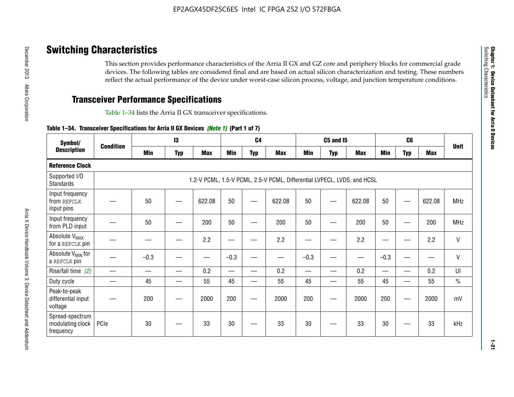# **Switching Characteristics**

This section provides performance characteristics of the Arria II GX and GZ core and periphery blocks for commercial grade devices. The following tables are considered final and are based on actual silicon characterization and testing. These numbers reflect the actual performance of the device under worst-case silicon process, voltage, and junction temperature conditions.

# **Transceiver Performance Specifications**

Table 1–34 lists the Arria II GX transceiver specifications.

## **Table 1–34. Transceiver Specifications for Arria II GX Devices** *(Note 1)* **(Part 1 of 7)**

| Symbol/                                          |                  |            | $\mathbf{13}$ |            |            | C <sub>4</sub>           |                                                                         |                          | <b>C5 and 15</b> |            |            | C <sub>6</sub>           |            |               |
|--------------------------------------------------|------------------|------------|---------------|------------|------------|--------------------------|-------------------------------------------------------------------------|--------------------------|------------------|------------|------------|--------------------------|------------|---------------|
| <b>Description</b>                               | <b>Condition</b> | <b>Min</b> | <b>Typ</b>    | <b>Max</b> | <b>Min</b> | <b>Typ</b>               | <b>Max</b>                                                              | <b>Min</b>               | <b>Typ</b>       | <b>Max</b> | <b>Min</b> | <b>Typ</b>               | <b>Max</b> | <b>Unit</b>   |
| <b>Reference Clock</b>                           |                  |            |               |            |            |                          |                                                                         |                          |                  |            |            |                          |            |               |
| Supported I/O<br><b>Standards</b>                |                  |            |               |            |            |                          | 1.2-V PCML, 1.5-V PCML, 2.5-V PCML, Differential LVPECL, LVDS, and HCSL |                          |                  |            |            |                          |            |               |
| Input frequency<br>from REFCLK<br>input pins     |                  | 50         |               | 622.08     | 50         |                          | 622.08                                                                  | 50                       | —                | 622.08     | 50         |                          | 622.08     | <b>MHz</b>    |
| Input frequency<br>from PLD input                |                  | 50         |               | 200        | 50         |                          | 200                                                                     | 50                       |                  | 200        | 50         |                          | 200        | MHz           |
| Absolute V <sub>MAX</sub><br>for a REFCLK pin    |                  |            |               | 2.2        |            |                          | 2.2                                                                     | —                        |                  | 2.2        |            |                          | 2.2        | $\mathsf{V}$  |
| Absolute V <sub>MIN</sub> for<br>a REFCLK pin    |                  | $-0.3$     |               |            | $-0.3$     |                          |                                                                         | $-0.3$                   | -                |            | $-0.3$     |                          | —          | $\mathsf{V}$  |
| Rise/fall time (2)                               |                  |            | —             | 0.2        | —          | —                        | 0.2                                                                     | $\overline{\phantom{0}}$ | —                | 0.2        | —          | $\overline{\phantom{0}}$ | 0.2        | UI            |
| Duty cycle                                       |                  | 45         |               | 55         | 45         | $\overline{\phantom{0}}$ | 55                                                                      | 45                       | —                | 55         | 45         |                          | 55         | $\frac{0}{0}$ |
| Peak-to-peak<br>differential input<br>voltage    |                  | 200        |               | 2000       | 200        |                          | 2000                                                                    | 200                      | —                | 2000       | 200        |                          | 2000       | mV            |
| Spread-spectrum<br>modulating clock<br>frequency | PCIe             | 30         |               | 33         | 30         |                          | 33                                                                      | 30                       |                  | 33         | 30         |                          | 33         | kHz           |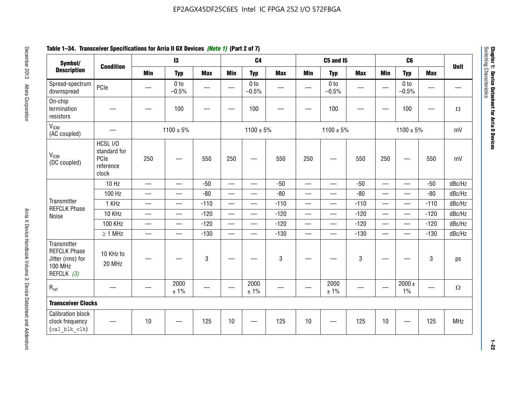# **Table 1–34. Transceiver Specifications for Arria II GX Devices** *(Note 1)* **(Part 2 of 7)**

| Symbol/                                                                                |                                                        | $\mathbf{13}$                 |                            |             | C <sub>4</sub>           |                            |            | C5 and I5                |                            |            |                          |                            |            |             |
|----------------------------------------------------------------------------------------|--------------------------------------------------------|-------------------------------|----------------------------|-------------|--------------------------|----------------------------|------------|--------------------------|----------------------------|------------|--------------------------|----------------------------|------------|-------------|
| <b>Description</b>                                                                     | <b>Condition</b>                                       | <b>Min</b>                    | <b>Typ</b>                 | <b>Max</b>  | <b>Min</b>               | <b>Typ</b>                 | <b>Max</b> | <b>Min</b>               | <b>Typ</b>                 | <b>Max</b> | <b>Min</b>               | <b>Typ</b>                 | <b>Max</b> | <b>Unit</b> |
| Spread-spectrum<br>downspread                                                          | PCIe                                                   |                               | 0 <sub>to</sub><br>$-0.5%$ |             |                          | 0 <sub>to</sub><br>$-0.5%$ |            |                          | 0 <sub>to</sub><br>$-0.5%$ |            |                          | 0 <sub>to</sub><br>$-0.5%$ |            |             |
| On-chip<br>termination<br>resistors                                                    |                                                        |                               | 100                        | —           |                          | 100                        |            |                          | 100                        |            |                          | 100                        | —          | $\Omega$    |
| V <sub>ICM</sub><br>(AC coupled)                                                       |                                                        |                               | $1100 \pm 5\%$             |             |                          | $1100 \pm 5\%$             |            |                          | $1100 \pm 5\%$             |            |                          | $1100 \pm 5\%$             |            | mV          |
| V <sub>ICM</sub><br>(DC coupled)                                                       | HCSL I/O<br>standard for<br>PCIe<br>reference<br>clock | 250                           |                            | 550         | 250                      | $\hspace{0.05cm}$          | 550        | 250                      | —                          | 550        | 250                      | —                          | 550        | mV          |
|                                                                                        | 10 Hz                                                  | $\overline{\phantom{0}}$      | $\overline{\phantom{0}}$   | $-50$       | $\equiv$                 |                            | $-50$      | $\overline{\phantom{0}}$ | $\equiv$                   | $-50$      | $\overline{\phantom{0}}$ |                            | $-50$      | dBc/Hz      |
|                                                                                        | 100 Hz                                                 | $\overline{\phantom{0}}$      | $\overline{\phantom{0}}$   | $-80$       | $\overline{\phantom{0}}$ | $\overline{\phantom{0}}$   | $-80$      | $\overline{\phantom{0}}$ |                            | $-80$      | $\overline{\phantom{0}}$ | $\overline{\phantom{0}}$   | $-80$      | dBc/Hz      |
| Transmitter<br><b>REFCLK Phase</b>                                                     | 1 KHz                                                  | —                             | $\overline{\phantom{0}}$   | $-110$      |                          | $\hspace{0.05cm}$          | $-110$     | $\overline{\phantom{0}}$ | $\qquad \qquad \qquad$     | $-110$     |                          | $\overline{\phantom{0}}$   | $-110$     | dBc/Hz      |
| Noise                                                                                  | 10 KHz                                                 | $\overbrace{\phantom{aaaaa}}$ | $\overline{\phantom{0}}$   | $-120$      | $\overline{\phantom{m}}$ |                            | $-120$     | $\overline{\phantom{0}}$ |                            | $-120$     |                          |                            | $-120$     | dBc/Hz      |
|                                                                                        | <b>100 KHz</b>                                         | $\overline{\phantom{0}}$      | $\equiv$                   | $-120$      |                          | $\equiv$                   | $-120$     | $\overline{\phantom{0}}$ | $\overline{\phantom{0}}$   | $-120$     | $\equiv$                 | $\overline{\phantom{0}}$   | $-120$     | dBc/Hz      |
|                                                                                        | $\geq 1$ MHz                                           | $\overline{\phantom{0}}$      | $\overline{\phantom{0}}$   | $-130$      |                          | $\overline{\phantom{m}}$   | $-130$     | $\overline{\phantom{0}}$ | $\qquad \qquad$            | $-130$     | $\overline{\phantom{0}}$ | $\equiv$                   | $-130$     | dBc/Hz      |
| Transmitter<br><b>REFCLK Phase</b><br>Jitter (rms) for<br><b>100 MHz</b><br>REFCLK (3) | 10 KHz to<br>20 MHz                                    |                               |                            | $\mathbf 3$ |                          |                            | 3          |                          |                            | 3          |                          |                            | 3          | ps          |
| $R_{ref}$                                                                              |                                                        |                               | 2000<br>± 1%               |             | $\hspace{0.05cm}$        | 2000<br>± 1%               |            |                          | 2000<br>± 1%               |            |                          | $2000 \pm$<br>$1\%$        |            | $\Omega$    |
| <b>Transceiver Clocks</b>                                                              |                                                        |                               |                            |             |                          |                            |            |                          |                            |            |                          |                            |            |             |
| <b>Calibration block</b><br>clock frequency<br>(cal blk clk)                           |                                                        | 10                            |                            | 125         | 10                       |                            | 125        | 10                       |                            | 125        | 10                       |                            | 125        | <b>MHz</b>  |

December 2013 Altera Corporation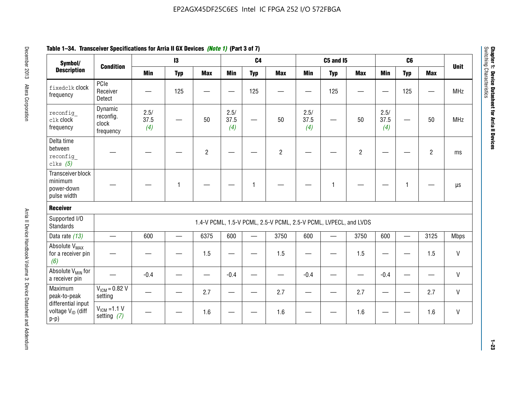| Symbol/                                                       |                                            |                     | $\mathbf{13}$ |                |                     | C <sub>4</sub>           |                                                                  |                     | <b>C5 and 15</b>         |                |                          | C <sub>6</sub>  |                |              |
|---------------------------------------------------------------|--------------------------------------------|---------------------|---------------|----------------|---------------------|--------------------------|------------------------------------------------------------------|---------------------|--------------------------|----------------|--------------------------|-----------------|----------------|--------------|
| <b>Description</b>                                            | <b>Condition</b>                           | <b>Min</b>          | <b>Typ</b>    | <b>Max</b>     | Min                 | <b>Typ</b>               | <b>Max</b>                                                       | <b>Min</b>          | <b>Typ</b>               | <b>Max</b>     | <b>Min</b>               | <b>Typ</b>      | <b>Max</b>     | <b>Unit</b>  |
| fixedclk Clock<br>frequency                                   | PCIe<br>Receiver<br>Detect                 |                     | 125           |                |                     | 125                      |                                                                  |                     | 125                      |                | $\frac{1}{2}$            | 125             |                | <b>MHz</b>   |
| reconfig<br>clk clock<br>frequency                            | Dynamic<br>reconfig.<br>clock<br>frequency | 2.5/<br>37.5<br>(4) |               | 50             | 2.5/<br>37.5<br>(4) |                          | 50                                                               | 2.5/<br>37.5<br>(4) |                          | 50             | 2.5/<br>37.5<br>(4)      |                 | 50             | <b>MHz</b>   |
| Delta time<br>between<br>reconfig<br>clks $(5)$               |                                            |                     |               | $\overline{2}$ |                     |                          | $\overline{2}$                                                   |                     |                          | $\overline{c}$ |                          |                 | $\overline{2}$ | ms           |
| Transceiver block<br>minimum<br>power-down<br>pulse width     |                                            |                     | $\mathbf{1}$  |                |                     | 1                        |                                                                  |                     | 1                        |                |                          | $\mathbf{1}$    |                | $\mu s$      |
| <b>Receiver</b>                                               |                                            |                     |               |                |                     |                          |                                                                  |                     |                          |                |                          |                 |                |              |
| Supported I/O<br><b>Standards</b>                             |                                            |                     |               |                |                     |                          | 1.4-V PCML, 1.5-V PCML, 2.5-V PCML, 2.5-V PCML, LVPECL, and LVDS |                     |                          |                |                          |                 |                |              |
| Data rate (13)                                                | $\overline{\phantom{0}}$                   | 600                 | $\equiv$      | 6375           | 600                 | $\overline{\phantom{0}}$ | 3750                                                             | 600                 | $\overline{\phantom{0}}$ | 3750           | 600                      | $\qquad \qquad$ | 3125           | <b>Mbps</b>  |
| Absolute V <sub>MAX</sub><br>for a receiver pin<br>(6)        |                                            |                     |               | 1.5            |                     |                          | 1.5                                                              |                     |                          | 1.5            |                          |                 | 1.5            | $\mathsf{V}$ |
| Absolute V <sub>MIN</sub> for<br>a receiver pin               |                                            | $-0.4$              |               |                | $-0.4$              |                          |                                                                  | $-0.4$              |                          |                | $-0.4$                   |                 |                | V            |
| Maximum<br>peak-to-peak                                       | $V_{IGM} = 0.82 V$<br>setting              |                     |               | 2.7            |                     |                          | 2.7                                                              |                     |                          | 2.7            | $\overline{\phantom{m}}$ | —               | 2.7            | V            |
| differential input<br>voltage V <sub>ID</sub> (diff<br>$p-p)$ | $V_{IGM} = 1.1 V$<br>setting $(7)$         |                     |               | 1.6            |                     |                          | 1.6                                                              |                     |                          | 1.6            |                          |                 | 1.6            | V            |

# **Table 1–34. Transceiver Specifications for Arria II GX Devices** *(Note 1)* **(Part 3 of 7)**

**Chapter 1: Device Datasheet for Arria II Devices**

Chapter 1: Device Datasheet for Arria II Devices<br>Switching Characteristics

Switching Characteristics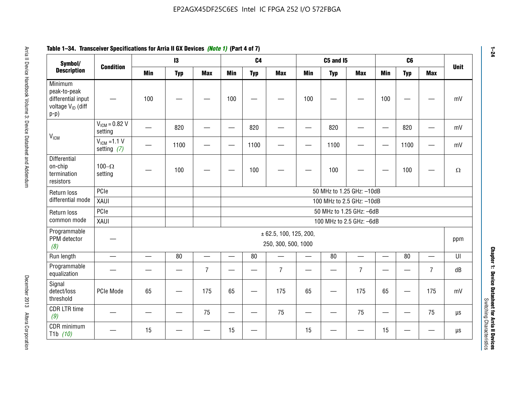| Symbol/                                                                                  | <b>Condition</b>                  |                           | 13         |                          |                          | C <sub>4</sub>           |                                               |            | <b>C5 and I5</b> |                           |                          | C6              |                | <b>Unit</b> |
|------------------------------------------------------------------------------------------|-----------------------------------|---------------------------|------------|--------------------------|--------------------------|--------------------------|-----------------------------------------------|------------|------------------|---------------------------|--------------------------|-----------------|----------------|-------------|
| <b>Description</b>                                                                       |                                   | <b>Min</b>                | <b>Typ</b> | <b>Max</b>               | <b>Min</b>               | <b>Typ</b>               | <b>Max</b>                                    | <b>Min</b> | <b>Typ</b>       | <b>Max</b>                | Min                      | <b>Typ</b>      | <b>Max</b>     |             |
| Minimum<br>peak-to-peak<br>differential input<br>voltage V <sub>ID</sub> (diff<br>$p-p)$ |                                   | 100                       |            |                          | 100                      |                          |                                               | 100        |                  |                           | 100                      |                 |                |             |
| V <sub>ICM</sub>                                                                         | $V_{IGM} = 0.82 V$<br>setting     |                           | 820        |                          |                          | 820                      |                                               |            | 820              |                           | $\overline{\phantom{0}}$ | 820             |                |             |
|                                                                                          | $V_{ICM}$ =1.1 V<br>setting $(7)$ |                           | 1100       |                          | —                        | 1100                     |                                               |            | 1100             |                           | $\overline{\phantom{m}}$ | 1100            |                |             |
| Differential<br>on-chip<br>termination<br>resistors                                      | 100 $-\Omega$<br>setting          |                           | 100        |                          |                          | 100                      |                                               |            | 100              |                           |                          | 100             |                |             |
| PCle<br>Return loss                                                                      |                                   |                           |            |                          |                          |                          |                                               |            |                  | 50 MHz to 1.25 GHz: -10dB |                          |                 |                |             |
| differential mode                                                                        | XAUI                              | 100 MHz to 2.5 GHz: -10dB |            |                          |                          |                          |                                               |            |                  |                           |                          |                 |                |             |
| Return loss                                                                              | PCIe                              |                           |            |                          |                          |                          |                                               |            |                  | 50 MHz to 1.25 GHz: -6dB  |                          |                 |                |             |
| common mode                                                                              | XAUI                              |                           |            |                          |                          |                          |                                               |            |                  | 100 MHz to 2.5 GHz: -6dB  |                          |                 |                |             |
| Programmable<br>PPM detector<br>(8)                                                      |                                   |                           |            |                          |                          |                          | ± 62.5, 100, 125, 200,<br>250, 300, 500, 1000 |            |                  |                           |                          |                 |                | ppm         |
| Run length                                                                               | $\equiv$                          | $\overline{\phantom{0}}$  | 80         | $\overline{\phantom{0}}$ | —                        | 80                       |                                               | $\equiv$   | 80               | $\overline{\phantom{0}}$  | $\qquad \qquad$          | 80              |                |             |
| Programmable<br>equalization                                                             |                                   |                           |            | $\overline{7}$           |                          |                          | $\overline{7}$                                |            |                  | $\overline{7}$            |                          |                 | $\overline{7}$ |             |
| Signal<br>detect/loss<br>threshold                                                       | PCIe Mode                         | 65                        | —          | 175                      | 65                       | $\overline{\phantom{0}}$ | 175                                           | 65         | —                | 175                       | 65                       |                 | 175            |             |
| <b>CDR LTR time</b><br>(9)                                                               |                                   |                           |            | 75                       | $\overline{\phantom{0}}$ | —                        | 75                                            | —          |                  | 75                        | $\qquad \qquad$          | $\qquad \qquad$ | 75             |             |
| CDR minimum<br>T <sub>1</sub> b $(10)$                                                   |                                   | 15                        |            |                          | 15                       |                          |                                               | 15         |                  |                           | 15                       |                 |                |             |

# **Table 1–34. Transceiver Specifications for Arria II GX Devices** *(Note 1)* **(Part 4 of 7)**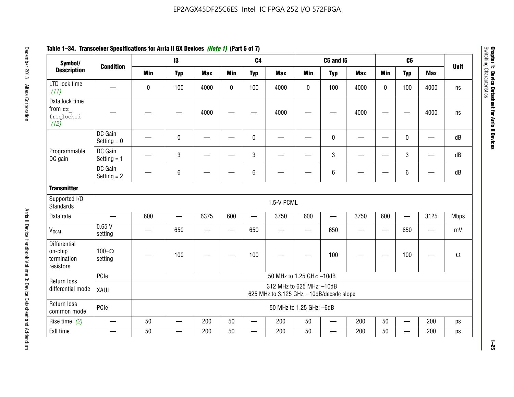| Symbol/                                                    |                          |                                                                       | $\mathbf{13}$            |            |              | C <sub>4</sub>           |                           |            | <b>C5 and I5</b> |            |                          | C6                       |                          |                         |
|------------------------------------------------------------|--------------------------|-----------------------------------------------------------------------|--------------------------|------------|--------------|--------------------------|---------------------------|------------|------------------|------------|--------------------------|--------------------------|--------------------------|-------------------------|
| <b>Description</b>                                         | <b>Condition</b>         | <b>Min</b>                                                            | <b>Typ</b>               | <b>Max</b> | <b>Min</b>   | <b>Typ</b>               | <b>Max</b>                | <b>Min</b> | <b>Typ</b>       | <b>Max</b> | <b>Min</b>               | <b>Typ</b>               | <b>Max</b>               | <b>Unit</b>             |
| LTD lock time<br>(11)                                      |                          | $\bf{0}$                                                              | 100                      | 4000       | $\mathbf{0}$ | 100                      | 4000                      | 0          | 100              | 4000       | $\Omega$                 | 100                      | 4000                     | ns                      |
| Data lock time<br>from rx<br>freqlocked<br>(12)            |                          |                                                                       |                          | 4000       |              |                          | 4000                      |            |                  | 4000       |                          |                          | 4000                     | $\operatorname{\sf ns}$ |
|                                                            | DC Gain<br>Setting $= 0$ |                                                                       | $\mathbf 0$              |            |              | $\mathbf 0$              |                           |            | $\mathbf 0$      |            | $\overline{\phantom{0}}$ | $\mathbf 0$              | —                        | dB                      |
| Programmable<br>DC gain                                    | DC Gain<br>Setting $= 1$ |                                                                       | $\sqrt{3}$               |            |              | $\mathbf 3$              |                           |            | $\sqrt{3}$       |            |                          | 3                        | $\overline{\phantom{0}}$ | dB                      |
|                                                            | DC Gain<br>Setting $= 2$ |                                                                       | 6                        |            |              | $\,6\,$                  |                           |            | $\,6\,$          |            |                          | 6                        |                          | dB                      |
| <b>Transmitter</b>                                         |                          |                                                                       |                          |            |              |                          |                           |            |                  |            |                          |                          |                          |                         |
| Supported I/O<br><b>Standards</b>                          |                          |                                                                       |                          |            |              |                          | 1.5-V PCML                |            |                  |            |                          |                          |                          |                         |
| Data rate                                                  | $\overline{\phantom{0}}$ | 600                                                                   |                          | 6375       | 600          |                          | 3750                      | 600        |                  | 3750       | 600                      | $\overline{\phantom{0}}$ | 3125                     | <b>Mbps</b>             |
| V <sub>OCM</sub>                                           | 0.65V<br>setting         |                                                                       | 650                      | –          |              | 650                      |                           | —          | 650              |            |                          | 650                      | —                        | mV                      |
| <b>Differential</b><br>on-chip<br>termination<br>resistors | 100 $-\Omega$<br>setting |                                                                       | 100                      |            |              | 100                      |                           |            | 100              |            |                          | 100                      |                          | $\Omega$                |
| Return loss                                                | PCIe                     |                                                                       |                          |            |              |                          | 50 MHz to 1.25 GHz: -10dB |            |                  |            |                          |                          |                          |                         |
| differential mode                                          | XAUI                     | 312 MHz to 625 MHz: -10dB<br>625 MHz to 3.125 GHz: -10dB/decade slope |                          |            |              |                          |                           |            |                  |            |                          |                          |                          |                         |
| Return loss<br>common mode                                 | PCle                     | 50 MHz to 1.25 GHz: -6dB                                              |                          |            |              |                          |                           |            |                  |            |                          |                          |                          |                         |
| Rise time $(2)$                                            | $\overline{\phantom{0}}$ | 50                                                                    | $\overline{\phantom{0}}$ | 200        | 50           | $\overline{\phantom{0}}$ | 200                       | 50         |                  | 200        | 50                       | $\overline{\phantom{0}}$ | 200                      | ps                      |
| Fall time                                                  | —                        | 50                                                                    |                          | 200        | 50           | $\overline{\phantom{0}}$ | 200                       | 50         | —                | 200        | 50                       | $\overline{\phantom{0}}$ | 200                      | ps                      |

# **Table 1–34. Transceiver Specifications for Arria II GX Devices** *(Note 1)* **(Part 5 of 7)**

**Chapter 1: Device Datasheet for Arria II Devices**

Chapter 1: Device Datasheet for Arria II Devices<br>Switching Characteristics

Switching Characteristics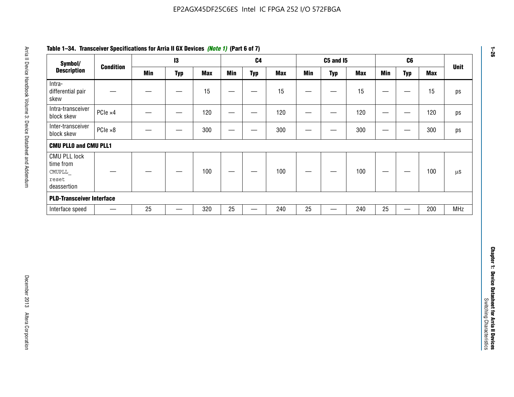| Symbol/                                                            |                  |            | $\mathbf{I}3$     |            |                          | C <sub>4</sub>    |            |                   | <b>C5 and 15</b>                 |            |                                   | C6                               |            | <b>Unit</b>   |
|--------------------------------------------------------------------|------------------|------------|-------------------|------------|--------------------------|-------------------|------------|-------------------|----------------------------------|------------|-----------------------------------|----------------------------------|------------|---------------|
| <b>Description</b>                                                 | <b>Condition</b> | <b>Min</b> | <b>Typ</b>        | <b>Max</b> | <b>Min</b>               | <b>Typ</b>        | <b>Max</b> | <b>Min</b>        | <b>Typ</b>                       | <b>Max</b> | <b>Min</b>                        | <b>Typ</b>                       | <b>Max</b> |               |
| Intra-<br>differential pair<br>skew                                |                  |            |                   | 15         |                          | —                 | 15         | $\qquad \qquad$   | $\qquad \qquad$                  | 15         | $\overbrace{\phantom{123221111}}$ | $\overline{\phantom{m}}$         | 15         |               |
| Intra-transceiver<br>block skew                                    | PCIe ×4          |            | $\hspace{0.05cm}$ | 120        | $\hspace{0.05cm}$        | $\hspace{0.05cm}$ | 120        | $\hspace{0.05cm}$ | $\hspace{0.05cm}$                | 120        |                                   | $\hspace{0.05cm}$                | 120        |               |
| Inter-transceiver<br>block skew                                    | $PCle \times 8$  |            | -                 | 300        |                          | -                 | 300        |                   | -                                | 300        | —                                 | —                                | 300        |               |
| <b>CMU PLLO and CMU PLL1</b>                                       |                  |            |                   |            |                          |                   |            |                   |                                  |            |                                   |                                  |            |               |
| <b>CMU PLL lock</b><br>time from<br>CMUPLL<br>reset<br>deassertion |                  |            |                   | 100        | $\overline{\phantom{m}}$ |                   | 100        |                   |                                  | 100        |                                   | $\overbrace{\phantom{12322111}}$ | 100        | $\mu\text{S}$ |
| <b>PLD-Transceiver Interface</b>                                   |                  |            |                   |            |                          |                   |            |                   |                                  |            |                                   |                                  |            |               |
| Interface speed                                                    |                  | 25         | $\qquad \qquad -$ | 320        | 25                       |                   | 240        | 25                | $\overbrace{\phantom{12322111}}$ | 240        | 25                                | $\overline{\phantom{0}}$         | 200        | <b>MHz</b>    |
|                                                                    |                  |            |                   |            |                          |                   |            |                   |                                  |            |                                   |                                  |            |               |
|                                                                    |                  |            |                   |            |                          |                   |            |                   |                                  |            |                                   |                                  |            |               |
|                                                                    |                  |            |                   |            |                          |                   |            |                   |                                  |            |                                   |                                  |            |               |

# **Table 1–34. Transceiver Specifications for Arria II GX Devices** *(Note 1)* **(Part 6 of 7)**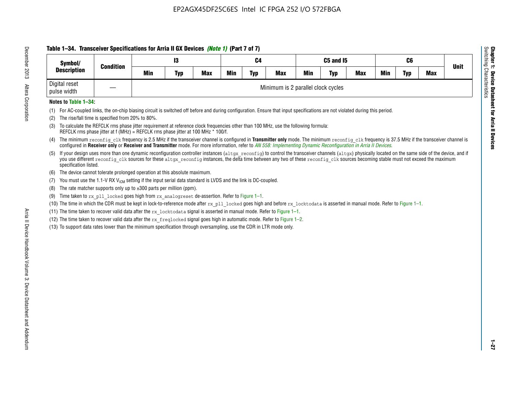# **Table 1–34. Transceiver Specifications for Arria II GX Devices** *(Note 1)* **(Part 7 of 7)**

| Symbol/<br><b>Description</b> | <b>Condition</b>  |            | 13         |            | C4  |            |                                    | C5 and I5  |            |            | C <sub>6</sub> |            |            | <b>Unit</b> |
|-------------------------------|-------------------|------------|------------|------------|-----|------------|------------------------------------|------------|------------|------------|----------------|------------|------------|-------------|
|                               |                   | <b>Min</b> | <b>Typ</b> | <b>Max</b> | Min | <b>Typ</b> | <b>Max</b>                         | <b>Min</b> | <b>Typ</b> | <b>Max</b> | Min            | <b>Typ</b> | <b>Max</b> |             |
| Digital reset<br>pulse width  | $\hspace{0.05cm}$ |            |            |            |     |            | Minimum is 2 parallel clock cycles |            |            |            |                |            |            |             |

## **Notes to Table 1–34:**

- (1) For AC-coupled links, the on-chip biasing circuit is switched off before and during configuration. Ensure that input specifications are not violated during this period.
- (2) The rise/fall time is specified from 20% to 80%.
- (3) To calculate the REFCLK rms phase jitter requirement at reference clock frequencies other than 100 MHz, use the following formula: REFCLK rms phase jitter at f (MHz) = REFCLK rms phase jitter at 100 MHz \* 100/f.
- (4) The minimum reconfig clk frequency is 2.5 MHz if the transceiver channel is configured in **Transmitter only** mode. The minimum reconfig clk frequency is 37.5 MHz if the transceiver channel is configured in **Receiver only** or **Receiver and Transmitter** mode. For more information, refer to *AN [558: Implementing Dynamic Reconfiguration in Arria II Devices](www.altera.com/literature/hb/arria-ii-gx/an558.pdf)*.
- (5) If your design uses more than one dynamic reconfiguration controller instances (altgx reconfig) to control the transceiver channels (altgx) physically located on the same side of the device, and if you use different reconfig clk sources for these altgx reconfig instances, the delta time between any two of these reconfig clk sources becoming stable must not exceed the maximum specification listed.
- (6) The device cannot tolerate prolonged operation at this absolute maximum.
- (7) You must use the 1.1-V RX  $V_{ICM}$  setting if the input serial data standard is LVDS and the link is DC-coupled.
- (8) The rate matcher supports only up to  $\pm 300$  parts per million (ppm).
- (9) Time taken to rx\_pll\_locked goes high from rx\_analogreset de-assertion. Refer to Figure 1–1.
- (10) The time in which the CDR must be kept in lock-to-reference mode after rx pll locked goes high and before rx locktodata is asserted in manual mode. Refer to Figure 1-1.
- (11) The time taken to recover valid data after the  $rx$  locktodata signal is asserted in manual mode. Refer to Figure 1–1.
- (12) The time taken to recover valid data after the  $rx$  freqlocked signal goes high in automatic mode. Refer to Figure 1–2.
- (13) To support data rates lower than the minimum specification through oversampling, use the CDR in LTR mode only.

**Chapter 1: Device Datasheet for Arria II Devices**

**Device Datasheet for Arria II Devices** 

Switching Characteristics

Chapter 1: Device Datas<br>Switching Characteristics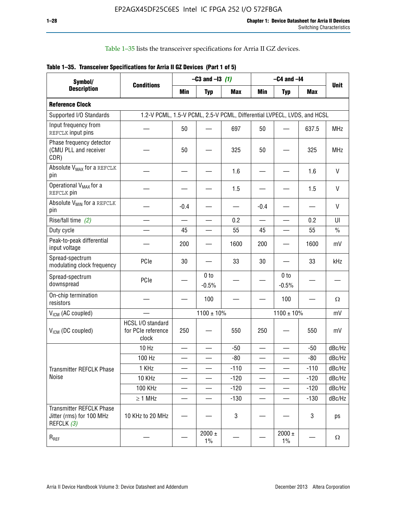Table 1–35 lists the transceiver specifications for Arria II GZ devices.

|  | Table 1-35. Transceiver Specifications for Arria II GZ Devices (Part 1 of 5) |  |
|--|------------------------------------------------------------------------------|--|
|  |                                                                              |  |

| Symbol/                                                                   |                                                                         |                          | $-C3$ and $-13$ (1)        |            |                          | $-C4$ and $-I4$            |            |               |
|---------------------------------------------------------------------------|-------------------------------------------------------------------------|--------------------------|----------------------------|------------|--------------------------|----------------------------|------------|---------------|
| <b>Description</b>                                                        | <b>Conditions</b>                                                       | Min                      | <b>Typ</b>                 | <b>Max</b> | <b>Min</b>               | <b>Typ</b>                 | <b>Max</b> | <b>Unit</b>   |
| <b>Reference Clock</b>                                                    |                                                                         |                          |                            |            |                          |                            |            |               |
| Supported I/O Standards                                                   | 1.2-V PCML, 1.5-V PCML, 2.5-V PCML, Differential LVPECL, LVDS, and HCSL |                          |                            |            |                          |                            |            |               |
| Input frequency from<br>REFCLK input pins                                 |                                                                         | 50                       |                            | 697        | 50                       |                            | 637.5      | <b>MHz</b>    |
| Phase frequency detector<br>(CMU PLL and receiver<br>CDR)                 |                                                                         | 50                       |                            | 325        | 50                       |                            | 325        | <b>MHz</b>    |
| Absolute V <sub>MAX</sub> for a REFCLK<br>pin                             |                                                                         |                          |                            | 1.6        |                          |                            | 1.6        | V             |
| Operational V <sub>MAX</sub> for a<br>REFCLK pin                          |                                                                         |                          |                            | 1.5        |                          |                            | 1.5        | V             |
| Absolute V <sub>MIN</sub> for a REFCLK<br>pin                             |                                                                         | $-0.4$                   |                            |            | $-0.4$                   |                            |            | V             |
| Rise/fall time (2)                                                        |                                                                         | $\equiv$                 | $\overline{\phantom{0}}$   | 0.2        | $\overline{\phantom{0}}$ | $\overline{\phantom{0}}$   | 0.2        | UI            |
| Duty cycle                                                                |                                                                         | 45                       |                            | 55         | 45                       |                            | 55         | $\frac{0}{0}$ |
| Peak-to-peak differential<br>input voltage                                |                                                                         | 200                      |                            | 1600       | 200                      |                            | 1600       | mV            |
| Spread-spectrum<br>modulating clock frequency                             | PCIe                                                                    | 30                       |                            | 33         | 30                       |                            | 33         | kHz           |
| Spread-spectrum<br>downspread                                             | PCIe                                                                    |                          | 0 <sub>to</sub><br>$-0.5%$ |            |                          | 0 <sub>to</sub><br>$-0.5%$ |            |               |
| On-chip termination<br>resistors                                          |                                                                         |                          | 100                        |            |                          | 100                        |            | Ω             |
| $V_{IGM}$ (AC coupled)                                                    |                                                                         |                          | $1100 \pm 10\%$            |            |                          | $1100 \pm 10\%$            |            | mV            |
| V <sub>ICM</sub> (DC coupled)                                             | HCSL I/O standard<br>for PCIe reference<br>clock                        | 250                      |                            | 550        | 250                      |                            | 550        | mV            |
|                                                                           | 10 Hz                                                                   | $\overline{\phantom{0}}$ |                            | $-50$      | $\overline{\phantom{0}}$ |                            | $-50$      | dBc/Hz        |
|                                                                           | 100 Hz                                                                  |                          |                            | $-80$      |                          |                            | $-80$      | dBc/Hz        |
| Transmitter REFCLK Phase                                                  | 1 KHz                                                                   | —                        | —                          | $-110$     | $\overline{\phantom{0}}$ | $\overline{\phantom{0}}$   | $-110$     | dBc/Hz        |
| Noise                                                                     | 10 KHz                                                                  |                          |                            | $-120$     |                          |                            | $-120$     | dBc/Hz        |
|                                                                           | <b>100 KHz</b>                                                          |                          |                            | $-120$     | $\overline{\phantom{0}}$ | —                          | $-120$     | dBc/Hz        |
|                                                                           | $\geq 1$ MHz                                                            |                          | $\overline{\phantom{0}}$   | $-130$     | $\overline{\phantom{0}}$ | —                          | $-130$     | dBc/Hz        |
| <b>Transmitter REFCLK Phase</b><br>Jitter (rms) for 100 MHz<br>REFCLK (3) | 10 KHz to 20 MHz                                                        |                          |                            | 3          |                          |                            | 3          | ps            |
| $R_{\tiny\mbox{REF}}$                                                     |                                                                         |                          | $2000 \pm$<br>$1\%$        |            |                          | 2000 $\pm$<br>$1\%$        |            | $\Omega$      |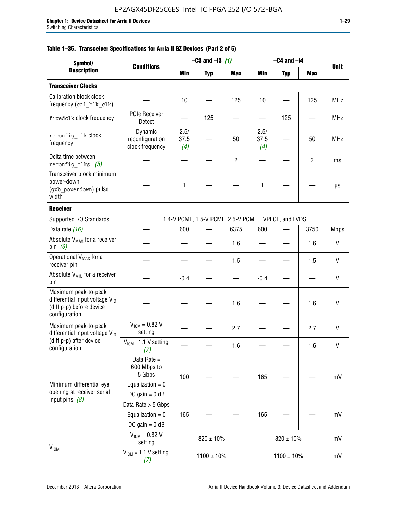|  |  | Table 1–35. Transceiver Specifications for Arria II GZ Devices (Part 2 of 5) |  |  |  |
|--|--|------------------------------------------------------------------------------|--|--|--|
|--|--|------------------------------------------------------------------------------|--|--|--|

| Symbol/<br><b>Description</b>                                                                                   |                                                                                |                     | $-C3$ and $-13$ (1) |                                                      |                     | $-C4$ and $-I4$ |                |              |
|-----------------------------------------------------------------------------------------------------------------|--------------------------------------------------------------------------------|---------------------|---------------------|------------------------------------------------------|---------------------|-----------------|----------------|--------------|
|                                                                                                                 | <b>Conditions</b>                                                              | Min                 | <b>Typ</b>          | <b>Max</b>                                           | Min                 | <b>Typ</b>      | <b>Max</b>     | <b>Unit</b>  |
| <b>Transceiver Clocks</b>                                                                                       |                                                                                |                     |                     |                                                      |                     |                 |                |              |
| <b>Calibration block clock</b><br>frequency (cal blk clk)                                                       |                                                                                | 10                  |                     | 125                                                  | 10                  |                 | 125            | <b>MHz</b>   |
| fixedclk clock frequency                                                                                        | <b>PCIe Receiver</b><br>Detect                                                 |                     | 125                 |                                                      |                     | 125             |                | MHz          |
| reconfig clk Clock<br>frequency                                                                                 | Dynamic<br>reconfiguration<br>clock frequency                                  | 2.5/<br>37.5<br>(4) |                     | 50                                                   | 2.5/<br>37.5<br>(4) |                 | 50             | <b>MHz</b>   |
| Delta time between<br>reconfig clks $(5)$                                                                       |                                                                                |                     |                     | $\overline{2}$                                       |                     |                 | $\overline{2}$ | ms           |
| Transceiver block minimum<br>power-down<br>(gxb powerdown) pulse<br>width                                       |                                                                                | 1                   |                     |                                                      | 1                   |                 |                | μs           |
| <b>Receiver</b>                                                                                                 |                                                                                |                     |                     |                                                      |                     |                 |                |              |
| Supported I/O Standards                                                                                         |                                                                                |                     |                     | 1.4-V PCML, 1.5-V PCML, 2.5-V PCML, LVPECL, and LVDS |                     |                 |                |              |
| Data rate (16)                                                                                                  |                                                                                | 600                 |                     | 6375                                                 | 600                 |                 | 3750           | <b>Mbps</b>  |
| Absolute V <sub>MAX</sub> for a receiver<br>pin $(6)$                                                           |                                                                                |                     |                     | 1.6                                                  |                     |                 | 1.6            | V            |
| Operational V <sub>MAX</sub> for a<br>receiver pin                                                              |                                                                                |                     |                     | 1.5                                                  |                     |                 | 1.5            | $\mathsf{V}$ |
| Absolute V <sub>MIN</sub> for a receiver<br>pin                                                                 |                                                                                | $-0.4$              |                     |                                                      | $-0.4$              |                 |                | V            |
| Maximum peak-to-peak<br>differential input voltage $V_{\text{ID}}$<br>(diff p-p) before device<br>configuration |                                                                                |                     |                     | 1.6                                                  |                     |                 | 1.6            | $\mathsf{V}$ |
| Maximum peak-to-peak<br>differential input voltage $V_{ID}$                                                     | $V_{ICM} = 0.82 V$<br>setting                                                  |                     |                     | 2.7                                                  |                     |                 | 2.7            | $\mathsf{V}$ |
| (diff p-p) after device<br>configuration                                                                        | $V_{ICM}$ =1.1 V setting<br>(7)                                                |                     |                     | 1.6                                                  |                     |                 | 1.6            | V            |
| Minimum differential eye<br>opening at receiver serial                                                          | Data Rate =<br>600 Mbps to<br>5 Gbps<br>Equalization = $0$<br>DC gain = $0$ dB | 100                 |                     |                                                      | 165                 |                 |                | mV           |
| input pins $(8)$                                                                                                | Data Rate > 5 Gbps<br>Equalization = $0$<br>DC gain = $0$ dB                   | 165                 |                     |                                                      | 165                 |                 |                | mV           |
| <b>V<sub>ICM</sub></b>                                                                                          | $V_{ICM} = 0.82 V$<br>setting                                                  |                     | $820 \pm 10\%$      |                                                      |                     | $820 \pm 10\%$  |                | mV           |
|                                                                                                                 | $V_{IGM} = 1.1 V$ setting<br>(7)                                               |                     | $1100 \pm 10\%$     |                                                      |                     | $1100 \pm 10\%$ |                | mV           |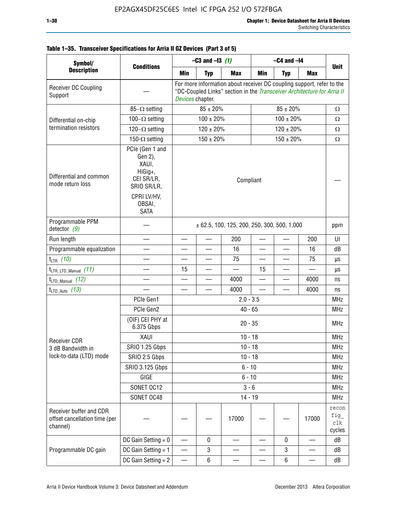| Symbol/<br><b>Description</b>                                        |                                                                                                                     |                          | $-C3$ and $-13$ (1) |                                                                                                                                                  |     | $-C4$ and $-I4$          |            |                                |
|----------------------------------------------------------------------|---------------------------------------------------------------------------------------------------------------------|--------------------------|---------------------|--------------------------------------------------------------------------------------------------------------------------------------------------|-----|--------------------------|------------|--------------------------------|
|                                                                      | <b>Conditions</b>                                                                                                   | <b>Min</b>               | <b>Typ</b>          | <b>Max</b>                                                                                                                                       | Min | <b>Typ</b>               | <b>Max</b> | <b>Unit</b>                    |
| Receiver DC Coupling<br>Support                                      |                                                                                                                     | Devices chapter.         |                     | For more information about receiver DC coupling support, refer to the<br>"DC-Coupled Links" section in the Transceiver Architecture for Arria II |     |                          |            |                                |
|                                                                      | $85-\Omega$ setting                                                                                                 |                          | $85 \pm 20\%$       |                                                                                                                                                  |     | $85 \pm 20\%$            |            | $\Omega$                       |
| Differential on-chip                                                 | $100-\Omega$ setting                                                                                                |                          | $100 \pm 20\%$      |                                                                                                                                                  |     | $100 \pm 20\%$           |            | $\Omega$                       |
| termination resistors                                                | $120-\Omega$ setting                                                                                                |                          | $120 \pm 20\%$      |                                                                                                                                                  |     | $120 \pm 20\%$           |            | $\Omega$                       |
|                                                                      | 150- $\Omega$ setting                                                                                               |                          | $150 \pm 20\%$      |                                                                                                                                                  |     | $150 \pm 20\%$           |            | $\Omega$                       |
| Differential and common<br>mode return loss                          | PCIe (Gen 1 and<br>Gen 2),<br>XAUI,<br>HiGig+,<br>CEI SR/LR,<br>SRIO SR/LR,<br>CPRI LV/HV,<br>OBSAI,<br><b>SATA</b> |                          |                     | Compliant                                                                                                                                        |     |                          |            |                                |
| Programmable PPM<br>detector $(9)$                                   |                                                                                                                     |                          |                     | $\pm$ 62.5, 100, 125, 200, 250, 300, 500, 1,000                                                                                                  |     |                          |            | ppm                            |
| Run length                                                           |                                                                                                                     |                          |                     | 200                                                                                                                                              |     |                          | 200        | UI                             |
| Programmable equalization                                            |                                                                                                                     |                          |                     | 16                                                                                                                                               |     |                          | 16         | dB                             |
| $t_{LTR}$ (10)                                                       |                                                                                                                     |                          |                     | 75                                                                                                                                               |     | $\overline{\phantom{a}}$ | 75         | μs                             |
| $t_{\text{LTR\_LTD\_Manual}}$ (11)                                   |                                                                                                                     | 15                       |                     |                                                                                                                                                  | 15  |                          |            | μs                             |
| $t_{LTD\_Manual}$ (12)                                               |                                                                                                                     |                          |                     | 4000                                                                                                                                             |     | $\overline{\phantom{0}}$ | 4000       | ns                             |
| $t_{LTD\_Auto}$ (13)                                                 |                                                                                                                     |                          |                     | 4000                                                                                                                                             |     |                          | 4000       | ns                             |
|                                                                      | PCIe Gen1                                                                                                           |                          |                     | $2.0 - 3.5$                                                                                                                                      |     |                          |            | <b>MHz</b>                     |
|                                                                      | PCIe Gen2                                                                                                           |                          |                     | $40 - 65$                                                                                                                                        |     |                          |            | <b>MHz</b>                     |
|                                                                      | (OIF) CEI PHY at<br>6.375 Gbps                                                                                      |                          |                     | $20 - 35$                                                                                                                                        |     |                          |            | <b>MHz</b>                     |
| <b>Receiver CDR</b>                                                  | XAUI                                                                                                                |                          |                     | $10 - 18$                                                                                                                                        |     |                          |            | <b>MHz</b>                     |
| 3 dB Bandwidth in                                                    | <b>SRIO 1.25 Gbps</b>                                                                                               |                          |                     | $10 - 18$                                                                                                                                        |     |                          |            | <b>MHz</b>                     |
| lock-to-data (LTD) mode                                              | SRIO 2.5 Gbps                                                                                                       |                          |                     | $10 - 18$                                                                                                                                        |     |                          |            | <b>MHz</b>                     |
|                                                                      | <b>SRIO 3.125 Gbps</b>                                                                                              |                          |                     | $6 - 10$                                                                                                                                         |     |                          |            | <b>MHz</b>                     |
|                                                                      | GIGE                                                                                                                |                          |                     | $6 - 10$                                                                                                                                         |     |                          |            | <b>MHz</b>                     |
|                                                                      | SONET OC12                                                                                                          |                          |                     | $3 - 6$                                                                                                                                          |     |                          |            | <b>MHz</b>                     |
|                                                                      | SONET OC48                                                                                                          |                          |                     | $14 - 19$                                                                                                                                        |     |                          |            | <b>MHz</b>                     |
| Receiver buffer and CDR<br>offset cancellation time (per<br>channel) |                                                                                                                     |                          |                     | 17000                                                                                                                                            |     |                          | 17000      | recon<br>fig_<br>clk<br>cycles |
|                                                                      | DC Gain Setting $= 0$                                                                                               |                          | 0                   |                                                                                                                                                  |     | $\mathbf 0$              |            | dB                             |
| Programmable DC gain                                                 | DC Gain Setting $= 1$                                                                                               | $\overline{\phantom{0}}$ | 3                   |                                                                                                                                                  |     | 3                        | —          | dB                             |
|                                                                      | DC Gain Setting $= 2$                                                                                               |                          | $\,6\,$             |                                                                                                                                                  |     | 6                        |            | dB                             |

## **Table 1–35. Transceiver Specifications for Arria II GZ Devices (Part 3 of 5)**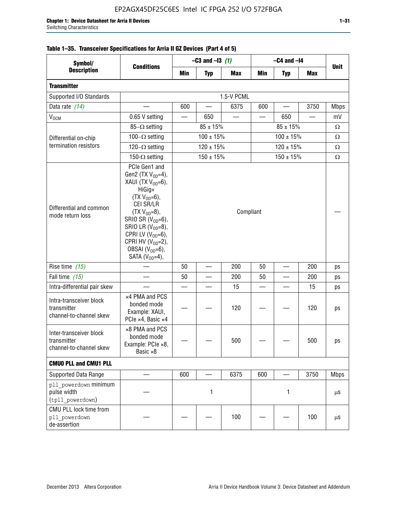| Symbol/                                                           | <b>Conditions</b>                                                                                                                                                                                                                                                                            |           | $-C3$ and $-13$ (1) |            | $-C4$ and $-I4$          |            |            |             |  |
|-------------------------------------------------------------------|----------------------------------------------------------------------------------------------------------------------------------------------------------------------------------------------------------------------------------------------------------------------------------------------|-----------|---------------------|------------|--------------------------|------------|------------|-------------|--|
| <b>Description</b>                                                |                                                                                                                                                                                                                                                                                              | Min       | <b>Typ</b>          | <b>Max</b> | Min                      | <b>Typ</b> | <b>Max</b> | <b>Unit</b> |  |
| <b>Transmitter</b>                                                |                                                                                                                                                                                                                                                                                              |           |                     |            |                          |            |            |             |  |
| Supported I/O Standards                                           | 1.5-V PCML                                                                                                                                                                                                                                                                                   |           |                     |            |                          |            |            |             |  |
| Data rate (14)                                                    |                                                                                                                                                                                                                                                                                              | 600       |                     | 6375       | 600                      |            | 3750       | <b>Mbps</b> |  |
| V <sub>OCM</sub>                                                  | 0.65 V setting                                                                                                                                                                                                                                                                               |           | 650                 |            |                          | 650        |            | mV          |  |
|                                                                   | 85- $\Omega$ setting                                                                                                                                                                                                                                                                         |           | $85 \pm 15\%$       |            |                          | Ω          |            |             |  |
| Differential on-chip                                              | 100 $-\Omega$ setting                                                                                                                                                                                                                                                                        |           | $100 \pm 15\%$      |            | $100 \pm 15%$            |            |            | Ω           |  |
| termination resistors                                             | 120 $-\Omega$ setting                                                                                                                                                                                                                                                                        |           | $120 \pm 15%$       |            | $120 \pm 15\%$           |            |            | Ω           |  |
|                                                                   | 150- $\Omega$ setting                                                                                                                                                                                                                                                                        |           | $150 \pm 15\%$      |            | $150 \pm 15\%$           |            |            | Ω           |  |
| Differential and common<br>mode return loss                       | PCIe Gen1 and<br>Gen2 (TX $V_{OD} = 4$ ),<br>XAUI (TX $V_{OD} = 6$ ),<br>HiGig+<br>$(TX V_{OD} = 6)$ ,<br>CEI SR/LR<br>$(TX V_{OD} = 8),$<br>SRIO SR $(V_{OD}=6)$ ,<br>SRIO LR $(V_{OD} = 8)$ ,<br>CPRI LV $(V_{OD}=6)$ ,<br>CPRI HV $(V_{OD}=2)$ ,<br>OBSAI $(VOD=6)$ ,<br>SATA $(VOD=4)$ , | Compliant |                     |            |                          |            |            |             |  |
| Rise time (15)                                                    |                                                                                                                                                                                                                                                                                              | 50        |                     | 200        | 50                       |            | 200        | ps          |  |
| Fall time $(15)$                                                  |                                                                                                                                                                                                                                                                                              | 50        |                     | 200        | 50                       |            | 200        | ps          |  |
| Intra-differential pair skew                                      |                                                                                                                                                                                                                                                                                              |           |                     | 15         | $\overline{\phantom{a}}$ |            | 15         | ps          |  |
| Intra-transceiver block<br>transmitter<br>channel-to-channel skew | x4 PMA and PCS<br>bonded mode<br>Example: XAUI,<br>PCIe ×4, Basic ×4                                                                                                                                                                                                                         |           |                     | 120        |                          |            | 120        | ps          |  |
| Inter-transceiver block<br>transmitter<br>channel-to-channel skew | ×8 PMA and PCS<br>bonded mode<br>Example: PCle ×8,<br>Basic ×8                                                                                                                                                                                                                               |           |                     | 500        |                          |            | 500        | ps          |  |
| <b>CMUO PLL and CMU1 PLL</b>                                      |                                                                                                                                                                                                                                                                                              |           |                     |            |                          |            |            |             |  |
| Supported Data Range                                              |                                                                                                                                                                                                                                                                                              | 600       |                     | 6375       | 600                      |            | 3750       | <b>Mbps</b> |  |
| pll powerdown minimum<br>pulse width<br>(tpll_powerdown)          |                                                                                                                                                                                                                                                                                              | 1         |                     | 1          |                          |            | μS         |             |  |
| CMU PLL lock time from<br>pll powerdown<br>de-assertion           |                                                                                                                                                                                                                                                                                              |           |                     | 100        |                          |            | 100        | μS          |  |

# **Table 1–35. Transceiver Specifications for Arria II GZ Devices (Part 4 of 5)**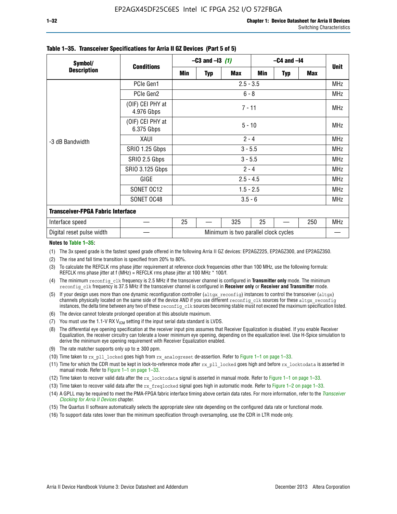| Symbol/                                  | <b>Conditions</b>              | $-C3$ and $-13$ (1)                  |          |            | $-C4$ and $-I4$ |            |            |             |  |
|------------------------------------------|--------------------------------|--------------------------------------|----------|------------|-----------------|------------|------------|-------------|--|
| <b>Description</b>                       |                                | Min                                  | Typ      | <b>Max</b> | Min             | <b>Typ</b> | <b>Max</b> | <b>Unit</b> |  |
| -3 dB Bandwidth                          | PCIe Gen1                      | $2.5 - 3.5$                          |          |            |                 |            |            | <b>MHz</b>  |  |
|                                          | PCIe Gen2                      | $6 - 8$                              |          |            |                 |            |            | <b>MHz</b>  |  |
|                                          | (OIF) CEI PHY at<br>4.976 Gbps | $7 - 11$                             |          |            |                 |            |            |             |  |
|                                          | (OIF) CEI PHY at<br>6.375 Gbps |                                      | $5 - 10$ |            |                 |            |            |             |  |
|                                          | XAUI                           | $2 - 4$                              |          |            |                 |            |            | <b>MHz</b>  |  |
|                                          | SRIO 1.25 Gbps                 | $3 - 5.5$                            |          |            |                 |            |            | MHz         |  |
|                                          | SRIO 2.5 Gbps                  | $3 - 5.5$                            |          |            |                 |            |            | <b>MHz</b>  |  |
|                                          | <b>SRIO 3.125 Gbps</b>         | $2 - 4$                              |          |            |                 |            |            | <b>MHz</b>  |  |
|                                          | GIGE                           | $2.5 - 4.5$                          |          |            |                 |            |            | <b>MHz</b>  |  |
|                                          | SONET OC12                     | $1.5 - 2.5$                          |          |            |                 |            |            | <b>MHz</b>  |  |
|                                          | SONET OC48                     | $3.5 - 6$                            |          |            |                 |            |            | <b>MHz</b>  |  |
| <b>Transceiver-FPGA Fabric Interface</b> |                                |                                      |          |            |                 |            |            |             |  |
| Interface speed                          |                                | 25                                   |          | 325        | 25              |            | 250        | <b>MHz</b>  |  |
| Digital reset pulse width                |                                | Minimum is two parallel clock cycles |          |            |                 |            |            |             |  |

#### **Table 1–35. Transceiver Specifications for Arria II GZ Devices (Part 5 of 5)**

#### **Notes to Table 1–35:**

(1) The 3x speed grade is the fastest speed grade offered in the following Arria II GZ devices: EP2AGZ225, EP2AGZ300, and EP2AGZ350.

- (2) The rise and fall time transition is specified from 20% to 80%.
- (3) To calculate the REFCLK rms phase jitter requirement at reference clock frequencies other than 100 MHz, use the following formula: REFCLK rms phase jitter at f (MHz) = REFCLK rms phase jitter at 100 MHz  $*$  100/f.
- (4) The minimum reconfig clk frequency is 2.5 MHz if the transceiver channel is configured in **Transmitter only** mode. The minimum reconfig clk frequency is 37.5 MHz if the transceiver channel is configured in **Receiver only** or **Receiver and Transmitter** mode.
- (5) If your design uses more than one dynamic reconfiguration controller ( $\text{altgx\_reconfig}$ ) instances to control the transceiver ( $\text{altgx}$ ) channels physically located on the same side of the device AND if you use different reconfig clk sources for these altgx reconfig instances, the delta time between any two of these reconfig clk sources becoming stable must not exceed the maximum specification listed.
- (6) The device cannot tolerate prolonged operation at this absolute maximum.
- (7) You must use the 1.1-V RX  $V_{ICM}$  setting if the input serial data standard is LVDS.
- (8) The differential eye opening specification at the receiver input pins assumes that Receiver Equalization is disabled. If you enable Receiver Equalization, the receiver circuitry can tolerate a lower minimum eye opening, depending on the equalization level. Use H-Spice simulation to derive the minimum eye opening requirement with Receiver Equalization enabled.
- (9) The rate matcher supports only up to  $\pm$  300 ppm.
- (10) Time taken to rx\_pll\_locked goes high from rx\_analogreset de-assertion. Refer to Figure 1–1 on page 1–33.
- (11) Time for which the CDR must be kept in lock-to-reference mode after rx pll\_locked goes high and before rx\_locktodata is asserted in manual mode. Refer to Figure 1–1 on page 1–33.
- (12) Time taken to recover valid data after the rx locktodata signal is asserted in manual mode. Refer to Figure 1–1 on page 1–33.
- (13) Time taken to recover valid data after the rx\_freqlocked signal goes high in automatic mode. Refer to Figure 1–2 on page 1–33.
- (14) A GPLL may be required to meet the PMA-FPGA fabric interface timing above certain data rates. For more information, refer to the *[Transceiver](http://www.altera.com/literature/hb/arria-ii-gx/aiigx_52002.pdf)  [Clocking for Arria II Devices](http://www.altera.com/literature/hb/arria-ii-gx/aiigx_52002.pdf)* chapter.
- (15) The Quartus II software automatically selects the appropriate slew rate depending on the configured data rate or functional mode.
- (16) To support data rates lower than the minimum specification through oversampling, use the CDR in LTR mode only.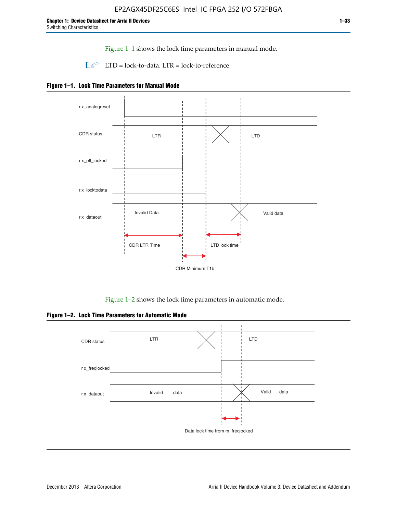Figure 1–1 shows the lock time parameters in manual mode.

 $\Box$  LTD = lock-to-data. LTR = lock-to-reference.





Figure 1–2 shows the lock time parameters in automatic mode.

**Figure 1–2. Lock Time Parameters for Automatic Mode**

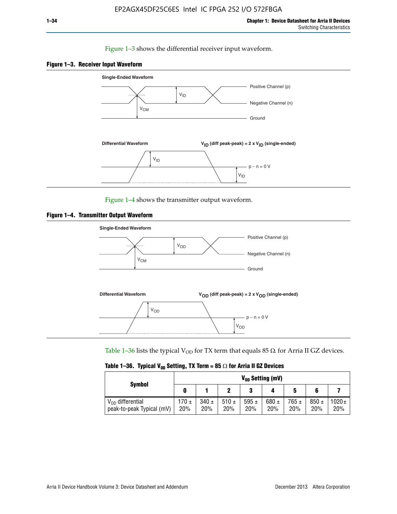### Figure 1–3 shows the differential receiver input waveform.





Figure 1–4 shows the transmitter output waveform.





Table 1–36 lists the typical V<sub>OD</sub> for TX term that equals 85  $\Omega$  for Arria II GZ devices.

|  |  |  | Table 1–36. Typical V <sub>op</sub> Setting, TX Term = 85 $\Omega$ for Arria II GZ Devices |
|--|--|--|--------------------------------------------------------------------------------------------|
|--|--|--|--------------------------------------------------------------------------------------------|

|                                                    | $V_{0D}$ Setting (mV) |                  |                  |                  |                  |                  |                  |                   |  |
|----------------------------------------------------|-----------------------|------------------|------------------|------------------|------------------|------------------|------------------|-------------------|--|
| <b>Symbol</b>                                      |                       |                  |                  | 2<br>J           |                  | 5                |                  |                   |  |
| $V_{OD}$ differential<br>peak-to-peak Typical (mV) | $170 \pm$<br>20%      | $340 \pm$<br>20% | 510 $\pm$<br>20% | 595 $\pm$<br>20% | 680 $\pm$<br>20% | $765 \pm$<br>20% | $850 \pm$<br>20% | $1020 \pm$<br>20% |  |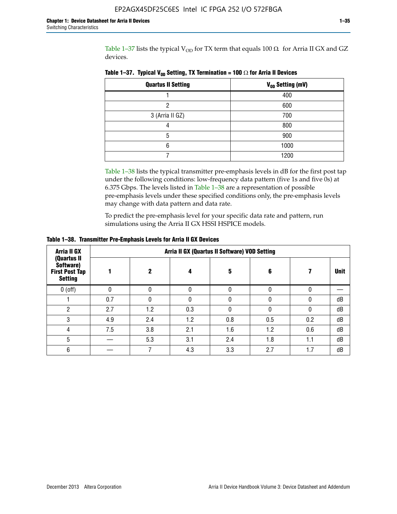Table 1–37 lists the typical  $V_{OD}$  for TX term that equals 100  $\Omega$  for Arria II GX and GZ devices.

| <b>Quartus II Setting</b> | V <sub>OD</sub> Setting (mV) |
|---------------------------|------------------------------|
|                           | 400                          |
| າ                         | 600                          |
| 3 (Arria II GZ)           | 700                          |
|                           | 800                          |
| 5                         | 900                          |
| 6                         | 1000                         |
|                           | 1200                         |

**Table 1–37. Typical V<sub>OD</sub> Setting, TX Termination = 100**  $\Omega$  for Arria II Devices

Table 1–38 lists the typical transmitter pre-emphasis levels in dB for the first post tap under the following conditions: low-frequency data pattern (five 1s and five 0s) at 6.375 Gbps. The levels listed in Table 1–38 are a representation of possible pre-emphasis levels under these specified conditions only, the pre-emphasis levels may change with data pattern and data rate.

To predict the pre-emphasis level for your specific data rate and pattern, run simulations using the Arria II GX HSSI HSPICE models.

| Arria II GX                                                         | Arria II GX (Quartus II Software) VOD Setting |     |          |     |     |     |             |  |  |  |
|---------------------------------------------------------------------|-----------------------------------------------|-----|----------|-----|-----|-----|-------------|--|--|--|
| (Quartus II<br>Software)<br><b>First Post Tap</b><br><b>Setting</b> |                                               | 2   | 4        | 5   | 6   |     | <b>Unit</b> |  |  |  |
| $0$ (off)                                                           | 0                                             |     | $\Omega$ |     |     |     |             |  |  |  |
|                                                                     | 0.7                                           | O   | $\Omega$ |     |     | 0   | dB          |  |  |  |
| 2                                                                   | 2.7                                           | 1.2 | 0.3      |     |     |     | dB          |  |  |  |
| 3                                                                   | 4.9                                           | 2.4 | 1.2      | 0.8 | 0.5 | 0.2 | dB          |  |  |  |
| 4                                                                   | 7.5                                           | 3.8 | 2.1      | 1.6 | 1.2 | 0.6 | dB          |  |  |  |
| 5                                                                   |                                               | 5.3 | 3.1      | 2.4 | 1.8 | 1.1 | dB          |  |  |  |
| 6                                                                   |                                               |     | 4.3      | 3.3 | 2.7 | 1.7 | dB          |  |  |  |

**Table 1–38. Transmitter Pre-Emphasis Levels for Arria II GX Devices**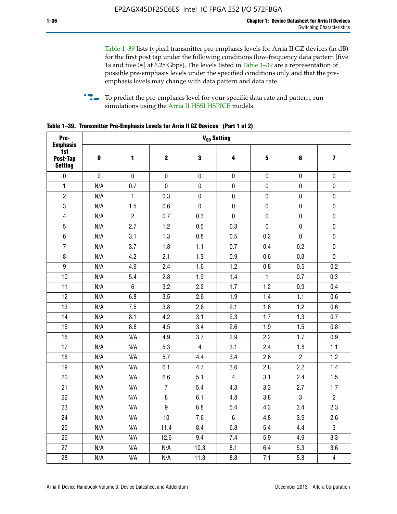Table 1–39 lists typical transmitter pre-emphasis levels for Arria II GZ devices (in dB) for the first post tap under the following conditions (low-frequency data pattern [five 1s and five 0s] at 6.25 Gbps). The levels listed in Table 1–39 are a representation of possible pre-emphasis levels under the specified conditions only and that the preemphasis levels may change with data pattern and data rate.

**follow** To predict the pre-emphasis level for your specific data rate and pattern, run simulations using the [Arria II HSSI HSPICE](http://www.altera.com/support/software/download/hspice/hsp-index.html) models.

| Pre-                                                 |           |                |                  |                | V <sub>op</sub> Setting |              |                |                         |
|------------------------------------------------------|-----------|----------------|------------------|----------------|-------------------------|--------------|----------------|-------------------------|
| <b>Emphasis</b><br>1st<br>Post-Tap<br><b>Setting</b> | $\pmb{0}$ | 1              | $\boldsymbol{2}$ | $\bf{3}$       | 4                       | 5            | 6              | $\overline{\mathbf{z}}$ |
| $\pmb{0}$                                            | $\pmb{0}$ | $\pmb{0}$      | $\pmb{0}$        | $\pmb{0}$      | $\pmb{0}$               | $\pmb{0}$    | $\pmb{0}$      | $\pmb{0}$               |
| $\mathbf{1}$                                         | N/A       | 0.7            | $\pmb{0}$        | $\pmb{0}$      | $\pmb{0}$               | $\pmb{0}$    | 0              | $\pmb{0}$               |
| $\overline{2}$                                       | N/A       | $\mathbf{1}$   | 0.3              | $\pmb{0}$      | $\pmb{0}$               | $\pmb{0}$    | $\pmb{0}$      | $\pmb{0}$               |
| $\sqrt{3}$                                           | N/A       | 1.5            | 0.6              | $\pmb{0}$      | $\pmb{0}$               | $\pmb{0}$    | $\pmb{0}$      | $\pmb{0}$               |
| $\overline{\mathbf{4}}$                              | N/A       | $\overline{2}$ | 0.7              | 0.3            | $\mathbf 0$             | $\pmb{0}$    | $\pmb{0}$      | $\pmb{0}$               |
| $\overline{5}$                                       | N/A       | 2.7            | 1.2              | 0.5            | 0.3                     | $\pmb{0}$    | $\pmb{0}$      | $\pmb{0}$               |
| $\,6\,$                                              | N/A       | 3.1            | 1.3              | 0.8            | 0.5                     | 0.2          | $\mathbf 0$    | $\pmb{0}$               |
| $\overline{7}$                                       | N/A       | 3.7            | 1.8              | 1.1            | 0.7                     | 0.4          | 0.2            | $\pmb{0}$               |
| 8                                                    | N/A       | 4.2            | 2.1              | 1.3            | 0.9                     | 0.6          | 0.3            | $\pmb{0}$               |
| $\boldsymbol{9}$                                     | N/A       | 4.9            | 2.4              | 1.6            | 1.2                     | 0.8          | 0.5            | 0.2                     |
| 10                                                   | N/A       | 5.4            | 2.8              | 1.9            | 1.4                     | $\mathbf{1}$ | 0.7            | 0.3                     |
| 11                                                   | N/A       | $\,6\,$        | 3.2              | 2.2            | 1.7                     | 1.2          | 0.9            | 0.4                     |
| 12                                                   | N/A       | 6.8            | 3.5              | 2.6            | 1.9                     | 1.4          | 1.1            | 0.6                     |
| 13                                                   | N/A       | 7.5            | 3.8              | 2.8            | 2.1                     | 1.6          | 1.2            | 0.6                     |
| 14                                                   | N/A       | 8.1            | 4.2              | 3.1            | 2.3                     | 1.7          | 1.3            | 0.7                     |
| 15                                                   | N/A       | 8.8            | 4.5              | 3.4            | 2.6                     | 1.9          | 1.5            | 0.8                     |
| 16                                                   | N/A       | N/A            | 4.9              | 3.7            | 2.9                     | 2.2          | 1.7            | 0.9                     |
| 17                                                   | N/A       | N/A            | 5.3              | $\overline{4}$ | 3.1                     | 2.4          | 1.8            | 1.1                     |
| 18                                                   | N/A       | N/A            | 5.7              | 4.4            | 3.4                     | 2.6          | $\overline{2}$ | 1.2                     |
| 19                                                   | N/A       | N/A            | 6.1              | 4.7            | 3.6                     | 2.8          | 2.2            | 1.4                     |
| 20                                                   | N/A       | N/A            | 6.6              | 5.1            | $\overline{4}$          | 3.1          | 2.4            | 1.5                     |
| 21                                                   | N/A       | N/A            | $\overline{7}$   | 5.4            | 4.3                     | 3.3          | 2.7            | 1.7                     |
| 22                                                   | N/A       | N/A            | 8                | 6.1            | 4.8                     | 3.8          | 3              | $\overline{2}$          |
| 23                                                   | N/A       | N/A            | $\boldsymbol{9}$ | 6.8            | 5.4                     | 4.3          | 3.4            | 2.3                     |
| 24                                                   | N/A       | N/A            | 10               | 7.6            | $\,6\,$                 | 4.8          | 3.9            | 2.6                     |
| 25                                                   | N/A       | N/A            | 11.4             | 8.4            | 6.8                     | 5.4          | 4.4            | $\overline{3}$          |
| 26                                                   | N/A       | N/A            | 12.6             | 9.4            | 7.4                     | 5.9          | 4.9            | 3.3                     |
| 27                                                   | N/A       | N/A            | N/A              | 10.3           | 8.1                     | 6.4          | 5.3            | 3.6                     |
| 28                                                   | N/A       | N/A            | N/A              | 11.3           | 8.8                     | 7.1          | 5.8            | $\overline{4}$          |

**Table 1–39. Transmitter Pre-Emphasis Levels for Arria II GZ Devices (Part 1 of 2)**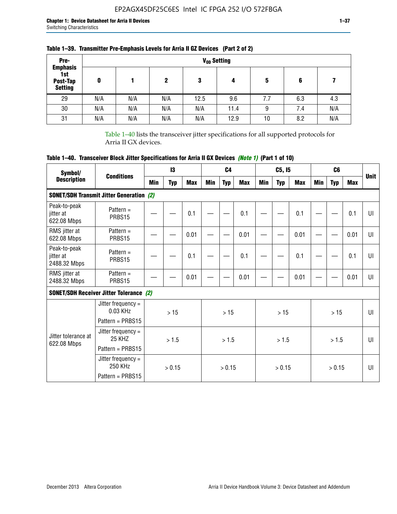| Pre-                                                 |     |     |     |      | V <sub>op</sub> Setting |     |     |     |
|------------------------------------------------------|-----|-----|-----|------|-------------------------|-----|-----|-----|
| <b>Emphasis</b><br>1st<br>Post-Tap<br><b>Setting</b> | 0   |     | 2   | 3    | 4                       | 5   | 6   |     |
| 29                                                   | N/A | N/A | N/A | 12.5 | 9.6                     | 7.7 | 6.3 | 4.3 |
| 30                                                   | N/A | N/A | N/A | N/A  | 11.4                    | 9   | 7.4 | N/A |
| 31                                                   | N/A | N/A | N/A | N/A  | 12.9                    | 10  | 8.2 | N/A |

# **Table 1–39. Transmitter Pre-Emphasis Levels for Arria II GZ Devices (Part 2 of 2)**

Table 1–40 lists the transceiver jitter specifications for all supported protocols for Arria II GX devices.

# **Table 1–40. Transceiver Block Jitter Specifications for Arria II GX Devices** *(Note 1)* **(Part 1 of 10)**

| Symbol/                                   |                                                                |     | 13         |            |     | C <sub>4</sub> |            |     | C5, I5     |            |     | C <sub>6</sub> |            |              |
|-------------------------------------------|----------------------------------------------------------------|-----|------------|------------|-----|----------------|------------|-----|------------|------------|-----|----------------|------------|--------------|
| <b>Description</b>                        | <b>Conditions</b>                                              | Min | <b>Typ</b> | <b>Max</b> | Min | <b>Typ</b>     | <b>Max</b> | Min | <b>Typ</b> | <b>Max</b> | Min | <b>Typ</b>     | <b>Max</b> | <b>Unit</b>  |
|                                           | <b>SONET/SDH Transmit Jitter Generation (2)</b>                |     |            |            |     |                |            |     |            |            |     |                |            |              |
| Peak-to-peak<br>jitter at<br>622.08 Mbps  | Pattern $=$<br>PRBS15                                          |     |            | 0.1        |     |                | 0.1        |     |            | 0.1        |     |                | 0.1        | UI           |
| RMS jitter at<br>622.08 Mbps              | Pattern $=$<br>PRBS15                                          |     |            | 0.01       |     |                | 0.01       |     |            | 0.01       |     |                | 0.01       | UI           |
| Peak-to-peak<br>jitter at<br>2488.32 Mbps | Pattern $=$<br>PRBS15                                          |     |            | 0.1        |     |                | 0.1        |     |            | 0.1        |     |                | 0.1        | UI           |
| RMS jitter at<br>2488.32 Mbps             | Pattern $=$<br>PRBS15                                          |     |            | 0.01       |     |                | 0.01       |     |            | 0.01       |     |                | 0.01       | UI           |
|                                           | <b>SONET/SDH Receiver Jitter Tolerance (2)</b>                 |     |            |            |     |                |            |     |            |            |     |                |            |              |
|                                           | Jitter frequency $=$<br>$0.03$ KHz<br>Pattern = PRBS15         |     | >15        |            |     | >15            |            |     | >15        |            |     | >15            |            | $\mathbf{U}$ |
| Jitter tolerance at<br>622.08 Mbps        | Jitter frequency $=$<br>25 KH <sub>7</sub><br>Pattern = PRBS15 |     | > 1.5      |            |     | > 1.5          |            |     | > 1.5      |            |     | > 1.5          |            | $\mathbf{U}$ |
|                                           | Jitter frequency $=$<br>250 KHz<br>Pattern = PRBS15            |     | > 0.15     |            |     | > 0.15         |            |     | > 0.15     |            |     | > 0.15         |            | $\mathbf{U}$ |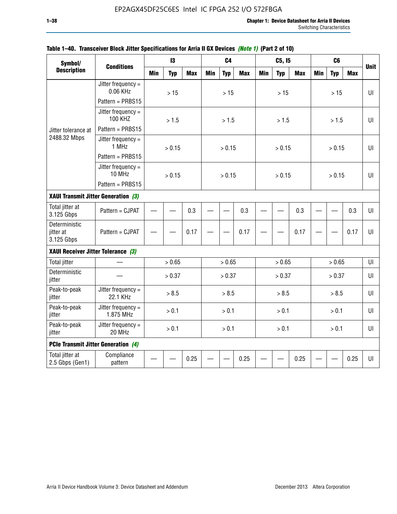| Symbol/                                    |                                        |            | $\mathbf{13}$ |            |            | C <sub>4</sub> |            |            | C5, I5     |            |            | C <sub>6</sub> |            |             |
|--------------------------------------------|----------------------------------------|------------|---------------|------------|------------|----------------|------------|------------|------------|------------|------------|----------------|------------|-------------|
| <b>Description</b>                         | <b>Conditions</b>                      | <b>Min</b> | <b>Typ</b>    | <b>Max</b> | <b>Min</b> | <b>Typ</b>     | <b>Max</b> | <b>Min</b> | <b>Typ</b> | <b>Max</b> | <b>Min</b> | <b>Typ</b>     | <b>Max</b> | <b>Unit</b> |
|                                            | Jitter frequency $=$<br>0.06 KHz       |            | $>15$         |            |            | $>15$          |            |            | $>15$      |            |            | >15            |            | UL          |
|                                            | Pattern = PRBS15                       |            |               |            |            |                |            |            |            |            |            |                |            |             |
|                                            | Jitter frequency $=$<br><b>100 KHZ</b> |            | > 1.5         |            |            | > 1.5          |            |            | >1.5       |            |            | >1.5           |            | Ш           |
| Jitter tolerance at                        | Pattern = PRBS15                       |            |               |            |            |                |            |            |            |            |            |                |            |             |
| 2488.32 Mbps                               | Jitter frequency =<br>1 MHz            |            | > 0.15        |            |            | > 0.15         |            |            | > 0.15     |            |            | > 0.15         |            | Ш           |
|                                            | Pattern = PRBS15                       |            |               |            |            |                |            |            |            |            |            |                |            |             |
|                                            | Jitter frequency $=$<br>10 MHz         |            | > 0.15        |            |            | > 0.15         |            |            | > 0.15     |            |            | > 0.15         |            | $U\Gamma$   |
|                                            | Pattern = PRBS15                       |            |               |            |            |                |            |            |            |            |            |                |            |             |
| XAUI Transmit Jitter Generation (3)        |                                        | 0.3        |               |            |            |                |            |            |            |            |            |                |            |             |
| Total jitter at<br>3.125 Gbps              | Pattern = CJPAT                        |            |               |            |            |                | 0.3        |            |            | 0.3        |            |                | 0.3        | $U\Gamma$   |
| Deterministic<br>jitter at<br>3.125 Gbps   | Pattern = CJPAT                        |            |               | 0.17       |            |                | 0.17       |            |            | 0.17       |            |                | 0.17       | Ш           |
| XAUI Receiver Jitter Tolerance (3)         |                                        |            |               |            |            |                |            |            |            |            |            |                |            |             |
| <b>Total jitter</b>                        |                                        |            | > 0.65        |            |            | > 0.65         |            |            | > 0.65     |            |            | > 0.65         |            | U           |
| Deterministic<br>jitter                    |                                        |            | > 0.37        |            |            | > 0.37         |            |            | > 0.37     |            |            | > 0.37         |            | UI          |
| Peak-to-peak<br>jitter                     | Jitter frequency =<br>22.1 KHz         |            | > 8.5         |            |            | > 8.5          |            |            | > 8.5      |            |            | > 8.5          |            | UI          |
| Peak-to-peak<br>jitter                     | Jitter frequency =<br>1.875 MHz        |            | > 0.1         |            |            | > 0.1          |            |            | > 0.1      |            |            | > 0.1          |            | UI          |
| Peak-to-peak<br>jitter                     | Jitter frequency =<br>20 MHz           | > 0.1      |               |            |            | > 0.1          |            |            | > 0.1      |            |            | > 0.1          |            | $U\Gamma$   |
| <b>PCIe Transmit Jitter Generation (4)</b> |                                        |            |               |            |            |                |            |            |            |            |            |                |            |             |
| Total jitter at<br>2.5 Gbps (Gen1)         | Compliance<br>pattern                  |            |               | 0.25       |            |                | 0.25       |            |            | 0.25       |            |                | 0.25       | $U\Gamma$   |

### **Table 1–40. Transceiver Block Jitter Specifications for Arria II GX Devices** *(Note 1)* **(Part 2 of 10)**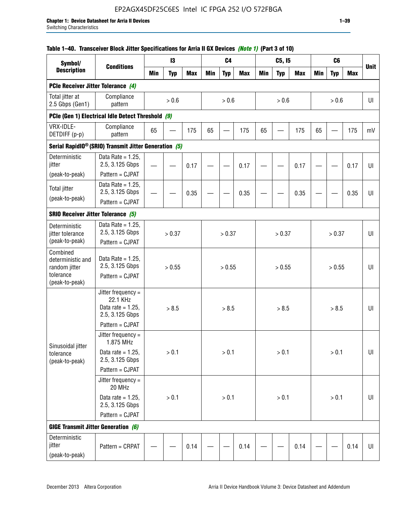## **Table 1–40. Transceiver Block Jitter Specifications for Arria II GX Devices** *(Note 1)* **(Part 3 of 10)**

| Symbol/                                             |                                                                           |            | 13         |            |     | C <sub>4</sub> |            |            | C5, I5     |            |            | C <sub>6</sub> |            |             |
|-----------------------------------------------------|---------------------------------------------------------------------------|------------|------------|------------|-----|----------------|------------|------------|------------|------------|------------|----------------|------------|-------------|
| <b>Description</b>                                  | <b>Conditions</b>                                                         | <b>Min</b> | <b>Typ</b> | <b>Max</b> | Min | <b>Typ</b>     | <b>Max</b> | <b>Min</b> | <b>Typ</b> | <b>Max</b> | <b>Min</b> | <b>Typ</b>     | <b>Max</b> | <b>Unit</b> |
| PCIe Receiver Jitter Tolerance (4)                  |                                                                           |            |            |            |     |                |            |            |            |            |            |                |            |             |
| Total jitter at<br>2.5 Gbps (Gen1)                  | Compliance<br>pattern                                                     |            | $> 0.6$    |            |     | > 0.6          |            |            | > 0.6      |            |            | > 0.6          |            | UI          |
|                                                     | PCIe (Gen 1) Electrical Idle Detect Threshold (9)                         |            |            |            |     |                |            |            |            |            |            |                |            |             |
| VRX-IDLE-<br>DETDIFF (p-p)                          | Compliance<br>pattern                                                     | 65         |            | 175        | 65  |                | 175        | 65         |            | 175        | 65         |                | 175        | mV          |
|                                                     | Serial RapidIO <sup>®</sup> (SRIO) Transmit Jitter Generation (5)         |            |            |            |     |                |            |            |            |            |            |                |            |             |
| Deterministic<br>jitter                             | Data Rate = $1.25$ ,<br>2.5, 3.125 Gbps<br>Pattern = CJPAT                |            |            | 0.17       |     |                | 0.17       |            |            | 0.17       |            |                | 0.17       | UI          |
| (peak-to-peak)                                      | Data Rate = $1.25$ ,                                                      |            |            |            |     |                |            |            |            |            |            |                |            |             |
| <b>Total jitter</b>                                 | 2.5, 3.125 Gbps                                                           |            |            | 0.35       |     |                | 0.35       |            |            | 0.35       |            |                | 0.35       | UI          |
| (peak-to-peak)                                      | Pattern = CJPAT                                                           |            |            |            |     |                |            |            |            |            |            |                |            |             |
| <b>SRIO Receiver Jitter Tolerance (5)</b>           |                                                                           |            |            |            |     |                |            |            |            |            |            |                |            |             |
| Deterministic<br>jitter tolerance<br>(peak-to-peak) | Data Rate = $1.25$ ,<br>2.5, 3.125 Gbps<br>Pattern = CJPAT                | > 0.37     |            |            |     | > 0.37         |            |            | > 0.37     |            |            | > 0.37         |            | UI          |
| Combined<br>deterministic and<br>random jitter      | Data Rate = $1.25$ ,<br>2.5, 3.125 Gbps                                   | > 0.55     |            |            |     | > 0.55         |            |            | > 0.55     |            |            | > 0.55         |            | U           |
| tolerance<br>(peak-to-peak)                         | Pattern = CJPAT                                                           |            |            |            |     |                |            |            |            |            |            |                |            |             |
|                                                     | Jitter frequency =<br>22.1 KHz<br>Data rate = $1.25$ .<br>2.5, 3.125 Gbps |            | > 8.5      |            |     | > 8.5          |            |            | > 8.5      |            |            | > 8.5          |            | UI          |
|                                                     | Pattern = CJPAT                                                           |            |            |            |     |                |            |            |            |            |            |                |            |             |
| Sinusoidal jitter                                   | Jitter frequency $=$<br>1.875 MHz                                         |            |            |            |     |                |            |            |            |            |            |                |            |             |
| tolerance<br>(peak-to-peak)                         | Data rate = $1.25$ ,<br>2.5, 3.125 Gbps                                   |            | > 0.1      |            |     | > 0.1          |            |            | > 0.1      |            |            | $> 0.1$        |            | UI          |
|                                                     | Pattern = CJPAT                                                           |            |            |            |     |                |            |            |            |            |            |                |            |             |
|                                                     | Jitter frequency =<br>20 MHz                                              |            |            |            |     |                |            |            |            |            |            |                |            |             |
|                                                     | Data rate = $1.25$ ,<br>2.5, 3.125 Gbps                                   | $> 0.1$    |            |            |     | > 0.1          |            |            | > 0.1      |            |            | $> 0.1$        |            | UI          |
|                                                     | Pattern = CJPAT                                                           |            |            |            |     |                |            |            |            |            |            |                |            |             |
| <b>GIGE Transmit Jitter Generation (6)</b>          |                                                                           |            |            |            |     |                |            |            |            |            |            |                |            |             |
| Deterministic<br>jitter<br>(peak-to-peak)           | Pattern = CRPAT                                                           |            |            | 0.14       |     |                | 0.14       |            |            | 0.14       |            |                | 0.14       | UI          |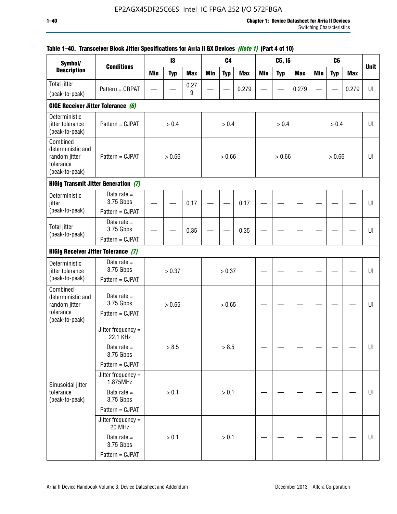| Symbol/<br><b>Description</b>                                                 |                                               |            | 13         |            |            | C <sub>4</sub> |            |            | C5, I5     |            |            | C <sub>6</sub> |            |             |
|-------------------------------------------------------------------------------|-----------------------------------------------|------------|------------|------------|------------|----------------|------------|------------|------------|------------|------------|----------------|------------|-------------|
|                                                                               | <b>Conditions</b>                             | <b>Min</b> | <b>Typ</b> | <b>Max</b> | <b>Min</b> | <b>Typ</b>     | <b>Max</b> | <b>Min</b> | <b>Typ</b> | <b>Max</b> | <b>Min</b> | <b>Typ</b>     | <b>Max</b> | <b>Unit</b> |
| <b>Total jitter</b>                                                           | Pattern = CRPAT                               |            |            | 0.27       |            |                | 0.279      |            |            | 0.279      |            |                | 0.279      | UI          |
| (peak-to-peak)                                                                |                                               |            |            | 9          |            |                |            |            |            |            |            |                |            |             |
| GIGE Receiver Jitter Tolerance (6)                                            |                                               |            |            |            |            |                |            |            |            |            |            |                |            |             |
| Deterministic<br>jitter tolerance<br>(peak-to-peak)                           | Pattern = CJPAT                               |            | > 0.4      |            |            | > 0.4          |            |            | > 0.4      |            |            | > 0.4          |            | UI          |
| Combined<br>deterministic and<br>random jitter<br>tolerance<br>(peak-to-peak) | Pattern = CJPAT                               |            | > 0.66     |            |            | > 0.66         |            |            | > 0.66     |            |            | > 0.66         |            | UI          |
|                                                                               | <b>HiGig Transmit Jitter Generation (7)</b>   |            |            |            |            |                |            |            |            |            |            |                |            |             |
| Deterministic<br>jitter                                                       | Data rate $=$<br>3.75 Gbps                    |            |            | 0.17       |            |                | 0.17       |            |            |            |            |                |            | UI          |
| (peak-to-peak)                                                                | Pattern = CJPAT                               |            |            |            |            |                |            |            |            |            |            |                |            |             |
| <b>Total jitter</b><br>(peak-to-peak)                                         | Data rate $=$<br>3.75 Gbps                    |            |            | 0.35       |            |                | 0.35       |            |            |            |            |                |            | UI          |
|                                                                               | Pattern = CJPAT                               |            |            |            |            |                |            |            |            |            |            |                |            |             |
| <b>HiGig Receiver Jitter Tolerance (7)</b>                                    |                                               |            |            |            |            |                |            |            |            |            |            |                |            |             |
| Deterministic<br>jitter tolerance                                             | Data rate $=$<br>3.75 Gbps                    |            | > 0.37     |            |            | > 0.37         |            |            |            |            |            |                |            | UI          |
| (peak-to-peak)                                                                | Pattern = CJPAT                               |            |            |            |            |                |            |            |            |            |            |                |            |             |
| Combined<br>deterministic and<br>random jitter<br>tolerance                   | Data rate $=$<br>3.75 Gbps<br>Pattern = CJPAT |            | > 0.65     |            |            | > 0.65         |            |            |            |            |            |                |            | UI          |
| (peak-to-peak)                                                                |                                               |            |            |            |            |                |            |            |            |            |            |                |            |             |
|                                                                               | Jitter frequency =<br>22.1 KHz                |            |            |            |            |                |            |            |            |            |            |                |            |             |
|                                                                               | Data rate $=$<br>3.75 Gbps                    |            | > 8.5      |            |            | > 8.5          |            |            |            |            |            |                |            | UI          |
|                                                                               | Pattern = CJPAT                               |            |            |            |            |                |            |            |            |            |            |                |            |             |
| Sinusoidal jitter                                                             | Jitter frequency =<br>1.875MHz                |            |            |            |            |                |            |            |            |            |            |                |            |             |
| tolerance<br>(peak-to-peak)                                                   | Data rate $=$<br>3.75 Gbps                    |            | > 0.1      |            |            | > 0.1          |            |            |            |            |            |                |            | UI          |
|                                                                               | Pattern = CJPAT                               |            |            |            |            |                |            |            |            |            |            |                |            |             |
|                                                                               | Jitter frequency $=$<br>20 MHz                |            |            |            |            |                |            |            |            |            |            |                |            |             |
|                                                                               | Data rate $=$<br>3.75 Gbps                    |            | > 0.1      |            |            | > 0.1          |            |            |            |            |            |                |            | UI          |
|                                                                               | Pattern = CJPAT                               |            |            |            |            |                |            |            |            |            |            |                |            |             |

# **Table 1–40. Transceiver Block Jitter Specifications for Arria II GX Devices** *(Note 1)* **(Part 4 of 10)**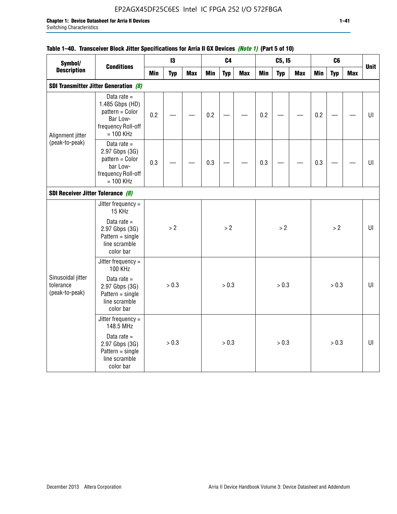# EP2AGX45DF25C6ES Intel IC FPGA 252 I/O 572FBGA

# **Table 1–40. Transceiver Block Jitter Specifications for Arria II GX Devices** *(Note 1)* **(Part 5 of 10)**

| Symbol/<br><b>Description</b>                    |                                                                                                      |     | 13         |            |            | C <sub>4</sub> |            |            | C5, I5     |            |            | C6         |            |             |
|--------------------------------------------------|------------------------------------------------------------------------------------------------------|-----|------------|------------|------------|----------------|------------|------------|------------|------------|------------|------------|------------|-------------|
|                                                  | <b>Conditions</b>                                                                                    | Min | <b>Typ</b> | <b>Max</b> | <b>Min</b> | <b>Typ</b>     | <b>Max</b> | <b>Min</b> | <b>Typ</b> | <b>Max</b> | <b>Min</b> | <b>Typ</b> | <b>Max</b> | <b>Unit</b> |
|                                                  | <b>SDI Transmitter Jitter Generation (8)</b>                                                         |     |            |            |            |                |            |            |            |            |            |            |            |             |
| Alignment jitter                                 | Data rate $=$<br>1.485 Gbps (HD)<br>pattern = Color<br>Bar Low-<br>frequency Roll-off<br>$= 100$ KHz | 0.2 |            |            | 0.2        |                |            | 0.2        |            |            | 0.2        |            |            | UI          |
| (peak-to-peak)                                   | Data rate $=$<br>2.97 Gbps (3G)<br>pattern = Color<br>bar Low-<br>frequency Roll-off<br>$= 100$ KHz  | 0.3 |            |            | 0.3        |                |            | 0.3        |            |            | 0.3        |            |            | UI          |
| SDI Receiver Jitter Tolerance (8)                |                                                                                                      |     |            |            |            |                |            |            |            |            |            |            |            |             |
|                                                  | Jitter frequency =<br>15 KHz                                                                         |     |            |            |            |                |            |            |            |            |            |            |            |             |
|                                                  | Data rate $=$<br>2.97 Gbps (3G)<br>$Pattern = single$<br>line scramble<br>color bar                  |     | > 2        |            |            | > 2            |            |            | >2         |            |            | >2         |            | U           |
|                                                  | Jitter frequency =<br>100 KHz                                                                        |     |            |            |            |                |            |            |            |            |            |            |            |             |
| Sinusoidal jitter<br>tolerance<br>(peak-to-peak) | Data rate $=$<br>2.97 Gbps (3G)<br>$Pattern = single$<br>line scramble<br>color bar                  |     | > 0.3      |            |            | > 0.3          |            |            | > 0.3      |            |            | > 0.3      |            | U           |
|                                                  | Jitter frequency =<br>148.5 MHz                                                                      |     |            |            |            |                |            |            |            |            |            |            |            |             |
|                                                  | Data rate $=$<br>2.97 Gbps (3G)<br>$Pattern = single$<br>line scramble<br>color bar                  |     | > 0.3      |            |            | > 0.3          |            |            | > 0.3      |            |            | > 0.3      |            | UI          |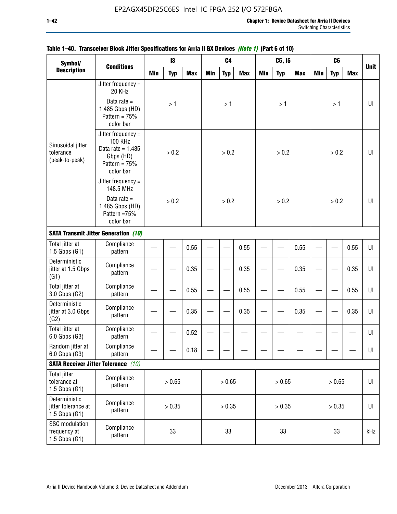| Symbol/                                                  |                                                                                                            |               | 13         |            |            | C <sub>4</sub> |            |            | C5, I5     |            |            | C <sub>6</sub> |            |             |
|----------------------------------------------------------|------------------------------------------------------------------------------------------------------------|---------------|------------|------------|------------|----------------|------------|------------|------------|------------|------------|----------------|------------|-------------|
| <b>Description</b>                                       | <b>Conditions</b>                                                                                          | Min           | <b>Typ</b> | <b>Max</b> | <b>Min</b> | <b>Typ</b>     | <b>Max</b> | <b>Min</b> | <b>Typ</b> | <b>Max</b> | <b>Min</b> | <b>Typ</b>     | <b>Max</b> | <b>Unit</b> |
|                                                          | Jitter frequency =<br>20 KHz                                                                               |               |            |            |            |                |            |            |            |            |            |                |            |             |
|                                                          | Data rate $=$<br>1.485 Gbps (HD)<br>Pattern = $75%$<br>color bar                                           |               | >1         |            |            | >1             |            |            | >1         |            |            | >1             |            | UI          |
| Sinusoidal jitter<br>tolerance<br>(peak-to-peak)         | Jitter frequency $=$<br><b>100 KHz</b><br>Data rate = $1.485$<br>Gbps (HD)<br>Pattern = $75%$<br>color bar |               | > 0.2      |            |            | > 0.2          |            |            | > 0.2      |            |            | > 0.2          |            | UI          |
|                                                          | Jitter frequency $=$<br>148.5 MHz                                                                          |               |            |            |            |                |            |            |            |            |            |                |            |             |
|                                                          | Data rate $=$<br>1.485 Gbps (HD)<br>Pattern =75%<br>color bar                                              | > 0.2<br>0.55 |            |            |            | > 0.2          |            |            | > 0.2      |            |            | > 0.2          |            | U           |
|                                                          | <b>SATA Transmit Jitter Generation (10)</b>                                                                |               |            |            |            |                |            |            |            |            |            |                |            |             |
| Total jitter at<br>$1.5$ Gbps $(G1)$                     | Compliance<br>pattern                                                                                      |               |            |            |            |                | 0.55       |            |            | 0.55       |            |                | 0.55       | UI          |
| Deterministic<br>jitter at 1.5 Gbps<br>(G1)              | Compliance<br>pattern                                                                                      |               |            | 0.35       |            |                | 0.35       |            |            | 0.35       |            |                | 0.35       | UI          |
| Total jitter at<br>3.0 Gbps (G2)                         | Compliance<br>pattern                                                                                      |               |            | 0.55       |            |                | 0.55       |            |            | 0.55       |            |                | 0.55       | UI          |
| Deterministic<br>jitter at 3.0 Gbps<br>(G2)              | Compliance<br>pattern                                                                                      |               |            | 0.35       |            |                | 0.35       |            |            | 0.35       |            |                | 0.35       | UI          |
| Total jitter at<br>6.0 Gbps (G3)                         | Compliance<br>pattern                                                                                      |               |            | 0.52       |            |                |            |            |            |            |            |                |            | UI          |
| Random jitter at<br>6.0 Gbps (G3)                        | Compliance<br>pattern                                                                                      |               |            | 0.18       |            |                |            |            |            |            |            |                |            | UI          |
|                                                          | <b>SATA Receiver Jitter Tolerance</b> (10)                                                                 |               |            |            |            |                |            |            |            |            |            |                |            |             |
| <b>Total jitter</b><br>tolerance at<br>$1.5$ Gbps $(G1)$ | Compliance<br>pattern                                                                                      | > 0.65        |            |            |            | > 0.65         |            |            | > 0.65     |            |            | > 0.65         |            | $U\vert$    |
| Deterministic<br>jitter tolerance at<br>1.5 Gbps $(G1)$  | Compliance<br>pattern                                                                                      |               | > 0.35     |            |            | > 0.35         |            |            | > 0.35     |            |            | > 0.35         |            | UI          |
| SSC modulation<br>frequency at<br>$1.5$ Gbps $(G1)$      | Compliance<br>pattern                                                                                      |               | 33         |            |            | 33             |            |            | 33         |            |            | 33             |            | kHz         |

# **Table 1–40. Transceiver Block Jitter Specifications for Arria II GX Devices** *(Note 1)* **(Part 6 of 10)**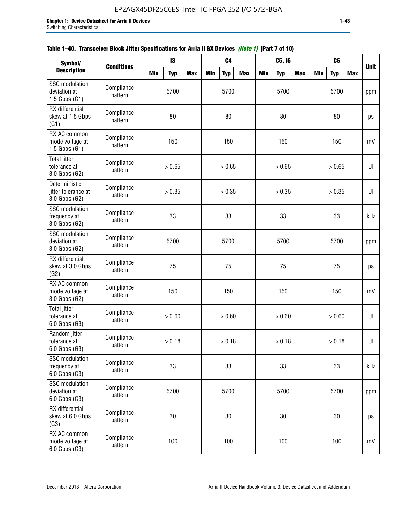| Symbol/                                                |                       |            | $\mathbf{I}3$ |            |            | C <sub>4</sub> |            |            | C5, I5     |            |            | C <sub>6</sub> |            |             |
|--------------------------------------------------------|-----------------------|------------|---------------|------------|------------|----------------|------------|------------|------------|------------|------------|----------------|------------|-------------|
| <b>Description</b>                                     | <b>Conditions</b>     | <b>Min</b> | <b>Typ</b>    | <b>Max</b> | <b>Min</b> | <b>Typ</b>     | <b>Max</b> | <b>Min</b> | <b>Typ</b> | <b>Max</b> | <b>Min</b> | <b>Typ</b>     | <b>Max</b> | <b>Unit</b> |
| SSC modulation<br>deviation at<br>$1.5$ Gbps $(G1)$    | Compliance<br>pattern |            | 5700          |            |            | 5700           |            |            | 5700       |            |            | 5700           |            | ppm         |
| RX differential<br>skew at 1.5 Gbps<br>(G1)            | Compliance<br>pattern |            | 80            |            |            | 80             |            |            | 80         |            |            | 80             |            | ps          |
| RX AC common<br>mode voltage at<br>$1.5$ Gbps $(G1)$   | Compliance<br>pattern |            | 150           |            |            | 150            |            |            | 150        |            |            | 150            |            | mV          |
| Total jitter<br>tolerance at<br>3.0 Gbps (G2)          | Compliance<br>pattern |            | > 0.65        |            |            | > 0.65         |            |            | > 0.65     |            |            | > 0.65         |            | UI          |
| Deterministic<br>jitter tolerance at<br>3.0 Gbps (G2)  | Compliance<br>pattern |            | > 0.35        |            |            | > 0.35         |            |            | > 0.35     |            |            | > 0.35         |            | UI          |
| <b>SSC</b> modulation<br>frequency at<br>3.0 Gbps (G2) | Compliance<br>pattern |            | 33            |            |            | 33             |            |            | 33         |            |            | 33             |            | kHz         |
| SSC modulation<br>deviation at<br>3.0 Gbps (G2)        | Compliance<br>pattern |            | 5700          |            |            | 5700           |            |            | 5700       |            |            | 5700           |            | ppm         |
| RX differential<br>skew at 3.0 Gbps<br>(G2)            | Compliance<br>pattern |            | 75            |            |            | 75             |            |            | 75         |            |            | 75             |            | ps          |
| RX AC common<br>mode voltage at<br>3.0 Gbps (G2)       | Compliance<br>pattern |            | 150           |            |            | 150            |            |            | 150        |            |            | 150            |            | mV          |
| <b>Total jitter</b><br>tolerance at<br>6.0 Gbps (G3)   | Compliance<br>pattern |            | > 0.60        |            |            | > 0.60         |            |            | > 0.60     |            |            | > 0.60         |            | U           |
| Random jitter<br>tolerance at<br>6.0 Gbps (G3)         | Compliance<br>pattern |            | > 0.18        |            |            | > 0.18         |            |            | > 0.18     |            |            | > 0.18         |            | UI          |
| <b>SSC</b> modulation<br>frequency at<br>6.0 Gbps (G3) | Compliance<br>pattern |            | 33            |            |            | 33             |            |            | 33         |            |            | 33             |            | kHz         |
| SSC modulation<br>deviation at<br>6.0 Gbps (G3)        | Compliance<br>pattern |            |               |            | 5700       |                |            | 5700       |            |            | 5700       |                | ppm        |             |
| RX differential<br>skew at 6.0 Gbps<br>(G3)            | Compliance<br>pattern |            | 30            |            |            | 30             |            |            | $30\,$     |            |            | 30             |            | ps          |
| RX AC common<br>mode voltage at<br>6.0 Gbps (G3)       | Compliance<br>pattern |            | 100           |            |            | 100            |            |            | 100        |            |            | 100            |            | mV          |

| Table 1–40. Transceiver Block Jitter Specifications for Arria II GX Devices <i>(Note 1)</i> (Part 7 of 10) |  |  |
|------------------------------------------------------------------------------------------------------------|--|--|
|                                                                                                            |  |  |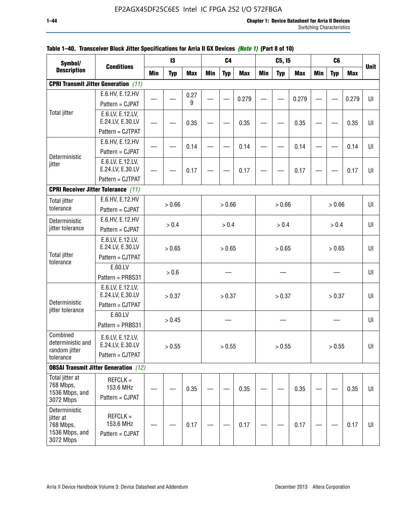| Symbol/                                                                |                                                          |            | 13         |            |        | C4         |            |            | C5, I5     |            |            | C <sub>6</sub> |            |             |
|------------------------------------------------------------------------|----------------------------------------------------------|------------|------------|------------|--------|------------|------------|------------|------------|------------|------------|----------------|------------|-------------|
| <b>Description</b>                                                     | <b>Conditions</b>                                        | <b>Min</b> | <b>Typ</b> | <b>Max</b> | Min    | <b>Typ</b> | <b>Max</b> | <b>Min</b> | <b>Typ</b> | <b>Max</b> | <b>Min</b> | <b>Typ</b>     | <b>Max</b> | <b>Unit</b> |
|                                                                        | <b>CPRI Transmit Jitter Generation</b> (11)              |            |            |            |        |            |            |            |            |            |            |                |            |             |
|                                                                        | E.6.HV, E.12.HV                                          |            |            | 0.27       |        |            |            |            |            |            |            |                |            |             |
|                                                                        | Pattern = CJPAT                                          |            |            | 9          |        |            | 0.279      |            |            | 0.279      |            |                | 0.279      | $U\vert$    |
| <b>Total jitter</b>                                                    | E.6.LV, E.12.LV,<br>E.24.LV, E.30.LV                     |            |            | 0.35       |        |            | 0.35       |            |            | 0.35       |            |                | 0.35       | UI          |
|                                                                        | Pattern = CJTPAT                                         |            |            |            |        |            |            |            |            |            |            |                |            |             |
|                                                                        | E.6.HV, E.12.HV                                          |            |            |            |        |            |            |            |            |            |            |                |            | U           |
|                                                                        | Pattern = CJPAT                                          |            |            | 0.14       |        |            | 0.14       |            |            | 0.14       |            |                | 0.14       |             |
| Deterministic<br>jitter                                                | E.6.LV, E.12.LV,<br>E.24.LV, E.30.LV                     |            |            | 0.17       |        |            | 0.17       |            |            | 0.17       |            |                | 0.17       | UI          |
|                                                                        | Pattern = CJTPAT                                         |            |            |            |        |            |            |            |            |            |            |                |            |             |
|                                                                        | <b>CPRI Receiver Jitter Tolerance (11)</b>               |            |            |            |        |            |            |            |            |            |            |                |            |             |
| <b>Total jitter</b>                                                    | E.6.HV, E.12.HV                                          |            | > 0.66     |            |        |            |            |            | > 0.66     |            |            | > 0.66         |            | UI          |
| tolerance                                                              | Pattern = CJPAT                                          |            |            |            |        | > 0.66     |            |            |            |            |            |                |            |             |
| Deterministic                                                          | E.6.HV, E.12.HV                                          |            | > 0.4      |            |        | > 0.4      |            |            | > 0.4      |            |            | > 0.4          |            | U           |
| jitter tolerance                                                       | Pattern = CJPAT                                          |            |            |            |        |            |            |            |            |            |            |                |            |             |
|                                                                        | E.6.LV, E.12.LV,<br>E.24.LV, E.30.LV                     | > 0.65     |            |            | > 0.65 |            |            | > 0.65     |            |            | > 0.65     |                | UI         |             |
| <b>Total jitter</b><br>tolerance                                       | Pattern = CJTPAT                                         |            |            |            |        |            |            |            |            |            |            |                |            |             |
|                                                                        | E.60.LV<br>Pattern = PRBS31                              |            | $> 0.6$    |            |        |            |            |            |            |            |            |                |            | UI          |
| Deterministic                                                          | E.6.LV, E.12.LV,<br>E.24.LV, E.30.LV<br>Pattern = CJTPAT |            | > 0.37     |            |        | > 0.37     |            |            | > 0.37     |            |            | > 0.37         |            | UI          |
| jitter tolerance                                                       | E.60.LV<br>Pattern = PRBS31                              |            | > 0.45     |            |        |            |            |            |            |            |            |                |            | UI          |
| Combined<br>deterministic and<br>random jitter<br>tolerance            | E.6.LV, E.12.LV,<br>E.24.LV, E.30.LV<br>Pattern = CJTPAT |            | > 0.55     |            |        | > 0.55     |            |            | > 0.55     |            |            | > 0.55         |            | UI          |
|                                                                        | <b>OBSAI Transmit Jitter Generation</b> (12)             |            |            |            |        |            |            |            |            |            |            |                |            |             |
| Total jitter at<br>768 Mbps,<br>1536 Mbps, and<br>3072 Mbps            | $REFCLK =$<br>153.6 MHz<br>Pattern = CJPAT               |            |            | 0.35       |        |            | 0.35       |            |            | 0.35       |            |                | 0.35       | UI          |
| Deterministic<br>jitter at<br>768 Mbps,<br>1536 Mbps, and<br>3072 Mbps | $REFCLK =$<br>153.6 MHz<br>Pattern = CJPAT               |            |            | 0.17       |        |            | 0.17       |            |            | 0.17       |            |                | 0.17       | UI          |

# **Table 1–40. Transceiver Block Jitter Specifications for Arria II GX Devices** *(Note 1)* **(Part 8 of 10)**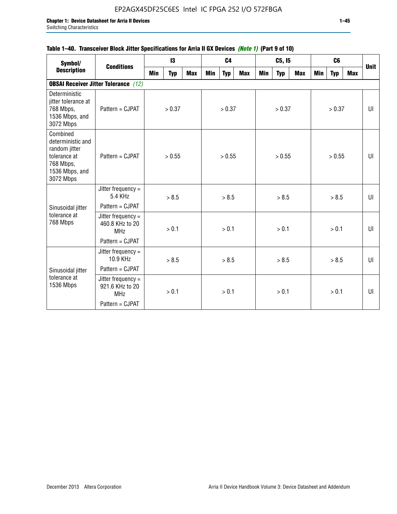# **Table 1–40. Transceiver Block Jitter Specifications for Arria II GX Devices** *(Note 1)* **(Part 9 of 10)**

| Symbol/                                                                                                    | <b>Conditions</b>                                     |            | 13         |            |     | C <sub>4</sub> |            |     | C5, I5     |            |     | C <sub>6</sub> |            |             |
|------------------------------------------------------------------------------------------------------------|-------------------------------------------------------|------------|------------|------------|-----|----------------|------------|-----|------------|------------|-----|----------------|------------|-------------|
| <b>Description</b>                                                                                         |                                                       | <b>Min</b> | <b>Typ</b> | <b>Max</b> | Min | <b>Typ</b>     | <b>Max</b> | Min | <b>Typ</b> | <b>Max</b> | Min | <b>Typ</b>     | <b>Max</b> | <b>Unit</b> |
|                                                                                                            | <b>OBSAI Receiver Jitter Tolerance</b> (12)           |            |            |            |     |                |            |     |            |            |     |                |            |             |
| Deterministic<br>jitter tolerance at<br>768 Mbps,<br>1536 Mbps, and<br>3072 Mbps                           | Pattern = CJPAT                                       |            | > 0.37     |            |     | > 0.37         |            |     | > 0.37     |            |     | > 0.37         |            | UI          |
| Combined<br>deterministic and<br>random jitter<br>tolerance at<br>768 Mbps,<br>1536 Mbps, and<br>3072 Mbps | Pattern = CJPAT                                       |            | > 0.55     |            |     | > 0.55         |            |     | > 0.55     |            |     | > 0.55         |            | UI          |
|                                                                                                            | Jitter frequency $=$<br>5.4 KHz                       |            | > 8.5      |            |     | > 8.5          |            |     | > 8.5      |            |     | > 8.5          |            | UI          |
| Sinusoidal jitter                                                                                          | Pattern = CJPAT                                       |            |            |            |     |                |            |     |            |            |     |                |            |             |
| tolerance at<br>768 Mbps                                                                                   | Jitter frequency $=$<br>460.8 KHz to 20<br><b>MHz</b> |            | > 0.1      |            |     | > 0.1          |            |     | > 0.1      |            |     | > 0.1          |            | UI          |
|                                                                                                            | Pattern = CJPAT                                       |            |            |            |     |                |            |     |            |            |     |                |            |             |
|                                                                                                            | Jitter frequency $=$<br>10.9 KHz                      |            | > 8.5      |            |     | > 8.5          |            |     | > 8.5      |            |     | > 8.5          |            | UI          |
| Sinusoidal jitter                                                                                          | Pattern = CJPAT                                       |            |            |            |     |                |            |     |            |            |     |                |            |             |
| tolerance at<br>1536 Mbps                                                                                  | Jitter frequency $=$<br>921.6 KHz to 20<br><b>MHz</b> |            | > 0.1      |            |     | > 0.1          |            |     | > 0.1      |            |     | > 0.1          |            | UI          |
|                                                                                                            | Pattern = CJPAT                                       |            |            |            |     |                |            |     |            |            |     |                |            |             |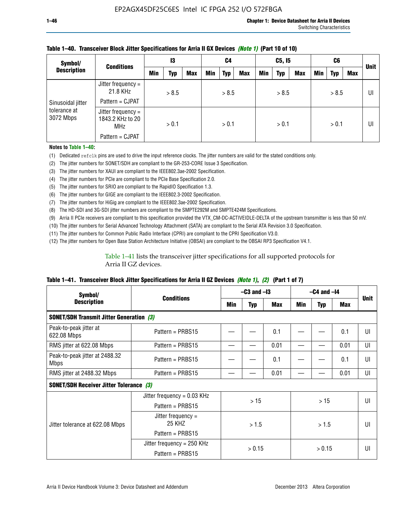| Symbol/                   | <b>Conditions</b>                                    | 13  |       | C4         |     | C5, I5     |            |            | C6         |     |     | <b>Unit</b> |     |    |
|---------------------------|------------------------------------------------------|-----|-------|------------|-----|------------|------------|------------|------------|-----|-----|-------------|-----|----|
| <b>Description</b>        |                                                      | Min | Typ   | <b>Max</b> | Min | <b>Typ</b> | <b>Max</b> | <b>Min</b> | <b>Typ</b> | Max | Min | <b>Typ</b>  | Max |    |
|                           | Jitter frequency =<br>21.8 KHz                       |     | > 8.5 |            |     | > 8.5      |            |            | > 8.5      |     |     | > 8.5       |     | UI |
| Sinusoidal jitter         | Pattern = CJPAT                                      |     |       |            |     |            |            |            |            |     |     |             |     |    |
| tolerance at<br>3072 Mbps | Jitter frequency =<br>1843.2 KHz to 20<br><b>MHz</b> |     | > 0.1 |            |     | > 0.1      |            |            | > 0.1      |     |     | > 0.1       |     | UI |
|                           | Pattern = CJPAT                                      |     |       |            |     |            |            |            |            |     |     |             |     |    |

### **Table 1–40. Transceiver Block Jitter Specifications for Arria II GX Devices** *(Note 1)* **(Part 10 of 10)**

**Notes to Table 1–40:**

(1) Dedicated refclk pins are used to drive the input reference clocks. The jitter numbers are valid for the stated conditions only.

(2) The jitter numbers for SONET/SDH are compliant to the GR-253-CORE Issue 3 Specification.

(3) The jitter numbers for XAUI are compliant to the IEEE802.3ae-2002 Specification.

(4) The jitter numbers for PCIe are compliant to the PCIe Base Specification 2.0.

(5) The jitter numbers for SRIO are compliant to the RapidIO Specification 1.3.

(6) The jitter numbers for GIGE are compliant to the IEEE802.3-2002 Specification.

(7) The jitter numbers for HiGig are compliant to the IEEE802.3ae-2002 Specification.

(8) The HD-SDI and 3G-SDI jitter numbers are compliant to the SMPTE292M and SMPTE424M Specifications.

(9) Arria II PCIe receivers are compliant to this specification provided the VTX\_CM-DC-ACTIVEIDLE-DELTA of the upstream transmitter is less than 50 mV.

(10) The jitter numbers for Serial Advanced Technology Attachment (SATA) are compliant to the Serial ATA Revision 3.0 Specification.

(11) The jitter numbers for Common Public Radio Interface (CPRI) are compliant to the CPRI Specification V3.0.

(12) The jitter numbers for Open Base Station Architecture Initiative (OBSAI) are compliant to the OBSAI RP3 Specification V4.1.

Table 1–41 lists the transceiver jitter specifications for all supported protocols for Arria II GZ devices.

### **Table 1–41. Transceiver Block Jitter Specifications for Arria II GZ Devices** *(Note 1)***,** *(2)* **(Part 1 of 7)**

| Symbol/                                         | <b>Conditions</b>             | $-C3$ and $-I3$ |            |      | $-C4$ and $-I4$ | <b>Unit</b> |            |    |
|-------------------------------------------------|-------------------------------|-----------------|------------|------|-----------------|-------------|------------|----|
| <b>Description</b>                              |                               | Min             | <b>Typ</b> | Max  | Min             | <b>Typ</b>  | <b>Max</b> |    |
| <b>SONET/SDH Transmit Jitter Generation (3)</b> |                               |                 |            |      |                 |             |            |    |
| Peak-to-peak jitter at<br>622.08 Mbps           | Pattern = $PRBS15$            |                 |            | 0.1  |                 |             | 0.1        | UI |
| RMS jitter at 622.08 Mbps                       | Pattern = $PRBS15$            |                 |            | 0.01 |                 |             | 0.01       | UI |
| Peak-to-peak jitter at 2488.32<br><b>Mbps</b>   | Pattern = $PRBS15$            |                 |            | 0.1  |                 |             | 0.1        | UI |
| RMS jitter at 2488.32 Mbps                      | Pattern = $PRBS15$            |                 |            | 0.01 |                 |             | 0.01       | UI |
| <b>SONET/SDH Receiver Jitter Tolerance (3)</b>  |                               |                 |            |      |                 |             |            |    |
|                                                 | Jitter frequency = $0.03$ KHz |                 | >15        |      | >15             |             |            | UI |
|                                                 | Pattern = $PRBS15$            |                 |            |      |                 |             |            |    |
| Jitter tolerance at 622.08 Mbps                 | Jitter frequency =<br>25 KHZ  |                 | > 1.5      |      | > 1.5           |             |            | UI |
|                                                 | Pattern = $PRBS15$            |                 |            |      |                 |             |            |    |
|                                                 | Jitter frequency = $250$ KHz  |                 | > 0.15     |      |                 | > 0.15      |            | UI |
|                                                 | Pattern = $PRBS15$            |                 |            |      |                 |             |            |    |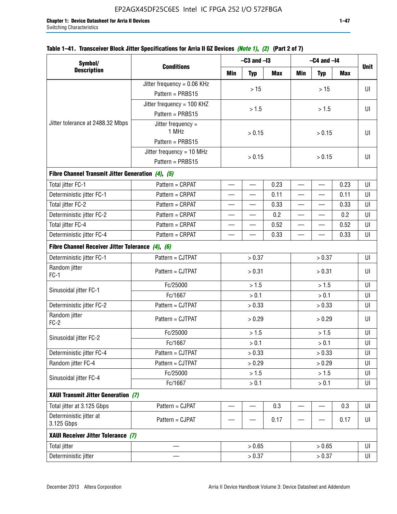| Symbol/                                           |                               |      | $-C3$ and $-I3$          |            |            | $-C4$ and $-I4$          |            |             |
|---------------------------------------------------|-------------------------------|------|--------------------------|------------|------------|--------------------------|------------|-------------|
| <b>Description</b>                                | <b>Conditions</b>             | Min  | <b>Typ</b>               | <b>Max</b> | <b>Min</b> | <b>Typ</b>               | <b>Max</b> | <b>Unit</b> |
|                                                   | Jitter frequency = $0.06$ KHz |      |                          |            |            |                          |            |             |
|                                                   | Pattern = PRBS15              |      | $>15$                    |            |            | $>15$                    |            | UI          |
|                                                   | Jitter frequency = 100 KHZ    |      |                          |            |            |                          |            |             |
|                                                   | Pattern = PRBS15              |      | > 1.5                    |            |            | > 1.5                    |            | UI          |
| Jitter tolerance at 2488.32 Mbps                  | Jitter frequency =<br>1 MHz   |      | > 0.15                   |            |            | > 0.15                   |            |             |
|                                                   | Pattern = PRBS15              |      |                          |            |            |                          |            |             |
|                                                   | Jitter frequency = 10 MHz     |      | > 0.15                   |            |            | UI                       |            |             |
|                                                   | Pattern = PRBS15              |      |                          |            |            | > 0.15                   |            |             |
| Fibre Channel Transmit Jitter Generation (4), (5) |                               |      |                          |            |            |                          |            |             |
| Total jitter FC-1                                 | Pattern = CRPAT               |      | $\overline{\phantom{0}}$ | 0.23       |            | $\overline{\phantom{0}}$ | 0.23       | UI          |
| Deterministic jitter FC-1                         | Pattern = CRPAT               |      |                          | 0.11       |            |                          | 0.11       | UI          |
| Total jitter FC-2                                 | Pattern = CRPAT               |      |                          | 0.33       |            |                          | 0.33       | UI          |
| Deterministic jitter FC-2                         | Pattern = CRPAT               |      |                          | 0.2        |            |                          | 0.2        | UI          |
| Total jitter FC-4                                 | Pattern = CRPAT               |      |                          | 0.52       |            |                          | 0.52       | UI          |
| Deterministic jitter FC-4                         | Pattern = CRPAT               | 0.33 |                          |            |            | 0.33                     | UI         |             |
| Fibre Channel Receiver Jitter Tolerance (4), (6)  |                               |      |                          |            |            |                          |            |             |
| Deterministic jitter FC-1                         | Pattern = CJTPAT              |      | > 0.37                   |            |            | > 0.37                   |            | UI          |
| Random jitter<br>$FC-1$                           | Pattern = CJTPAT              |      | > 0.31                   |            | > 0.31     |                          |            | UI          |
| Sinusoidal jitter FC-1                            | Fc/25000                      |      | > 1.5                    |            | > 1.5      |                          |            | UI          |
|                                                   | Fc/1667                       |      | > 0.1                    |            |            | > 0.1                    |            | UI          |
| Deterministic jitter FC-2                         | Pattern = CJTPAT              |      | > 0.33                   |            |            | > 0.33                   |            | UI          |
| Random jitter<br>$FC-2$                           | Pattern = CJTPAT              |      | > 0.29                   |            |            | > 0.29                   |            | UI          |
| Sinusoidal jitter FC-2                            | Fc/25000                      |      | > 1.5                    |            |            | > 1.5                    |            | UI          |
|                                                   | Fc/1667                       |      | > 0.1                    |            |            | > 0.1                    |            | $\sf{UI}$   |
| Deterministic jitter FC-4                         | Pattern = CJTPAT              |      | > 0.33                   |            |            | > 0.33                   |            | UI          |
| Random jitter FC-4                                | Pattern = CJTPAT              |      | > 0.29                   |            |            | > 0.29                   |            | UI          |
| Sinusoidal jitter FC-4                            | Fc/25000                      |      | > 1.5                    |            |            | > 1.5                    |            | UI          |
|                                                   | Fc/1667                       |      | > 0.1                    |            |            | > 0.1                    |            | UI          |
| XAUI Transmit Jitter Generation (7)               |                               |      |                          |            |            |                          |            |             |
| Total jitter at 3.125 Gbps                        | Pattern = CJPAT               |      |                          | 0.3        |            |                          | 0.3        | UI          |
| Deterministic jitter at<br>3.125 Gbps             | Pattern = CJPAT               |      |                          | 0.17       |            |                          | 0.17       | UI          |
| XAUI Receiver Jitter Tolerance (7)                |                               |      |                          |            |            |                          |            |             |
| <b>Total jitter</b>                               |                               |      | > 0.65                   |            |            | > 0.65                   |            | UI          |
| Deterministic jitter                              |                               |      | > 0.37                   |            |            | > 0.37                   |            | UI          |

# **Table 1–41. Transceiver Block Jitter Specifications for Arria II GZ Devices** *(Note 1)***,** *(2)* **(Part 2 of 7)**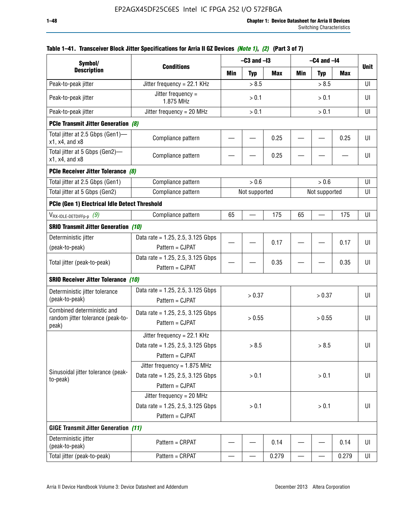| Symbol/                                                                  |                                                                                           |       | $-C3$ and $-I3$ |            |            | $-C4$ and $-I4$ |       |             |
|--------------------------------------------------------------------------|-------------------------------------------------------------------------------------------|-------|-----------------|------------|------------|-----------------|-------|-------------|
| <b>Description</b>                                                       | <b>Conditions</b>                                                                         | Min   | <b>Typ</b>      | <b>Max</b> | <b>Min</b> | <b>Typ</b>      | Max   | <b>Unit</b> |
| Peak-to-peak jitter                                                      | Jitter frequency = 22.1 KHz                                                               |       | > 8.5           |            |            | > 8.5           |       | UI          |
| Peak-to-peak jitter                                                      | Jitter frequency =<br>1.875 MHz                                                           |       | > 0.1           |            |            | > 0.1           |       | UI          |
| Peak-to-peak jitter                                                      | Jitter frequency = $20$ MHz                                                               | > 0.1 |                 |            | > 0.1      |                 |       | UI          |
| <b>PCIe Transmit Jitter Generation (8)</b>                               |                                                                                           |       |                 |            |            |                 |       |             |
| Total jitter at 2.5 Gbps (Gen1)-<br>x1, x4, and x8                       | Compliance pattern                                                                        |       |                 | 0.25       |            |                 | 0.25  | UI          |
| Total jitter at 5 Gbps (Gen2)-<br>x1, x4, and x8                         | Compliance pattern                                                                        |       |                 | 0.25       |            |                 |       | UI          |
| PCIe Receiver Jitter Tolerance (8)                                       |                                                                                           |       |                 |            |            |                 |       |             |
| Total jitter at 2.5 Gbps (Gen1)                                          | Compliance pattern                                                                        |       | > 0.6           |            |            | > 0.6           |       | UI          |
| Total jitter at 5 Gbps (Gen2)                                            | Compliance pattern                                                                        |       | Not supported   |            |            | Not supported   |       | UI          |
| PCIe (Gen 1) Electrical Idle Detect Threshold                            |                                                                                           |       |                 |            |            |                 |       |             |
| $V_{\text{RX-IDLE-DEFp-p}}(9)$                                           | Compliance pattern                                                                        | 65    |                 | 175        | 65         |                 | 175   | UI          |
| <b>SRIO Transmit Jitter Generation (10)</b>                              |                                                                                           |       |                 |            |            |                 |       |             |
| Deterministic jitter                                                     | Data rate = 1.25, 2.5, 3.125 Gbps                                                         |       |                 |            |            |                 |       | UI          |
| (peak-to-peak)                                                           | Pattern = CJPAT                                                                           |       |                 | 0.17       |            |                 | 0.17  |             |
| Total jitter (peak-to-peak)                                              | Data rate = $1.25$ , 2.5, 3.125 Gbps<br>Pattern = CJPAT                                   |       |                 | 0.35       |            |                 | 0.35  | UI          |
| <b>SRIO Receiver Jitter Tolerance (10)</b>                               |                                                                                           |       |                 |            |            |                 |       |             |
| Deterministic jitter tolerance<br>(peak-to-peak)                         | Data rate = $1.25$ , 2.5, 3.125 Gbps<br>Pattern = CJPAT                                   |       | > 0.37          |            |            | > 0.37          |       | UI          |
| Combined deterministic and<br>random jitter tolerance (peak-to-<br>peak) | Data rate = $1.25$ , 2.5, 3.125 Gbps<br>Pattern = CJPAT                                   |       | > 0.55          |            |            | > 0.55          |       | UI          |
|                                                                          | Jitter frequency = $22.1$ KHz<br>Data rate = 1.25, 2.5, 3.125 Gbps<br>Pattern = CJPAT     |       | > 8.5           |            |            | > 8.5           |       | U           |
| Sinusoidal jitter tolerance (peak-<br>to-peak)                           | Jitter frequency = $1.875$ MHz<br>Data rate = $1.25$ , 2.5, 3.125 Gbps<br>Pattern = CJPAT |       | > 0.1           |            |            | > 0.1           |       | UI          |
|                                                                          | Jitter frequency = $20$ MHz<br>Data rate = 1.25, 2.5, 3.125 Gbps<br>Pattern = CJPAT       | > 0.1 |                 |            | > 0.1      |                 |       | UI          |
| <b>GIGE Transmit Jitter Generation (11)</b>                              |                                                                                           |       |                 |            |            |                 |       |             |
| Deterministic jitter<br>(peak-to-peak)                                   | Pattern = CRPAT                                                                           |       |                 | 0.14       |            |                 | 0.14  | UI          |
| Total jitter (peak-to-peak)                                              | Pattern = CRPAT                                                                           |       |                 | 0.279      |            |                 | 0.279 | UI          |

# **Table 1–41. Transceiver Block Jitter Specifications for Arria II GZ Devices** *(Note 1)***,** *(2)* **(Part 3 of 7)**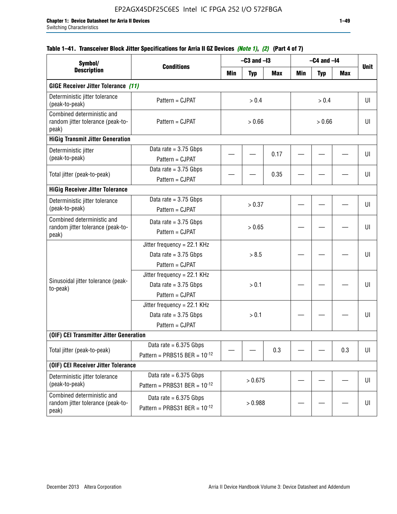| Symbol/                                                                  |                                                                             |         | $-C3$ and $-I3$ |      |        | $-C4$ and $-I4$ |            |             |
|--------------------------------------------------------------------------|-----------------------------------------------------------------------------|---------|-----------------|------|--------|-----------------|------------|-------------|
| <b>Description</b>                                                       | <b>Conditions</b>                                                           | Min     | <b>Typ</b>      | Max  | Min    | <b>Typ</b>      | <b>Max</b> | <b>Unit</b> |
| <b>GIGE Receiver Jitter Tolerance (11)</b>                               |                                                                             |         |                 |      |        |                 |            |             |
| Deterministic jitter tolerance<br>(peak-to-peak)                         | Pattern = CJPAT                                                             |         | > 0.4           |      |        | > 0.4           |            | UI          |
| Combined deterministic and<br>random jitter tolerance (peak-to-<br>peak) | Pattern = CJPAT                                                             | > 0.66  |                 |      | > 0.66 |                 |            | UI          |
| <b>HiGig Transmit Jitter Generation</b>                                  |                                                                             |         |                 |      |        |                 |            |             |
| Deterministic jitter<br>(peak-to-peak)                                   | Data rate = $3.75$ Gbps<br>Pattern = CJPAT                                  |         |                 | 0.17 |        |                 |            | UI          |
| Total jitter (peak-to-peak)                                              | Data rate = $3.75$ Gbps<br>Pattern = CJPAT                                  |         |                 | 0.35 |        |                 |            | UI          |
| <b>HiGig Receiver Jitter Tolerance</b>                                   |                                                                             |         |                 |      |        |                 |            |             |
| Deterministic jitter tolerance<br>(peak-to-peak)                         | Data rate = $3.75$ Gbps<br>Pattern = CJPAT                                  | > 0.37  |                 |      |        |                 |            | UI          |
| Combined deterministic and<br>random jitter tolerance (peak-to-<br>peak) | Data rate $= 3.75$ Gbps<br>Pattern = CJPAT                                  | > 0.65  |                 |      |        |                 |            | UI          |
|                                                                          | Jitter frequency = $22.1$ KHz<br>Data rate = $3.75$ Gbps<br>Pattern = CJPAT | > 8.5   |                 |      |        |                 | UI         |             |
| Sinusoidal jitter tolerance (peak-<br>to-peak)                           | Jitter frequency = 22.1 KHz<br>Data rate $= 3.75$ Gbps<br>Pattern = CJPAT   |         | > 0.1           |      |        |                 |            | UI          |
|                                                                          | Jitter frequency = 22.1 KHz<br>Data rate = $3.75$ Gbps<br>Pattern = CJPAT   |         | > 0.1           |      |        |                 |            | UI          |
| (OIF) CEI Transmitter Jitter Generation                                  |                                                                             |         |                 |      |        |                 |            |             |
| Total jitter (peak-to-peak)                                              | Data rate = $6.375$ Gbps<br>Pattern = PRBS15 BER = $10^{-12}$               |         |                 | 0.3  |        |                 | 0.3        | UI          |
| (OIF) CEI Receiver Jitter Tolerance                                      |                                                                             |         |                 |      |        |                 |            |             |
| Deterministic jitter tolerance<br>(peak-to-peak)                         | Data rate = $6.375$ Gbps<br>Pattern = PRBS31 BER = $10^{-12}$               | > 0.675 |                 |      |        |                 | UI         |             |
| Combined deterministic and<br>random jitter tolerance (peak-to-<br>peak) | Data rate = $6.375$ Gbps<br>Pattern = PRBS31 BER = $10^{-12}$               |         | > 0.988         |      |        |                 |            | UI          |

# **Table 1–41. Transceiver Block Jitter Specifications for Arria II GZ Devices** *(Note 1)***,** *(2)* **(Part 4 of 7)**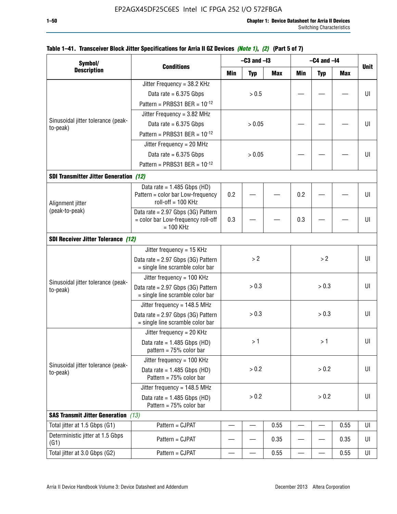| Symbol/                                                                                                                                                                                                                                                                                                                                                                                                                                                                                                                                                                                                                                       |                                                                        |                          | $-C3$ and $-I3$ |            |                          | $-C4$ and $-I4$          |            |             |
|-----------------------------------------------------------------------------------------------------------------------------------------------------------------------------------------------------------------------------------------------------------------------------------------------------------------------------------------------------------------------------------------------------------------------------------------------------------------------------------------------------------------------------------------------------------------------------------------------------------------------------------------------|------------------------------------------------------------------------|--------------------------|-----------------|------------|--------------------------|--------------------------|------------|-------------|
| <b>Description</b>                                                                                                                                                                                                                                                                                                                                                                                                                                                                                                                                                                                                                            | <b>Conditions</b>                                                      | Min                      | <b>Typ</b>      | <b>Max</b> | Min                      | <b>Typ</b>               | <b>Max</b> | <b>Unit</b> |
|                                                                                                                                                                                                                                                                                                                                                                                                                                                                                                                                                                                                                                               | Jitter Frequency = 38.2 KHz                                            |                          |                 |            |                          |                          |            |             |
|                                                                                                                                                                                                                                                                                                                                                                                                                                                                                                                                                                                                                                               | Data rate = $6.375$ Gbps                                               |                          | > 0.5           |            |                          |                          |            | UI          |
|                                                                                                                                                                                                                                                                                                                                                                                                                                                                                                                                                                                                                                               | Pattern = PRBS31 BER = $10^{-12}$                                      |                          |                 |            |                          |                          |            |             |
|                                                                                                                                                                                                                                                                                                                                                                                                                                                                                                                                                                                                                                               | Jitter Frequency = 3.82 MHz                                            |                          |                 |            |                          |                          |            |             |
|                                                                                                                                                                                                                                                                                                                                                                                                                                                                                                                                                                                                                                               | Data rate = $6.375$ Gbps                                               |                          | > 0.05          |            |                          |                          |            | UI          |
|                                                                                                                                                                                                                                                                                                                                                                                                                                                                                                                                                                                                                                               | Pattern = PRBS31 BER = $10^{-12}$                                      |                          |                 |            |                          |                          |            |             |
|                                                                                                                                                                                                                                                                                                                                                                                                                                                                                                                                                                                                                                               | Jitter Frequency = 20 MHz                                              |                          |                 |            |                          |                          |            |             |
|                                                                                                                                                                                                                                                                                                                                                                                                                                                                                                                                                                                                                                               | Data rate = $6.375$ Gbps                                               |                          | > 0.05          |            |                          |                          |            | UI          |
|                                                                                                                                                                                                                                                                                                                                                                                                                                                                                                                                                                                                                                               | Pattern = PRBS31 BER = $10^{-12}$                                      |                          |                 |            |                          |                          |            |             |
|                                                                                                                                                                                                                                                                                                                                                                                                                                                                                                                                                                                                                                               |                                                                        |                          |                 |            |                          |                          |            |             |
|                                                                                                                                                                                                                                                                                                                                                                                                                                                                                                                                                                                                                                               | Data rate = $1.485$ Gbps (HD)                                          |                          |                 |            |                          |                          |            |             |
|                                                                                                                                                                                                                                                                                                                                                                                                                                                                                                                                                                                                                                               | Pattern = color bar Low-frequency<br>$roll-off = 100 KHz$              | 0.2                      |                 |            | 0.2                      |                          |            | UI          |
| (peak-to-peak)                                                                                                                                                                                                                                                                                                                                                                                                                                                                                                                                                                                                                                | Data rate = 2.97 Gbps (3G) Pattern                                     |                          |                 |            |                          |                          |            |             |
|                                                                                                                                                                                                                                                                                                                                                                                                                                                                                                                                                                                                                                               | = color bar Low-frequency roll-off<br>$= 100$ KHz                      | 0.3                      |                 |            | 0.3                      |                          |            | UI          |
|                                                                                                                                                                                                                                                                                                                                                                                                                                                                                                                                                                                                                                               |                                                                        |                          |                 |            |                          |                          |            |             |
|                                                                                                                                                                                                                                                                                                                                                                                                                                                                                                                                                                                                                                               | Jitter frequency = 15 KHz                                              |                          |                 |            |                          |                          |            |             |
|                                                                                                                                                                                                                                                                                                                                                                                                                                                                                                                                                                                                                                               | Data rate = 2.97 Gbps (3G) Pattern<br>= single line scramble color bar | >2                       |                 |            | >2                       |                          | UI         |             |
|                                                                                                                                                                                                                                                                                                                                                                                                                                                                                                                                                                                                                                               | Jitter frequency = 100 KHz                                             |                          |                 |            |                          |                          |            |             |
|                                                                                                                                                                                                                                                                                                                                                                                                                                                                                                                                                                                                                                               | Data rate = 2.97 Gbps (3G) Pattern<br>= single line scramble color bar |                          | > 0.3           |            | > 0.3                    |                          |            | UI          |
|                                                                                                                                                                                                                                                                                                                                                                                                                                                                                                                                                                                                                                               | Jitter frequency = 148.5 MHz                                           |                          |                 |            |                          |                          |            |             |
| Sinusoidal jitter tolerance (peak-<br>to-peak)<br><b>SDI Transmitter Jitter Generation (12)</b><br>Alignment jitter<br><b>SDI Receiver Jitter Tolerance (12)</b><br>Sinusoidal jitter tolerance (peak-<br>to-peak)<br>Jitter frequency = $20$ KHz<br>pattern = $75%$ color bar<br>Jitter frequency = 100 KHz<br>Sinusoidal jitter tolerance (peak-<br>to-peak)<br>Pattern = $75%$ color bar<br>Pattern = $75%$ color bar<br><b>SAS Transmit Jitter Generation</b> (13)<br>Total jitter at 1.5 Gbps (G1)<br>Pattern = CJPAT<br>Deterministic jitter at 1.5 Gbps<br>Pattern = CJPAT<br>(G1)<br>Total jitter at 3.0 Gbps (G2)<br>Pattern = CJPAT | Data rate = 2.97 Gbps (3G) Pattern<br>= single line scramble color bar |                          | > 0.3           |            |                          | > 0.3                    |            | UI          |
|                                                                                                                                                                                                                                                                                                                                                                                                                                                                                                                                                                                                                                               |                                                                        |                          |                 |            |                          |                          |            |             |
|                                                                                                                                                                                                                                                                                                                                                                                                                                                                                                                                                                                                                                               | Data rate = $1.485$ Gbps (HD)                                          |                          | >1              |            |                          | >1                       |            | UI          |
|                                                                                                                                                                                                                                                                                                                                                                                                                                                                                                                                                                                                                                               |                                                                        |                          |                 |            |                          |                          |            |             |
|                                                                                                                                                                                                                                                                                                                                                                                                                                                                                                                                                                                                                                               | Data rate = $1.485$ Gbps (HD)                                          |                          | > 0.2           |            |                          | > 0.2                    |            | UI          |
|                                                                                                                                                                                                                                                                                                                                                                                                                                                                                                                                                                                                                                               | Jitter frequency = $148.5$ MHz                                         |                          |                 |            |                          |                          |            |             |
|                                                                                                                                                                                                                                                                                                                                                                                                                                                                                                                                                                                                                                               | Data rate = $1.485$ Gbps (HD)                                          | > 0.2                    |                 | > 0.2      |                          |                          | UI         |             |
|                                                                                                                                                                                                                                                                                                                                                                                                                                                                                                                                                                                                                                               |                                                                        |                          |                 |            |                          |                          |            |             |
|                                                                                                                                                                                                                                                                                                                                                                                                                                                                                                                                                                                                                                               |                                                                        |                          |                 | 0.55       |                          | $\overline{\phantom{0}}$ | 0.55       | UI          |
|                                                                                                                                                                                                                                                                                                                                                                                                                                                                                                                                                                                                                                               |                                                                        |                          |                 | 0.35       |                          |                          | 0.35       | UI          |
|                                                                                                                                                                                                                                                                                                                                                                                                                                                                                                                                                                                                                                               |                                                                        | $\overline{\phantom{0}}$ |                 | 0.55       | $\overline{\phantom{0}}$ | $\overline{\phantom{0}}$ | 0.55       | UI          |

# **Table 1–41. Transceiver Block Jitter Specifications for Arria II GZ Devices** *(Note 1)***,** *(2)* **(Part 5 of 7)**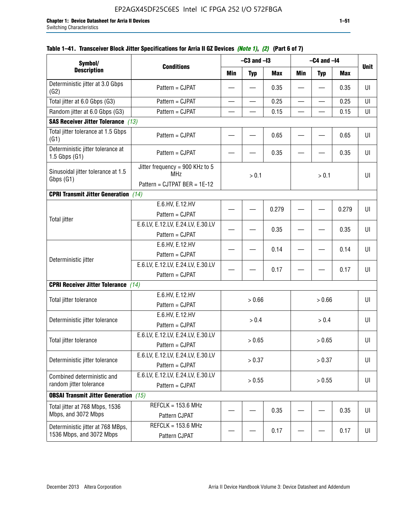| Symbol/                                                       |                                                                               |                          | $-C3$ and $-I3$          |            |                          | $-C4$ and $-I4$          |       |             |
|---------------------------------------------------------------|-------------------------------------------------------------------------------|--------------------------|--------------------------|------------|--------------------------|--------------------------|-------|-------------|
| <b>Description</b>                                            | <b>Conditions</b>                                                             | <b>Min</b>               | <b>Typ</b>               | <b>Max</b> | Min                      | <b>Typ</b>               | Max   | <b>Unit</b> |
| Deterministic jitter at 3.0 Gbps<br>(G2)                      | Pattern = CJPAT                                                               |                          |                          | 0.35       |                          |                          | 0.35  | UI          |
| Total jitter at 6.0 Gbps (G3)                                 | Pattern = CJPAT                                                               | $\overline{\phantom{0}}$ | $\overline{\phantom{0}}$ | 0.25       | $\overline{\phantom{0}}$ | $\overline{\phantom{0}}$ | 0.25  | UI          |
| Random jitter at 6.0 Gbps (G3)                                | Pattern = CJPAT                                                               |                          |                          | 0.15       |                          |                          | 0.15  | UI          |
| <b>SAS Receiver Jitter Tolerance (13)</b>                     |                                                                               |                          |                          |            |                          |                          |       |             |
| Total jitter tolerance at 1.5 Gbps<br>(G1)                    | Pattern = CJPAT                                                               |                          |                          | 0.65       |                          |                          | 0.65  | UI          |
| Deterministic jitter tolerance at<br>$1.5$ Gbps $(G1)$        | Pattern = CJPAT                                                               |                          |                          | 0.35       |                          |                          | 0.35  | UI          |
| Sinusoidal jitter tolerance at 1.5<br>Gbps (G1)               | Jitter frequency = 900 KHz to 5<br><b>MHz</b><br>Pattern = CJTPAT BER = 1E-12 |                          | > 0.1                    |            |                          | > 0.1                    |       | UI          |
| <b>CPRI Transmit Jitter Generation</b> (14)                   |                                                                               |                          |                          |            |                          |                          |       |             |
|                                                               | E.6.HV, E.12.HV<br>Pattern = CJPAT                                            |                          |                          | 0.279      |                          |                          | 0.279 | UI          |
| <b>Total jitter</b>                                           | E.6.LV, E.12.LV, E.24.LV, E.30.LV<br>Pattern = CJPAT                          |                          |                          | 0.35       |                          |                          | 0.35  | UI          |
|                                                               | E.6.HV, E.12.HV<br>Pattern = CJPAT                                            |                          |                          | 0.14       |                          |                          | 0.14  | UI          |
| Deterministic jitter                                          | E.6.LV, E.12.LV, E.24.LV, E.30.LV<br>Pattern = CJPAT                          |                          |                          | 0.17       |                          |                          | 0.17  | UI          |
| <b>CPRI Receiver Jitter Tolerance</b> (14)                    |                                                                               |                          |                          |            |                          |                          |       |             |
| Total jitter tolerance                                        | E.6.HV, E.12.HV<br>Pattern = CJPAT                                            |                          | > 0.66                   |            |                          | > 0.66                   |       | UI          |
| Deterministic jitter tolerance                                | E.6.HV, E.12.HV<br>Pattern = CJPAT                                            |                          | > 0.4                    |            |                          | > 0.4                    |       | UI          |
| Total jitter tolerance                                        | E.6.LV, E.12.LV, E.24.LV, E.30.LV<br>Pattern = CJPAT                          |                          | > 0.65                   |            |                          | > 0.65                   |       | UI          |
| Deterministic jitter tolerance                                | E.6.LV, E.12.LV, E.24.LV, E.30.LV<br>Pattern = CJPAT                          |                          | > 0.37                   |            |                          | > 0.37                   |       | UI          |
| Combined deterministic and<br>random jitter tolerance         | E.6.LV, E.12.LV, E.24.LV, E.30.LV<br>Pattern = CJPAT                          | > 0.55<br>> 0.55         |                          |            | U                        |                          |       |             |
| <b>OBSAI Transmit Jitter Generation</b> (15)                  |                                                                               |                          |                          |            |                          |                          |       |             |
| Total jitter at 768 Mbps, 1536<br>Mbps, and 3072 Mbps         | $REFCLK = 153.6 MHz$<br>Pattern CJPAT                                         |                          |                          | 0.35       |                          |                          | 0.35  | UI          |
| Deterministic jitter at 768 MBps,<br>1536 Mbps, and 3072 Mbps | $REFCLK = 153.6 MHz$<br>Pattern CJPAT                                         |                          |                          | 0.17       |                          |                          | 0.17  | UI          |

# **Table 1–41. Transceiver Block Jitter Specifications for Arria II GZ Devices** *(Note 1)***,** *(2)* **(Part 6 of 7)**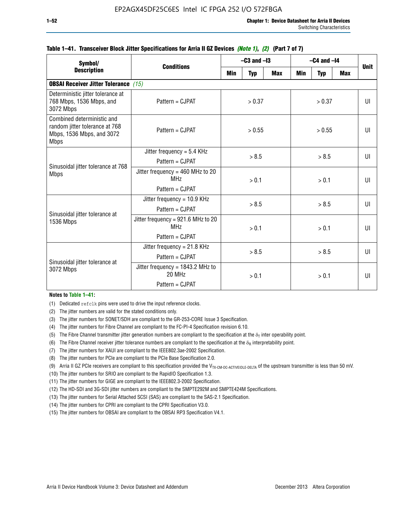| Symbol/                                                                                                  | <b>Conditions</b>                                                        | $-C3$ and $-I3$ |                  |            | $-C4$ and $-I4$ | <b>Unit</b>  |            |              |  |
|----------------------------------------------------------------------------------------------------------|--------------------------------------------------------------------------|-----------------|------------------|------------|-----------------|--------------|------------|--------------|--|
| <b>Description</b>                                                                                       |                                                                          | Min             | <b>Typ</b>       | <b>Max</b> | <b>Min</b>      | <b>Typ</b>   | <b>Max</b> |              |  |
| <b>OBSAI Receiver Jitter Tolerance (15)</b>                                                              |                                                                          |                 |                  |            |                 |              |            |              |  |
| Deterministic jitter tolerance at<br>768 Mbps, 1536 Mbps, and<br>3072 Mbps                               | Pattern = CJPAT                                                          |                 | > 0.37<br>> 0.37 |            |                 | UI           |            |              |  |
| Combined deterministic and<br>random jitter tolerance at 768<br>Mbps, 1536 Mbps, and 3072<br><b>Mbps</b> | $Pattern = C.IPATH$                                                      |                 | > 0.55           |            |                 | > 0.55       |            | $\mathbf{U}$ |  |
|                                                                                                          | Jitter frequency = $5.4$ KHz<br>$Pattern = C.IPATH$                      | > 8.5           |                  | > 8.5      |                 | $\mathbf{U}$ |            |              |  |
| Sinusoidal jitter tolerance at 768<br><b>Mbps</b>                                                        | Jitter frequency = $460$ MHz to 20<br><b>MHz</b><br>Pattern = CJPAT      |                 | > 0.1            |            |                 | > 0.1        |            | $\mathbf{U}$ |  |
| Sinusoidal jitter tolerance at                                                                           | Jitter frequency = $10.9$ KHz<br>Pattern = CJPAT                         |                 | > 8.5            |            |                 | > 8.5        |            | $\mathbf{U}$ |  |
| 1536 Mbps                                                                                                | Jitter frequency = 921.6 MHz to 20<br>MH <sub>7</sub><br>Pattern = CJPAT |                 | > 0.1            |            | > 0.1           |              |            | UI           |  |
|                                                                                                          | Jitter frequency = $21.8$ KHz<br>Pattern = CJPAT                         | > 8.5           |                  | > 8.5      |                 |              | UI         |              |  |
| Sinusoidal jitter tolerance at<br>3072 Mbps                                                              | Jitter frequency = $1843.2$ MHz to<br>20 MHz<br>Pattern = CJPAT          | > 0.1           |                  | > 0.1      |                 |              | UI         |              |  |

### **Table 1–41. Transceiver Block Jitter Specifications for Arria II GZ Devices** *(Note 1)***,** *(2)* **(Part 7 of 7)**

#### **Notes to Table 1–41:**

(1) Dedicated refclk pins were used to drive the input reference clocks.

- (2) The jitter numbers are valid for the stated conditions only.
- (3) The jitter numbers for SONET/SDH are compliant to the GR-253-CORE Issue 3 Specification.
- (4) The jitter numbers for Fibre Channel are compliant to the FC-PI-4 Specification revision 6.10.
- (5) The Fibre Channel transmitter jitter generation numbers are compliant to the specification at the  $\delta_T$  inter operability point.
- (6) The Fibre Channel receiver jitter tolerance numbers are compliant to the specification at the  $\delta_R$  interpretability point.
- (7) The jitter numbers for XAUI are compliant to the IEEE802.3ae-2002 Specification.
- (8) The jitter numbers for PCIe are compliant to the PCIe Base Specification 2.0.
- (9) Arria II GZ PCIe receivers are compliant to this specification provided the V<sub>TX-CM-DC-ACTIVEIDLE-DELTA</sub> of the upstream transmitter is less than 50 mV.
- (10) The jitter numbers for SRIO are compliant to the RapidIO Specification 1.3.
- (11) The jitter numbers for GIGE are compliant to the IEEE802.3-2002 Specification.
- (12) The HD-SDI and 3G-SDI jitter numbers are compliant to the SMPTE292M and SMPTE424M Specifications.
- (13) The jitter numbers for Serial Attached SCSI (SAS) are compliant to the SAS-2.1 Specification.
- (14) The jitter numbers for CPRI are compliant to the CPRI Specification V3.0.
- (15) The jitter numbers for OBSAI are compliant to the OBSAI RP3 Specification V4.1.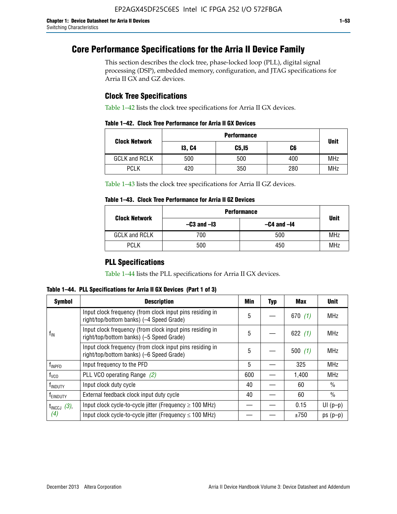# **Core Performance Specifications for the Arria II Device Family**

This section describes the clock tree, phase-locked loop (PLL), digital signal processing (DSP), embedded memory, configuration, and JTAG specifications for Arria II GX and GZ devices.

# **Clock Tree Specifications**

Table 1–42 lists the clock tree specifications for Arria II GX devices.

| Table 1–42. Clock Tree Performance for Arria II GX Devices |  |  |
|------------------------------------------------------------|--|--|
|------------------------------------------------------------|--|--|

|                      | <b>Performance</b> |        |     |             |  |  |  |
|----------------------|--------------------|--------|-----|-------------|--|--|--|
| <b>Clock Network</b> | <b>13, C4</b>      | C5, I5 | C6  | <b>Unit</b> |  |  |  |
| <b>GCLK and RCLK</b> | 500                | 500    | 400 | <b>MHz</b>  |  |  |  |
| <b>PCLK</b>          | 420                | 350    | 280 | <b>MHz</b>  |  |  |  |

Table 1–43 lists the clock tree specifications for Arria II GZ devices.

## **Table 1–43. Clock Tree Performance for Arria II GZ Devices**

| <b>Clock Network</b> | <b>Performance</b> |                 |             |  |  |  |
|----------------------|--------------------|-----------------|-------------|--|--|--|
|                      | $-C3$ and $-I3$    | $-C4$ and $-I4$ | <b>Unit</b> |  |  |  |
| <b>GCLK and RCLK</b> | 700                | 500             | <b>MHz</b>  |  |  |  |
| <b>PCLK</b>          | 500                | 450             | <b>MHz</b>  |  |  |  |

# **PLL Specifications**

Table 1–44 lists the PLL specifications for Arria II GX devices.

**Table 1–44. PLL Specifications for Arria II GX Devices (Part 1 of 3)**

| <b>Symbol</b>              | <b>Description</b>                                                                                   | Min | <b>Typ</b> | Max       | <b>Unit</b>   |
|----------------------------|------------------------------------------------------------------------------------------------------|-----|------------|-----------|---------------|
|                            | Input clock frequency (from clock input pins residing in<br>right/top/bottom banks) (-4 Speed Grade) | 5   |            | 670(1)    | <b>MHz</b>    |
| $f_{\parallel N}$          | Input clock frequency (from clock input pins residing in<br>right/top/bottom banks) (-5 Speed Grade) | 5   |            | 622 $(1)$ | <b>MHz</b>    |
|                            | Input clock frequency (from clock input pins residing in<br>right/top/bottom banks) (-6 Speed Grade) | 5   |            | 500(1)    | <b>MHz</b>    |
| f <sub>INPFD</sub>         | Input frequency to the PFD                                                                           | 5   |            | 325       | <b>MHz</b>    |
| $f_{\rm VCO}$              | PLL VCO operating Range (2)                                                                          | 600 |            | 1,400     | <b>MHz</b>    |
| <b>f</b> <sub>INDUTY</sub> | Input clock duty cycle                                                                               | 40  |            | 60        | $\frac{0}{0}$ |
| T <sub>EINDUTY</sub>       | External feedback clock input duty cycle                                                             | 40  |            | 60        | $\frac{0}{0}$ |
| $t_{\text{INCCJ}}$ (3),    | Input clock cycle-to-cycle jitter (Frequency $\geq$ 100 MHz)                                         |     |            | 0.15      | $UI(p-p)$     |
| (4)                        | Input clock cycle-to-cycle jitter (Frequency $\leq 100$ MHz)                                         |     |            | ±750      | $ps(p-p)$     |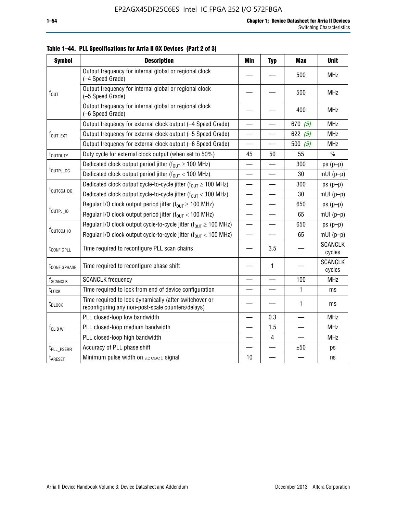| <b>Symbol</b>            | <b>Description</b>                                                                                          | <b>Min</b>               | <b>Typ</b>               | <b>Max</b>               | <b>Unit</b>              |
|--------------------------|-------------------------------------------------------------------------------------------------------------|--------------------------|--------------------------|--------------------------|--------------------------|
|                          | Output frequency for internal global or regional clock<br>(-4 Speed Grade)                                  |                          |                          | 500                      | <b>MHz</b>               |
| $f_{\text{OUT}}$         | Output frequency for internal global or regional clock<br>(-5 Speed Grade)                                  |                          |                          | 500                      | <b>MHz</b>               |
|                          | Output frequency for internal global or regional clock<br>(-6 Speed Grade)                                  |                          |                          | 400                      | <b>MHz</b>               |
|                          | Output frequency for external clock output (-4 Speed Grade)                                                 |                          |                          | 670 $(5)$                | <b>MHz</b>               |
| f <sub>out_ext</sub>     | Output frequency for external clock output (-5 Speed Grade)                                                 |                          |                          | 622 $(5)$                | <b>MHz</b>               |
|                          | Output frequency for external clock output (-6 Speed Grade)                                                 | $\overline{\phantom{0}}$ |                          | 500 $(5)$                | <b>MHz</b>               |
| t <sub>outduty</sub>     | Duty cycle for external clock output (when set to 50%)                                                      | 45                       | 50                       | 55                       | $\%$                     |
|                          | Dedicated clock output period jitter ( $f_{OUT} \ge 100$ MHz)                                               |                          |                          | 300                      | $ps(p-p)$                |
| t <sub>outpj_dc</sub>    | Dedicated clock output period jitter ( $f_{OUT}$ < 100 MHz)                                                 | $\overline{\phantom{0}}$ | $\overline{\phantom{0}}$ | 30                       | $mUI(p-p)$               |
|                          | Dedicated clock output cycle-to-cycle jitter ( $f_{OUT} \ge 100$ MHz)                                       |                          |                          | 300                      | $ps(p-p)$                |
| t <sub>outccj_dc</sub>   | Dedicated clock output cycle-to-cycle jitter ( $f_{OUT}$ < 100 MHz)                                         | $\overline{\phantom{0}}$ |                          | 30                       | $mUI(p-p)$               |
|                          | Regular I/O clock output period jitter ( $f_{OUT} \ge 100$ MHz)                                             |                          |                          | 650                      | $ps(p-p)$                |
| $f_{\text{OUTPJ\_10}}$   | Regular I/O clock output period jitter ( $f_{OUT}$ < 100 MHz)                                               |                          |                          | 65                       | $mUI(p-p)$               |
|                          | Regular I/O clock output cycle-to-cycle jitter ( $f_{OUT} \ge 100$ MHz)                                     |                          |                          | 650                      | $ps(p-p)$                |
| f <sub>outccj_io</sub>   | Regular I/O clock output cycle-to-cycle jitter $(f_{OIII} < 100 \text{ MHz})$                               | $\overline{\phantom{0}}$ |                          | 65                       | $mUI(p-p)$               |
| t <sub>configpll</sub>   | Time required to reconfigure PLL scan chains                                                                |                          | 3.5                      |                          | <b>SCANCLK</b><br>cycles |
| t <sub>configphase</sub> | Time required to reconfigure phase shift                                                                    |                          | 1                        |                          | <b>SCANCLK</b><br>cycles |
| f <sub>SCANCLK</sub>     | <b>SCANCLK</b> frequency                                                                                    |                          |                          | 100                      | <b>MHz</b>               |
| t <sub>LOCK</sub>        | Time required to lock from end of device configuration                                                      |                          |                          | $\mathbf{1}$             | ms                       |
| t <sub>DLOCK</sub>       | Time required to lock dynamically (after switchover or<br>reconfiguring any non-post-scale counters/delays) |                          |                          | $\mathbf{1}$             | ms                       |
|                          | PLL closed-loop low bandwidth                                                                               |                          | 0.3                      | $\overline{\phantom{a}}$ | <b>MHz</b>               |
| $f_{CL B W}$             | PLL closed-loop medium bandwidth                                                                            |                          | 1.5                      | $\overline{\phantom{0}}$ | <b>MHz</b>               |
|                          | PLL closed-loop high bandwidth                                                                              |                          | $\overline{\mathbf{4}}$  |                          | <b>MHz</b>               |
| t <sub>PLL_PSERR</sub>   | Accuracy of PLL phase shift                                                                                 |                          |                          | ±50                      | ps                       |
| t <sub>ARESET</sub>      | Minimum pulse width on areset signal                                                                        | 10                       |                          |                          | ns                       |

**Table 1–44. PLL Specifications for Arria II GX Devices (Part 2 of 3)**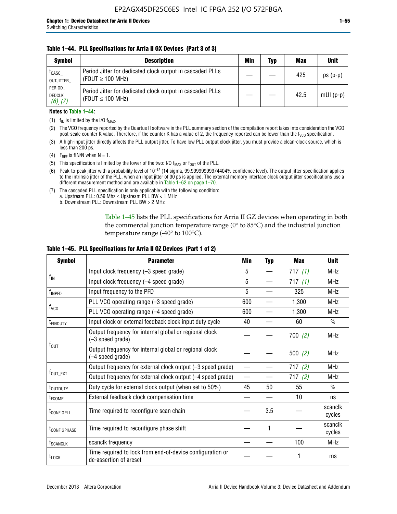### **Table 1–44. PLL Specifications for Arria II GX Devices (Part 3 of 3)**

| <b>Symbol</b>                            | <b>Description</b>                                                                 | Min | Typ | <b>Max</b> | <b>Unit</b> |
|------------------------------------------|------------------------------------------------------------------------------------|-----|-----|------------|-------------|
| t <sub>CASC</sub><br>OUTJITTER           | Period Jitter for dedicated clock output in cascaded PLLs<br>(FOUT $\geq$ 100 MHz) |     |     | 425        | $ps(p-p)$   |
| PERIOD<br><b>DEDCLK</b><br>$(6)$ , $(7)$ | Period Jitter for dedicated clock output in cascaded PLLs<br>(FOUT $\leq$ 100 MHz) |     |     | 42.5       | $mUI(p-p)$  |

#### **Notes to Table 1–44:**

- (1)  $f_{IN}$  is limited by the I/O  $f_{MAX}$ .
- (2) The VCO frequency reported by the Quartus II software in the PLL summary section of the compilation report takes into consideration the VCO post-scale counter K value. Therefore, if the counter K has a value of 2, the frequency reported can be lower than the f<sub>VCO</sub> specification.
- (3) A high-input jitter directly affects the PLL output jitter. To have low PLL output clock jitter, you must provide a clean-clock source, which is less than 200 ps.
- (4) F<sub>REF</sub> is fIN/N when N = 1.
- (5) This specification is limited by the lower of the two: I/O  $f_{MAX}$  or  $f_{OUT}$  of the PLL.
- (6) Peak-to-peak jitter with a probability level of 10–12 (14 sigma, 99.99999999974404% confidence level). The output jitter specification applies to the intrinsic jitter of the PLL, when an input jitter of 30 ps is applied. The external memory interface clock output jitter specifications use a different measurement method and are available in Table 1–62 on page 1–70.
- (7) The cascaded PLL specification is only applicable with the following condition: a. Upstream PLL:  $0.59$  Mhz  $\leq$  Upstream PLL BW  $<$  1 MHz
	- b. Downstream PLL: Downstream PLL BW > 2 MHz

Table 1–45 lists the PLL specifications for Arria II GZ devices when operating in both the commercial junction temperature range (0° to 85°C) and the industrial junction temperature range (-40 $\degree$  to 100 $\degree$ C).

| <b>Symbol</b>              | <b>Parameter</b>                                                                    | Min                      | <b>Typ</b> | <b>Max</b> | <b>Unit</b>       |
|----------------------------|-------------------------------------------------------------------------------------|--------------------------|------------|------------|-------------------|
|                            | Input clock frequency (-3 speed grade)                                              | 5                        |            | 717(1)     | <b>MHz</b>        |
| $f_{IN}$                   | Input clock frequency (-4 speed grade)                                              | 5                        |            | 717(1)     | <b>MHz</b>        |
| $f_{\mathsf{INPPD}}$       | Input frequency to the PFD                                                          | 5                        |            | 325        | <b>MHz</b>        |
|                            | PLL VCO operating range (-3 speed grade)                                            | 600                      |            | 1,300      | <b>MHz</b>        |
| $f_{\rm VCO}$              | PLL VCO operating range (-4 speed grade)                                            | 600                      |            | 1,300      | <b>MHz</b>        |
| <b>TEINDUTY</b>            | Input clock or external feedback clock input duty cycle                             | 40                       |            | 60         | $\frac{0}{0}$     |
|                            | Output frequency for internal global or regional clock<br>(-3 speed grade)          |                          |            | 700(2)     | <b>MHz</b>        |
| $f_{\text{OUT}}$           | Output frequency for internal global or regional clock<br>(-4 speed grade)          |                          |            | 500(2)     | <b>MHz</b>        |
|                            | Output frequency for external clock output (-3 speed grade)                         | $\overline{\phantom{0}}$ |            | 717(2)     | <b>MHz</b>        |
| $f_{\text{OUT\_EXT}}$      | Output frequency for external clock output (-4 speed grade)                         | $\overline{\phantom{0}}$ |            | 717(2)     | <b>MHz</b>        |
| t <sub>outduty</sub>       | Duty cycle for external clock output (when set to 50%)                              | 45                       | 50         | 55         | $\frac{0}{0}$     |
| t <sub>FCOMP</sub>         | External feedback clock compensation time                                           |                          |            | 10         | ns                |
| t <sub>configpll</sub>     | Time required to reconfigure scan chain                                             |                          | 3.5        |            | scanclk<br>cycles |
| <b><i>LCONFIGPHASE</i></b> | Time required to reconfigure phase shift                                            |                          | 1          |            | scanclk<br>cycles |
| f <sub>SCANCLK</sub>       | scanclk frequency                                                                   |                          |            | 100        | <b>MHz</b>        |
| t <sub>LOCK</sub>          | Time required to lock from end-of-device configuration or<br>de-assertion of areset |                          |            |            | ms                |

#### **Table 1–45. PLL Specifications for Arria II GZ Devices (Part 1 of 2)**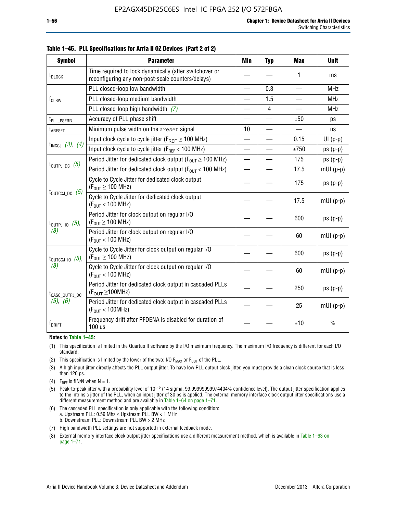| <b>Symbol</b>                  | <b>Parameter</b>                                                                                            | Min                      | <b>Typ</b>     | <b>Max</b>      | <b>Unit</b>   |
|--------------------------------|-------------------------------------------------------------------------------------------------------------|--------------------------|----------------|-----------------|---------------|
| t <sub>DLOCK</sub>             | Time required to lock dynamically (after switchover or<br>reconfiguring any non-post-scale counters/delays) |                          |                | 1               | ms            |
|                                | PLL closed-loop low bandwidth                                                                               |                          | 0.3            |                 | <b>MHz</b>    |
| f <sub>CLBW</sub>              | PLL closed-loop medium bandwidth                                                                            |                          | 1.5            | $\qquad \qquad$ | <b>MHz</b>    |
|                                | PLL closed-loop high bandwidth $(7)$                                                                        |                          | $\overline{4}$ |                 | <b>MHz</b>    |
| t <sub>PLL_PSERR</sub>         | Accuracy of PLL phase shift                                                                                 |                          |                | ±50             | ps            |
| t <sub>ARESET</sub>            | Minimum pulse width on the areset signal                                                                    | 10                       |                |                 | ns            |
|                                | Input clock cycle to cycle jitter ( $F_{REF} \ge 100$ MHz)                                                  |                          |                | 0.15            | $UI(p-p)$     |
| $t_{INCCJ}$ (3), (4)           | Input clock cycle to cycle jitter (FREF < 100 MHz)                                                          | $\overline{\phantom{0}}$ |                | ±750            | $ps(p-p)$     |
|                                | Period Jitter for dedicated clock output ( $F_{OUT} \ge 100$ MHz)                                           | $\overline{\phantom{0}}$ |                | 175             | $ps(p-p)$     |
| $t_{\text{OUTPJ\_DC}}$ (5)     | Period Jitter for dedicated clock output ( $F_{OUT}$ < 100 MHz)                                             |                          |                | 17.5            | $mUI(p-p)$    |
|                                | Cycle to Cycle Jitter for dedicated clock output<br>$(F_{OUT} \ge 100$ MHz)                                 |                          |                | 175             | $ps(p-p)$     |
| $t_{\text{OUTCCJ\_DC}}$ (5)    | Cycle to Cycle Jitter for dedicated clock output<br>(F <sub>OUT</sub> < 100 MHz)                            |                          |                | 17.5            | $mUI(p-p)$    |
| $t_{\text{OUTPJ\_IO}}$ (5),    | Period Jitter for clock output on regular I/O<br>$(F_{OUT} \ge 100$ MHz)                                    |                          |                | 600             | $ps(p-p)$     |
| (8)                            | Period Jitter for clock output on regular I/O<br>$(F_{OUT}$ < 100 MHz)                                      |                          |                | 60              | $mUI(p-p)$    |
| $t_{\text{OUTCCJ 10}}$ $(5)$ , | Cycle to Cycle Jitter for clock output on regular I/O<br>$(F_{OUT} \ge 100$ MHz)                            |                          |                | 600             | $ps(p-p)$     |
| (8)                            | Cycle to Cycle Jitter for clock output on regular I/O<br>$(F_{OUT} < 100$ MHz)                              |                          |                | 60              | $mUI(p-p)$    |
| t <sub>CASC_OUTPJ_DC</sub>     | Period Jitter for dedicated clock output in cascaded PLLs<br>$(F_{OUT} \ge 100MHz)$                         |                          |                | 250             | $ps(p-p)$     |
| (5), (6)                       | Period Jitter for dedicated clock output in cascaded PLLs<br>(F <sub>OUT</sub> < 100MHz)                    |                          |                | 25              | $mUI(p-p)$    |
| f <sub>DRIFT</sub>             | Frequency drift after PFDENA is disabled for duration of<br>$100$ us                                        |                          |                | ±10             | $\frac{0}{0}$ |

**Table 1–45. PLL Specifications for Arria II GZ Devices (Part 2 of 2)**

#### **Notes to Table 1–45:**

- (1) This specification is limited in the Quartus II software by the I/O maximum frequency. The maximum I/O frequency is different for each I/O standard.
- (2) This specification is limited by the lower of the two: I/O  $F_{MAX}$  or  $F_{OUT}$  of the PLL.
- (3) A high input jitter directly affects the PLL output jitter. To have low PLL output clock jitter, you must provide a clean clock source that is less than 120 ps.
- (4) F<sub>REF</sub> is fIN/N when  $N = 1$ .
- (5) Peak-to-peak jitter with a probability level of 10–12 (14 sigma, 99.99999999974404% confidence level). The output jitter specification applies to the intrinsic jitter of the PLL, when an input jitter of 30 ps is applied. The external memory interface clock output jitter specifications use a different measurement method and are available in Table 1–64 on page 1–71.
- (6) The cascaded PLL specification is only applicable with the following condition: a. Upstream PLL: 0.59 Mhz  $\leq$  Upstream PLL BW  $<$  1 MHz b. Downstream PLL: Downstream PLL BW > 2 MHz
- (7) High bandwidth PLL settings are not supported in external feedback mode.
- (8) External memory interface clock output jitter specifications use a different measurement method, which is available in Table 1–63 on page 1–71.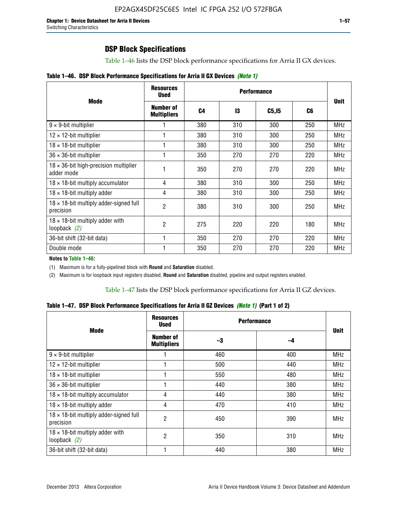Table 1–46 lists the DSP block performance specifications for Arria II GX devices.

|  |  | Table 1–46. DSP Block Performance Specifications for Arria II GX Devices (Note 1) |  |  |  |  |  |
|--|--|-----------------------------------------------------------------------------------|--|--|--|--|--|
|--|--|-----------------------------------------------------------------------------------|--|--|--|--|--|

|                                                             | <b>Resources</b><br><b>Used</b> |                |     |        |     |             |
|-------------------------------------------------------------|---------------------------------|----------------|-----|--------|-----|-------------|
| <b>Mode</b>                                                 | Number of<br><b>Multipliers</b> | C <sub>4</sub> | 13  | C5, I5 | C6  | <b>Unit</b> |
| $9 \times 9$ -bit multiplier                                |                                 | 380            | 310 | 300    | 250 | <b>MHz</b>  |
| $12 \times 12$ -bit multiplier                              |                                 | 380            | 310 | 300    | 250 | <b>MHz</b>  |
| $18 \times 18$ -bit multiplier                              |                                 | 380            | 310 | 300    | 250 | <b>MHz</b>  |
| $36 \times 36$ -bit multiplier                              |                                 | 350            | 270 | 270    | 220 | <b>MHz</b>  |
| $18 \times 36$ -bit high-precision multiplier<br>adder mode |                                 | 350            | 270 | 270    | 220 | <b>MHz</b>  |
| $18 \times 18$ -bit multiply accumulator                    | 4                               | 380            | 310 | 300    | 250 | <b>MHz</b>  |
| $18 \times 18$ -bit multiply adder                          | 4                               | 380            | 310 | 300    | 250 | <b>MHz</b>  |
| $18 \times 18$ -bit multiply adder-signed full<br>precision | 2                               | 380            | 310 | 300    | 250 | <b>MHz</b>  |
| $18 \times 18$ -bit multiply adder with<br>loopback $(2)$   | 2                               | 275            | 220 | 220    | 180 | <b>MHz</b>  |
| 36-bit shift (32-bit data)                                  |                                 | 350            | 270 | 270    | 220 | <b>MHz</b>  |
| Double mode                                                 |                                 | 350            | 270 | 270    | 220 | <b>MHz</b>  |

**Notes to Table 1–46:**

(1) Maximum is for a fully-pipelined block with **Round** and **Saturation** disabled.

(2) Maximum is for loopback input registers disabled, **Round** and **Saturation** disabled, pipeline and output registers enabled.

Table 1–47 lists the DSP block performance specifications for Arria II GZ devices.

**Table 1–47. DSP Block Performance Specifications for Arria II GZ Devices** *(Note 1)* **(Part 1 of 2)**

| <b>Mode</b>                                                 | <b>Resources</b><br><b>Used</b>        | <b>Performance</b> |     | <b>Unit</b> |
|-------------------------------------------------------------|----------------------------------------|--------------------|-----|-------------|
|                                                             | <b>Number of</b><br><b>Multipliers</b> | -3                 | -4  |             |
| $9 \times 9$ -bit multiplier                                |                                        | 460                | 400 | <b>MHz</b>  |
| $12 \times 12$ -bit multiplier                              |                                        | 500                | 440 | <b>MHz</b>  |
| $18 \times 18$ -bit multiplier                              |                                        | 550                | 480 | <b>MHz</b>  |
| $36 \times 36$ -bit multiplier                              |                                        | 440                | 380 | <b>MHz</b>  |
| $18 \times 18$ -bit multiply accumulator                    | 4                                      | 440                | 380 | <b>MHz</b>  |
| $18 \times 18$ -bit multiply adder                          | 4                                      | 470                | 410 | <b>MHz</b>  |
| $18 \times 18$ -bit multiply adder-signed full<br>precision | 2                                      | 450                | 390 | <b>MHz</b>  |
| $18 \times 18$ -bit multiply adder with<br>loopback $(2)$   | $\overline{c}$                         | 350                | 310 | <b>MHz</b>  |
| 36-bit shift (32-bit data)                                  |                                        | 440                | 380 | <b>MHz</b>  |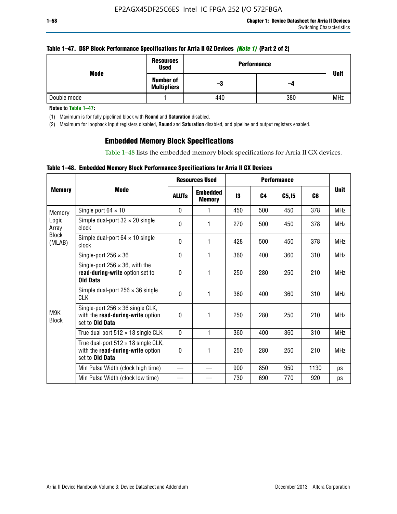### **Table 1–47. DSP Block Performance Specifications for Arria II GZ Devices** *(Note 1)* **(Part 2 of 2)**

| Mode        | <b>Resources</b><br><b>Used</b>        | <b>Performance</b> |     | <b>Unit</b> |
|-------------|----------------------------------------|--------------------|-----|-------------|
|             | <b>Number of</b><br><b>Multipliers</b> | -3                 | -4  |             |
| Double mode |                                        | 440                | 380 | <b>MHz</b>  |

**Notes to Table 1–47:**

(1) Maximum is for fully pipelined block with **Round** and **Saturation** disabled.

(2) Maximum for loopback input registers disabled, **Round** and **Saturation** disabled, and pipeline and output registers enabled.

# **Embedded Memory Block Specifications**

Table 1–48 lists the embedded memory block specifications for Arria II GX devices.

### **Table 1–48. Embedded Memory Block Performance Specifications for Arria II GX Devices**

|                        | <b>Resources Used</b>                                                                                     |              |                                  |     |                |        |      |             |
|------------------------|-----------------------------------------------------------------------------------------------------------|--------------|----------------------------------|-----|----------------|--------|------|-------------|
| <b>Memory</b>          | Mode                                                                                                      | <b>ALUTs</b> | <b>Embedded</b><br><b>Memory</b> | 13  | C <sub>4</sub> | C5, I5 | C6   | <b>Unit</b> |
| Memory                 | Single port $64 \times 10$                                                                                | $\Omega$     | 1                                | 450 | 500            | 450    | 378  | <b>MHz</b>  |
| Logic<br>Array         | Simple dual-port $32 \times 20$ single<br>clock                                                           | 0            | 1                                | 270 | 500            | 450    | 378  | <b>MHz</b>  |
| <b>Block</b><br>(MLAB) | Simple dual-port $64 \times 10$ single<br>clock                                                           | $\Omega$     | 1                                | 428 | 500            | 450    | 378  | <b>MHz</b>  |
|                        | Single-port $256 \times 36$                                                                               | $\Omega$     | 1                                | 360 | 400            | 360    | 310  | <b>MHz</b>  |
|                        | Single-port $256 \times 36$ , with the<br>read-during-write option set to<br><b>Old Data</b>              | $\theta$     | 1                                | 250 | 280            | 250    | 210  | <b>MHz</b>  |
|                        | Simple dual-port $256 \times 36$ single<br><b>CLK</b>                                                     | 0            | 1                                | 360 | 400            | 360    | 310  | <b>MHz</b>  |
| M9K<br><b>Block</b>    | Single-port $256 \times 36$ single CLK,<br>with the read-during-write option<br>set to <b>Old Data</b>    | $\Omega$     | 1                                | 250 | 280            | 250    | 210  | <b>MHz</b>  |
|                        | True dual port $512 \times 18$ single CLK                                                                 | $\Omega$     | 1                                | 360 | 400            | 360    | 310  | <b>MHz</b>  |
|                        | True dual-port $512 \times 18$ single CLK,<br>with the read-during-write option<br>set to <b>Old Data</b> | 0            | 1                                | 250 | 280            | 250    | 210  | <b>MHz</b>  |
|                        | Min Pulse Width (clock high time)                                                                         |              |                                  | 900 | 850            | 950    | 1130 | ps          |
|                        | Min Pulse Width (clock low time)                                                                          |              |                                  | 730 | 690            | 770    | 920  | ps          |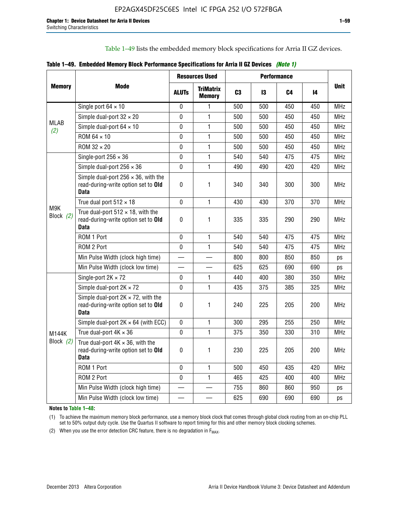Table 1–49 lists the embedded memory block specifications for Arria II GZ devices.

|  |  | Table 1–49. Embedded Memory Block Performance Specifications for Arria II GZ Devices (Note 1) |  |  |
|--|--|-----------------------------------------------------------------------------------------------|--|--|
|--|--|-----------------------------------------------------------------------------------------------|--|--|

|                    |                                                                                                   | <b>Resources Used</b> |                                   | <b>Performance</b> |     |     |     |             |
|--------------------|---------------------------------------------------------------------------------------------------|-----------------------|-----------------------------------|--------------------|-----|-----|-----|-------------|
| <b>Memory</b>      | Mode                                                                                              | <b>ALUTS</b>          | <b>TriMatrix</b><br><b>Memory</b> | C <sub>3</sub>     | 13  | C4  | 14  | <b>Unit</b> |
|                    | Single port $64 \times 10$                                                                        | 0                     | 1                                 | 500                | 500 | 450 | 450 | MHz         |
|                    | Simple dual-port $32 \times 20$                                                                   | $\Omega$              | $\mathbf{1}$                      | 500                | 500 | 450 | 450 | <b>MHz</b>  |
| <b>MLAB</b><br>(2) | Simple dual-port $64 \times 10$                                                                   | 0                     | 1                                 | 500                | 500 | 450 | 450 | <b>MHz</b>  |
|                    | ROM 64 × 10                                                                                       | $\mathbf 0$           | $\mathbf{1}$                      | 500                | 500 | 450 | 450 | <b>MHz</b>  |
|                    | $ROM 32 \times 20$                                                                                | 0                     | 1                                 | 500                | 500 | 450 | 450 | <b>MHz</b>  |
|                    | Single-port $256 \times 36$                                                                       | $\mathbf 0$           | $\mathbf{1}$                      | 540                | 540 | 475 | 475 | <b>MHz</b>  |
|                    | Simple dual-port $256 \times 36$                                                                  | $\Omega$              | 1                                 | 490                | 490 | 420 | 420 | <b>MHz</b>  |
|                    | Simple dual-port $256 \times 36$ , with the<br>read-during-write option set to Old<br><b>Data</b> | $\pmb{0}$             | 1                                 | 340                | 340 | 300 | 300 | <b>MHz</b>  |
|                    | True dual port $512 \times 18$                                                                    | $\mathbf{0}$          | 1                                 | 430                | 430 | 370 | 370 | <b>MHz</b>  |
| M9K<br>Block (2)   | True dual-port $512 \times 18$ , with the<br>read-during-write option set to Old<br><b>Data</b>   | $\mathbf 0$           | 1                                 | 335                | 335 | 290 | 290 | <b>MHz</b>  |
|                    | ROM 1 Port                                                                                        | $\mathbf 0$           | 1                                 | 540                | 540 | 475 | 475 | <b>MHz</b>  |
|                    | ROM 2 Port                                                                                        | $\mathbf 0$           | 1                                 | 540                | 540 | 475 | 475 | <b>MHz</b>  |
|                    | Min Pulse Width (clock high time)                                                                 |                       |                                   | 800                | 800 | 850 | 850 | ps          |
|                    | Min Pulse Width (clock low time)                                                                  |                       |                                   | 625                | 625 | 690 | 690 | ps          |
|                    | Single-port $2K \times 72$                                                                        | 0                     | 1.                                | 440                | 400 | 380 | 350 | <b>MHz</b>  |
|                    | Simple dual-port $2K \times 72$                                                                   | $\mathbf{0}$          | 1                                 | 435                | 375 | 385 | 325 | <b>MHz</b>  |
|                    | Simple dual-port $2K \times 72$ , with the<br>read-during-write option set to Old<br><b>Data</b>  | 0                     | 1                                 | 240                | 225 | 205 | 200 | <b>MHz</b>  |
|                    | Simple dual-port $2K \times 64$ (with ECC)                                                        | $\mathbf 0$           | 1                                 | 300                | 295 | 255 | 250 | <b>MHz</b>  |
| <b>M144K</b>       | True dual-port $4K \times 36$                                                                     | $\mathbf 0$           | $\mathbf{1}$                      | 375                | 350 | 330 | 310 | <b>MHz</b>  |
| Block (2)          | True dual-port $4K \times 36$ , with the<br>read-during-write option set to Old<br><b>Data</b>    | 0                     | 1                                 | 230                | 225 | 205 | 200 | <b>MHz</b>  |
|                    | ROM 1 Port                                                                                        | $\mathbf 0$           | 1                                 | 500                | 450 | 435 | 420 | <b>MHz</b>  |
|                    | ROM 2 Port                                                                                        | 0                     | $\mathbf{1}$                      | 465                | 425 | 400 | 400 | MHz         |
|                    | Min Pulse Width (clock high time)                                                                 |                       |                                   | 755                | 860 | 860 | 950 | ps          |
|                    | Min Pulse Width (clock low time)                                                                  |                       |                                   | 625                | 690 | 690 | 690 | ps          |

**Notes to Table 1–48:**

(1) To achieve the maximum memory block performance, use a memory block clock that comes through global clock routing from an on-chip PLL set to 50% output duty cycle. Use the Quartus II software to report timing for this and other memory block clocking schemes.

(2) When you use the error detection CRC feature, there is no degradation in  $F_{MAX}$ .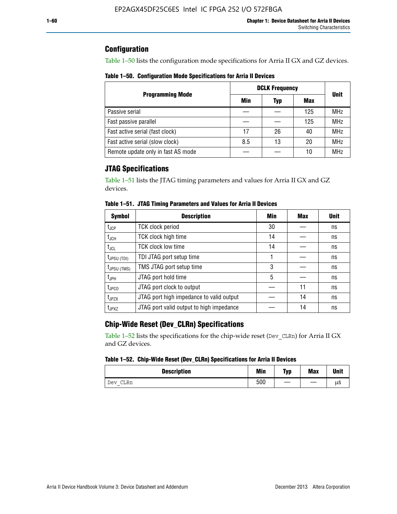# **Configuration**

Table 1–50 lists the configuration mode specifications for Arria II GX and GZ devices.

**Table 1–50. Configuration Mode Specifications for Arria II Devices**

|                                    | <b>DCLK Frequency</b> | <b>Unit</b> |     |            |
|------------------------------------|-----------------------|-------------|-----|------------|
| <b>Programming Mode</b>            | Min                   | Typ         | Max |            |
| Passive serial                     |                       |             | 125 | <b>MHz</b> |
| Fast passive parallel              |                       |             | 125 | <b>MHz</b> |
| Fast active serial (fast clock)    | 17                    | 26          | 40  | <b>MHz</b> |
| Fast active serial (slow clock)    | 8.5                   | 13          | 20  | <b>MHz</b> |
| Remote update only in fast AS mode |                       |             | 10  | <b>MHz</b> |

# **JTAG Specifications**

Table 1–51 lists the JTAG timing parameters and values for Arria II GX and GZ devices.

| <b>Symbol</b>     | <b>Description</b>                       | Min | Max | <b>Unit</b> |
|-------------------|------------------------------------------|-----|-----|-------------|
| $t_{JCP}$         | <b>TCK clock period</b>                  | 30  |     | ns          |
| $t_{JCH}$         | TCK clock high time                      | 14  |     | ns          |
| $t_{\text{JCL}}$  | <b>TCK clock low time</b>                | 14  |     | ns          |
| $t_{JPSU(TDI)}$   | TDI JTAG port setup time                 |     |     | ns          |
| $t_{JPSU\,(TMS)}$ | TMS JTAG port setup time                 | 3   |     | ns          |
| $t_{\sf JPH}$     | JTAG port hold time                      | 5   |     | ns          |
| $t_{\text{JPCO}}$ | JTAG port clock to output                |     | 11  | ns          |
| t <sub>JPZX</sub> | JTAG port high impedance to valid output |     | 14  | ns          |
| t <sub>JPXZ</sub> | JTAG port valid output to high impedance |     | 14  | ns          |

**Table 1–51. JTAG Timing Parameters and Values for Arria II Devices**

# **Chip-Wide Reset (Dev\_CLRn) Specifications**

Table 1–52 lists the specifications for the chip-wide reset (Dev\_CLRn) for Arria II GX and GZ devices.

#### **Table 1–52. Chip-Wide Reset (Dev\_CLRn) Specifications for Arria II Devices**

| <b>Description</b> | <b>Min</b> | Typ | <b>Max</b> | <b>Unit</b> |
|--------------------|------------|-----|------------|-------------|
| CLRn<br>Dev<br>$-$ | 500        |     |            | μS          |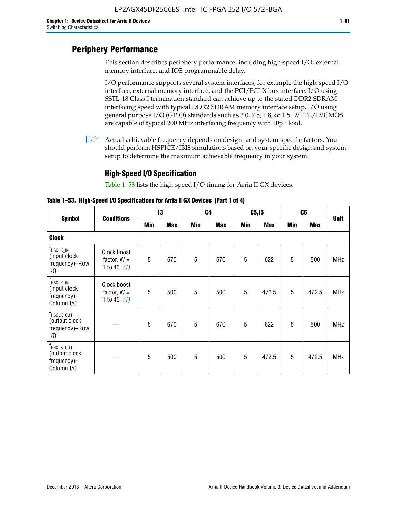# **Periphery Performance**

This section describes periphery performance, including high-speed I/O, external memory interface, and IOE programmable delay.

I/O performance supports several system interfaces, for example the high-speed I/O interface, external memory interface, and the PCI/PCI-X bus interface. I/O using SSTL-18 Class I termination standard can achieve up to the stated DDR2 SDRAM interfacing speed with typical DDR2 SDRAM memory interface setup. I/O using general purpose I/O (GPIO) standards such as 3.0, 2.5, 1.8, or 1.5 LVTTL/LVCMOS are capable of typical 200 MHz interfacing frequency with 10pF load.

 $\mathbb{I}$  Actual achievable frequency depends on design- and system-specific factors. You should perform HSPICE/IBIS simulations based on your specific design and system setup to determine the maximum achievable frequency in your system.

# **High-Speed I/O Specification**

Table 1–53 lists the high-speed I/O timing for Arria II GX devices.

**Table 1–53. High-Speed I/O Specifications for Arria II GX Devices (Part 1 of 4)**

| <b>Symbol</b>                                                        |                                               | $\mathsf{I}3$ |            | C <sub>4</sub> |            | C5, I5 |            | C <sub>6</sub> |            | <b>Unit</b> |
|----------------------------------------------------------------------|-----------------------------------------------|---------------|------------|----------------|------------|--------|------------|----------------|------------|-------------|
|                                                                      | <b>Conditions</b>                             | Min           | <b>Max</b> | Min            | <b>Max</b> | Min    | <b>Max</b> | Min            | <b>Max</b> |             |
| <b>Clock</b>                                                         |                                               |               |            |                |            |        |            |                |            |             |
| <sup>T</sup> HSCLK_IN<br>(input clock<br>frequency)-Row<br>1/0       | Clock boost<br>factor, $W =$<br>1 to 40 $(1)$ | 5             | 670        | 5              | 670        | 5      | 622        | 5              | 500        | <b>MHz</b>  |
| f <sub>HSCLK_IN</sub><br>(input clock<br>frequency)-<br>Column I/O   | Clock boost<br>factor, $W =$<br>1 to 40 $(1)$ | 5             | 500        | 5              | 500        | 5      | 472.5      | 5              | 472.5      | <b>MHz</b>  |
| T <sub>HSCLK_OUT</sub><br>(output clock<br>frequency)-Row<br>1/0     |                                               | 5             | 670        | 5              | 670        | 5      | 622        | 5              | 500        | <b>MHz</b>  |
| f <sub>HSCLK_OUT</sub><br>(output clock<br>frequency)-<br>Column I/O |                                               | 5             | 500        | 5              | 500        | 5      | 472.5      | 5              | 472.5      | <b>MHz</b>  |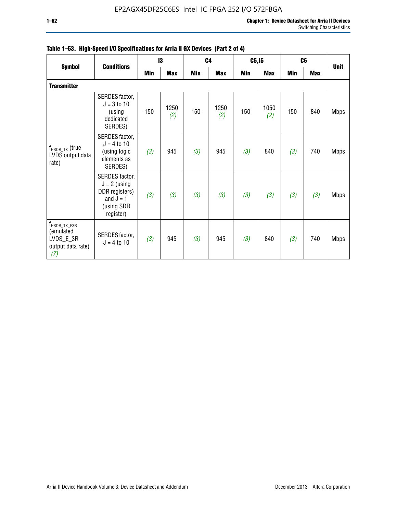|                                                                                  | <b>Conditions</b>                                                                            |     | 13          |            | C <sub>4</sub> | C5, I5 |             |            | C <sub>6</sub> | <b>Unit</b> |  |
|----------------------------------------------------------------------------------|----------------------------------------------------------------------------------------------|-----|-------------|------------|----------------|--------|-------------|------------|----------------|-------------|--|
| <b>Symbol</b>                                                                    |                                                                                              | Min | Max         | <b>Min</b> | <b>Max</b>     | Min    | <b>Max</b>  | <b>Min</b> | <b>Max</b>     |             |  |
| <b>Transmitter</b>                                                               |                                                                                              |     |             |            |                |        |             |            |                |             |  |
| $f_{HSDR_TX}$ (true<br>LVDS output data<br>rate)                                 | SERDES factor,<br>$J = 3$ to 10<br>(using<br>dedicated<br>SERDES)                            | 150 | 1250<br>(2) | 150        | 1250<br>(2)    | 150    | 1050<br>(2) | 150        | 840            | <b>Mbps</b> |  |
|                                                                                  | SERDES factor,<br>$J = 4 to 10$<br>(using logic<br>elements as<br>SERDES)                    | (3) | 945         | (3)        | 945            | (3)    | 840         | (3)        | 740            | <b>Mbps</b> |  |
|                                                                                  | SERDES factor,<br>$J = 2$ (using<br>DDR registers)<br>and $J = 1$<br>(using SDR<br>register) | (3) | (3)         | (3)        | (3)            | (3)    | (3)         | (3)        | (3)            | <b>Mbps</b> |  |
| $f_{\text{HSDR\_TX\_E3R}}$<br>(emulated<br>LVDS_E_3R<br>output data rate)<br>(7) | SERDES factor,<br>$J = 4$ to 10                                                              | (3) | 945         | (3)        | 945            | (3)    | 840         | (3)        | 740            | <b>Mbps</b> |  |

|  |  | Table 1–53. High-Speed I/O Specifications for Arria II GX Devices (Part 2 of 4) |  |  |
|--|--|---------------------------------------------------------------------------------|--|--|
|--|--|---------------------------------------------------------------------------------|--|--|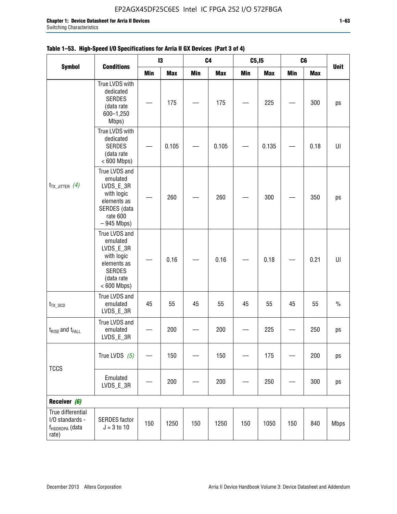|                                                                             |                                                                                                                     |     | 13         |     | C <sub>4</sub> | C5, I5     |            | C <sub>6</sub> |            | <b>Unit</b> |
|-----------------------------------------------------------------------------|---------------------------------------------------------------------------------------------------------------------|-----|------------|-----|----------------|------------|------------|----------------|------------|-------------|
| <b>Symbol</b>                                                               | <b>Conditions</b>                                                                                                   | Min | <b>Max</b> | Min | <b>Max</b>     | <b>Min</b> | <b>Max</b> | <b>Min</b>     | <b>Max</b> |             |
|                                                                             | True LVDS with<br>dedicated<br><b>SERDES</b><br>(data rate<br>600-1,250<br>Mbps)                                    |     | 175        |     | 175            |            | 225        |                | 300        | ps          |
| $t_{TX\_JITTER}$ (4)                                                        | True LVDS with<br>dedicated<br><b>SERDES</b><br>(data rate<br>$< 600$ Mbps)                                         |     | 0.105      |     | 0.105          |            | 0.135      |                | 0.18       | UI          |
|                                                                             | True LVDS and<br>emulated<br>LVDS_E_3R<br>with logic<br>elements as<br>SERDES (data<br>rate 600<br>$-945$ Mbps)     |     | 260        |     | 260            |            | 300        |                | 350        | ps          |
|                                                                             | True LVDS and<br>emulated<br>LVDS_E_3R<br>with logic<br>elements as<br><b>SERDES</b><br>(data rate<br>$< 600$ Mbps) |     | 0.16       |     | 0.16           |            | 0.18       |                | 0.21       | U           |
| $t_{TX\_DCD}$                                                               | True LVDS and<br>emulated<br>LVDS_E_3R                                                                              | 45  | 55         | 45  | 55             | 45         | 55         | 45             | 55         | $\%$        |
| $t_{RISE}$ and $t_{FALL}$                                                   | True LVDS and<br>emulated<br>LVDS_E_3R                                                                              |     | 200        |     | 200            |            | 225        |                | 250        | ps          |
|                                                                             | True LVDS $(5)$                                                                                                     |     | 150        |     | 150            |            | 175        |                | 200        | ps          |
| <b>TCCS</b>                                                                 | Emulated<br>LVDS_E_3R                                                                                               |     | 200        |     | 200            |            | 250        |                | 300        | ps          |
| Receiver (6)                                                                |                                                                                                                     |     |            |     |                |            |            |                |            |             |
| True differential<br>I/O standards -<br>f <sub>HSDRDPA</sub> (data<br>rate) | <b>SERDES</b> factor<br>$J = 3 to 10$                                                                               | 150 | 1250       | 150 | 1250           | 150        | 1050       | 150            | 840        | <b>Mbps</b> |

# **Table 1–53. High-Speed I/O Specifications for Arria II GX Devices (Part 3 of 4)**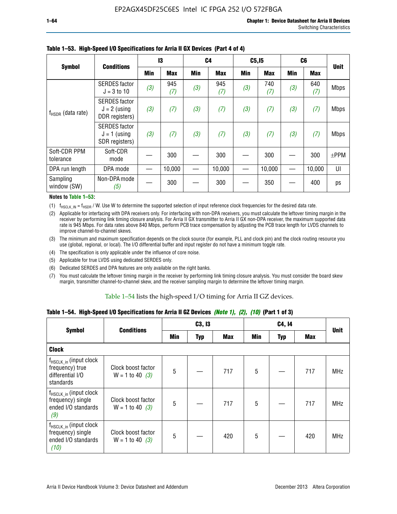|                           | <b>Conditions</b>                                        | 13  |            | C <sub>4</sub> |            | C5, I5 |            | C <sub>6</sub> |            | <b>Unit</b> |  |
|---------------------------|----------------------------------------------------------|-----|------------|----------------|------------|--------|------------|----------------|------------|-------------|--|
| <b>Symbol</b>             |                                                          | Min | <b>Max</b> | Min            | <b>Max</b> | Min    | <b>Max</b> | Min            | <b>Max</b> |             |  |
| $f_{HSDR}$ (data rate)    | <b>SERDES</b> factor<br>$J = 3$ to 10                    | (3) | 945<br>(7) | (3)            | 945<br>(7) | (3)    | 740<br>(7) | (3)            | 640<br>(7) | <b>Mbps</b> |  |
|                           | <b>SERDES</b> factor<br>$J = 2$ (using<br>DDR registers) | (3) | (7)        | (3)            | (7)        | (3)    | (7)        | (3)            | (7)        | <b>Mbps</b> |  |
|                           | <b>SERDES</b> factor<br>$J = 1$ (using<br>SDR registers) | (3) | (7)        | (3)            | (7)        | (3)    | (7)        | (3)            | (7)        | <b>Mbps</b> |  |
| Soft-CDR PPM<br>tolerance | Soft-CDR<br>mode                                         |     | 300        |                | 300        |        | 300        |                | 300        | $\pm$ PPM   |  |
| DPA run length            | DPA mode                                                 |     | 10,000     |                | 10,000     |        | 10,000     |                | 10,000     | UI          |  |
| Sampling<br>window (SW)   | Non-DPA mode<br>(5)                                      |     | 300        |                | 300        |        | 350        |                | 400        | ps          |  |

### **Table 1–53. High-Speed I/O Specifications for Arria II GX Devices (Part 4 of 4)**

#### **Notes to Table 1–53:**

(1)  $f_{HSCLK\_IN} = f_{HSDR}$  / W. Use W to determine the supported selection of input reference clock frequencies for the desired data rate.

(2) Applicable for interfacing with DPA receivers only. For interfacing with non-DPA receivers, you must calculate the leftover timing margin in the receiver by performing link timing closure analysis. For Arria II GX transmitter to Arria II GX non-DPA receiver, the maximum supported data rate is 945 Mbps. For data rates above 840 Mbps, perform PCB trace compensation by adjusting the PCB trace length for LVDS channels to improve channel-to-channel skews.

- (3) The minimum and maximum specification depends on the clock source (for example, PLL and clock pin) and the clock routing resource you use (global, regional, or local). The I/O differential buffer and input register do not have a minimum toggle rate.
- (4) The specification is only applicable under the influence of core noise.
- (5) Applicable for true LVDS using dedicated SERDES only.
- (6) Dedicated SERDES and DPA features are only available on the right banks.
- (7) You must calculate the leftover timing margin in the receiver by performing link timing closure analysis. You must consider the board skew margin, transmitter channel-to-channel skew, and the receiver sampling margin to determine the leftover timing margin.

### Table 1–54 lists the high-speed I/O timing for Arria II GZ devices.

### **Table 1–54. High-Speed I/O Specifications for Arria II GZ Devices** *(Note 1), (2), (10)* **(Part 1 of 3)**

| <b>Symbol</b>                                                                   | <b>Conditions</b>                       |     | C3, I3     |            |                 | C4, 14 |     |             |  |
|---------------------------------------------------------------------------------|-----------------------------------------|-----|------------|------------|-----------------|--------|-----|-------------|--|
|                                                                                 |                                         | Min | <b>Typ</b> | <b>Max</b> | Min             | Typ    | Max | <b>Unit</b> |  |
| <b>Clock</b>                                                                    |                                         |     |            |            |                 |        |     |             |  |
| $f_{HSCLK_in}$ (input clock<br>frequency) true<br>differential I/O<br>standards | Clock boost factor<br>$W = 1$ to 40 (3) | 5   |            | 717        | $5\phantom{.0}$ |        | 717 | <b>MHz</b>  |  |
| $f_{HSCLK_in}$ (input clock<br>frequency) single<br>ended I/O standards<br>(9)  | Clock boost factor<br>$W = 1$ to 40 (3) | 5   |            | 717        | $5\phantom{.0}$ |        | 717 | <b>MHz</b>  |  |
| $f_{HSCLK_in}$ (input clock<br>frequency) single<br>ended I/O standards<br>(10) | Clock boost factor<br>$W = 1$ to 40 (3) | 5   |            | 420        | $5\phantom{.0}$ |        | 420 | <b>MHz</b>  |  |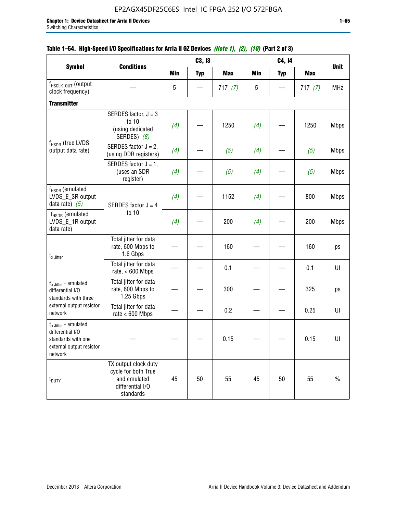|                                                                                                          |                                                                                              |            | C3, I3            |            |            | C4, 14          |            |             |
|----------------------------------------------------------------------------------------------------------|----------------------------------------------------------------------------------------------|------------|-------------------|------------|------------|-----------------|------------|-------------|
| <b>Symbol</b>                                                                                            | <b>Conditions</b>                                                                            | <b>Min</b> | <b>Typ</b>        | <b>Max</b> | <b>Min</b> | <b>Typ</b>      | <b>Max</b> | <b>Unit</b> |
| f <sub>HSCLK_OUT</sub> (output<br>clock frequency)                                                       |                                                                                              | 5          | $\hspace{0.05cm}$ | 717(7)     | 5          | $\qquad \qquad$ | 717(7)     | <b>MHz</b>  |
| <b>Transmitter</b>                                                                                       |                                                                                              |            |                   |            |            |                 |            |             |
| f <sub>HSDR</sub> (true LVDS<br>output data rate)                                                        | SERDES factor, $J = 3$<br>to 10<br>(using dedicated<br>SERDES) (8)                           | (4)        |                   | 1250       | (4)        |                 | 1250       | <b>Mbps</b> |
|                                                                                                          | SERDES factor $J = 2$ ,<br>(using DDR registers)                                             | (4)        |                   | (5)        | (4)        |                 | (5)        | <b>Mbps</b> |
|                                                                                                          | SERDES factor $J = 1$ ,<br>(uses an SDR<br>register)                                         | (4)        |                   | (5)        | (4)        |                 | (5)        | <b>Mbps</b> |
| f <sub>HSDR</sub> (emulated<br>LVDS_E_3R output<br>data rate) $(5)$                                      | SERDES factor $J = 4$                                                                        | (4)        |                   | 1152       | (4)        |                 | 800        | <b>Mbps</b> |
| $f_{HSDR}$ (emulated<br>LVDS_E_1R output<br>data rate)                                                   | to 10                                                                                        | (4)        |                   | 200        | (4)        |                 | 200        | <b>Mbps</b> |
| $t_{x}$ Jitter                                                                                           | Total jitter for data<br>rate, 600 Mbps to<br>1.6 Gbps                                       |            |                   | 160        |            |                 | 160        | ps          |
|                                                                                                          | Total jitter for data<br>rate, $< 600$ Mbps                                                  |            |                   | 0.1        |            |                 | 0.1        | U           |
| $t_{x \text{ Jitter}}$ - emulated<br>differential I/O<br>standards with three                            | Total jitter for data<br>rate, 600 Mbps to<br>1.25 Gbps                                      |            |                   | 300        |            |                 | 325        | ps          |
| external output resistor<br>network                                                                      | Total jitter for data<br>rate $< 600$ Mbps                                                   |            |                   | 0.2        |            |                 | 0.25       | UI          |
| $t_x$ Jitter - emulated<br>differential I/O<br>standards with one<br>external output resistor<br>network |                                                                                              |            |                   | 0.15       |            |                 | 0.15       | UI          |
| t <sub>DUTY</sub>                                                                                        | TX output clock duty<br>cycle for both True<br>and emulated<br>differential I/O<br>standards | 45         | 50                | 55         | 45         | 50              | 55         | $\%$        |

# **Table 1–54. High-Speed I/O Specifications for Arria II GZ Devices** *(Note 1), (2), (10)* **(Part 2 of 3)**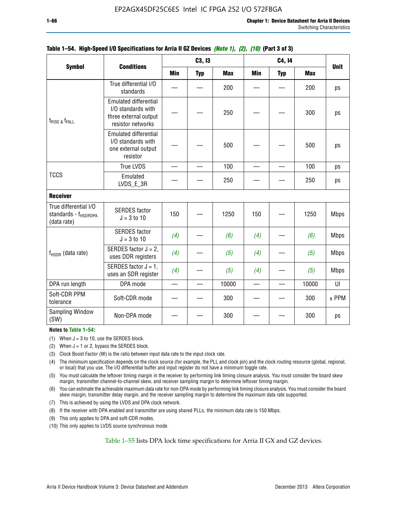|                                                                          |                                                                                                  |                          | C3, I3     |            |            | C4, 14     |            |             |
|--------------------------------------------------------------------------|--------------------------------------------------------------------------------------------------|--------------------------|------------|------------|------------|------------|------------|-------------|
| <b>Symbol</b>                                                            | <b>Conditions</b>                                                                                | <b>Min</b>               | <b>Typ</b> | <b>Max</b> | <b>Min</b> | <b>Typ</b> | <b>Max</b> | <b>Unit</b> |
|                                                                          | True differential I/O<br>standards                                                               |                          |            | 200        |            |            | 200        | ps          |
| $t_{RISE}$ $_{\&}$ $t_{FALL}$                                            | <b>Emulated differential</b><br>I/O standards with<br>three external output<br>resistor networks |                          |            | 250        |            |            | 300        | ps          |
|                                                                          | <b>Emulated differential</b><br>I/O standards with<br>one external output<br>resistor            |                          |            | 500        |            |            | 500        | ps          |
|                                                                          | <b>True LVDS</b>                                                                                 | $\overline{\phantom{0}}$ |            | 100        |            |            | 100        | ps          |
| <b>TCCS</b>                                                              | Emulated<br>LVDS_E_3R                                                                            |                          |            | 250        |            |            | 250        | ps          |
| <b>Receiver</b>                                                          |                                                                                                  |                          |            |            |            |            |            |             |
| True differential I/O<br>standards - f <sub>HSDRDPA</sub><br>(data rate) | <b>SERDES</b> factor<br>$J = 3$ to 10                                                            | 150                      |            | 1250       | 150        |            | 1250       | <b>Mbps</b> |
|                                                                          | <b>SERDES</b> factor<br>$J = 3$ to 10                                                            | (4)                      |            | (6)        | (4)        |            | (6)        | <b>Mbps</b> |
| f <sub>HSDR</sub> (data rate)                                            | SERDES factor $J = 2$ ,<br>uses DDR registers                                                    | (4)                      |            | (5)        | (4)        |            | (5)        | <b>Mbps</b> |
|                                                                          | SERDES factor $J = 1$ ,<br>uses an SDR register                                                  | (4)                      |            | (5)        | (4)        |            | (5)        | <b>Mbps</b> |
| DPA run length                                                           | DPA mode                                                                                         |                          |            | 10000      | $\equiv$   |            | 10000      | U           |
| Soft-CDR PPM<br>tolerance                                                | Soft-CDR mode                                                                                    |                          |            | 300        |            |            | 300        | $±$ PPM     |
| <b>Sampling Window</b><br>(SW)                                           | Non-DPA mode                                                                                     |                          |            | 300        |            |            | 300        | ps          |

### **Table 1–54. High-Speed I/O Specifications for Arria II GZ Devices** *(Note 1), (2), (10)* **(Part 3 of 3)**

#### **Notes to Table 1–54:**

(1) When  $J = 3$  to 10, use the SERDES block.

- (2) When  $J = 1$  or 2, bypass the SERDES block.
- (3) Clock Boost Factor (W) is the ratio between input data rate to the input clock rate.
- (4) The minimum specification depends on the clock source (for example, the PLL and clock pin) and the clock routing resource (global, regional, or local) that you use. The I/O differential buffer and input register do not have a minimum toggle rate.
- (5) You must calculate the leftover timing margin in the receiver by performing link timing closure analysis. You must consider the board skew margin, transmitter channel-to-channel skew, and receiver sampling margin to determine leftover timing margin.
- (6) You can estimate the achievable maximum data rate for non-DPA mode by performing link timing closure analysis. You must consider the board skew margin, transmitter delay margin, and the receiver sampling margin to determine the maximum data rate supported.
- (7) This is achieved by using the LVDS and DPA clock network.
- (8) If the receiver with DPA enabled and transmitter are using shared PLLs, the minimum data rate is 150 Mbps.
- (9) This only applies to DPA and soft-CDR modes.
- (10) This only applies to LVDS source synchronous mode.

Table 1–55 lists DPA lock time specifications for Arria II GX and GZ devices.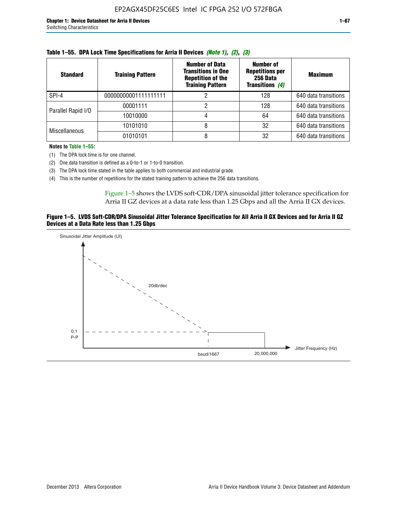| <b>Standard</b>      | <b>Training Pattern</b> | <b>Number of Data</b><br><b>Transitions in One</b><br><b>Repetition of the</b><br><b>Training Pattern</b> | Number of<br><b>Repetitions per</b><br>256 Data<br><b>Transitions (4)</b> | <b>Maximum</b>       |
|----------------------|-------------------------|-----------------------------------------------------------------------------------------------------------|---------------------------------------------------------------------------|----------------------|
| SPI-4                | 00000000001111111111    |                                                                                                           | 128                                                                       | 640 data transitions |
| Parallel Rapid I/O   | 00001111                | っ                                                                                                         | 128                                                                       | 640 data transitions |
|                      | 10010000                |                                                                                                           | 64                                                                        | 640 data transitions |
| <b>Miscellaneous</b> | 10101010                | 8                                                                                                         | 32                                                                        | 640 data transitions |
|                      | 01010101                |                                                                                                           | 32                                                                        | 640 data transitions |

|  |  | Table 1–55. DPA Lock Time Specifications for Arria II Devices (Note 1), (2), (3) |  |  |  |
|--|--|----------------------------------------------------------------------------------|--|--|--|
|--|--|----------------------------------------------------------------------------------|--|--|--|

**Notes to Table 1–55:**

- (1) The DPA lock time is for one channel.
- (2) One data transition is defined as a 0-to-1 or 1-to-0 transition.
- (3) The DPA lock time stated in the table applies to both commercial and industrial grade.
- (4) This is the number of repetitions for the stated training pattern to achieve the 256 data transitions.

Figure 1–5 shows the LVDS soft-CDR/DPA sinusoidal jitter tolerance specification for Arria II GZ devices at a data rate less than 1.25 Gbps and all the Arria II GX devices.

#### **Figure 1–5. LVDS Soft-CDR/DPA Sinusoidal Jitter Tolerance Specification for All Arria II GX Devices and for Arria II GZ Devices at a Data Rate less than 1.25 Gbps**

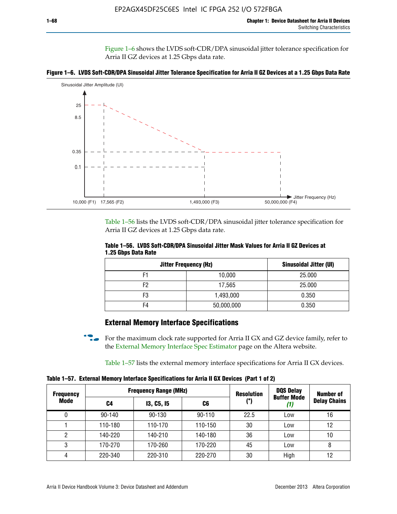Figure 1–6 shows the LVDS soft-CDR/DPA sinusoidal jitter tolerance specification for Arria II GZ devices at 1.25 Gbps data rate.





Table 1–56 lists the LVDS soft-CDR/DPA sinusoidal jitter tolerance specification for Arria II GZ devices at 1.25 Gbps data rate.

|                     |  | Table 1–56. LVDS Soft-CDR/DPA Sinusoidal Jitter Mask Values for Arria II GZ Devices at |
|---------------------|--|----------------------------------------------------------------------------------------|
| 1.25 Gbps Data Rate |  |                                                                                        |

| <b>Jitter Frequency (Hz)</b> | Sinusoidal Jitter (UI) |        |
|------------------------------|------------------------|--------|
| F1                           | 10,000                 | 25.000 |
| F2                           | 17,565                 | 25.000 |
| F3                           | 1,493,000              | 0.350  |
| F4                           | 50,000,000             | 0.350  |

# **External Memory Interface Specifications**

For the maximum clock rate supported for Arria II GX and GZ device family, refer to the [External Memory Interface Spec Estimator](http://www.altera.com/technology/memory/estimator/mem-emif-index.html) page on the Altera website.

Table 1–57 lists the external memory interface specifications for Arria II GX devices.

**Table 1–57. External Memory Interface Specifications for Arria II GX Devices (Part 1 of 2)**

| <b>Frequency</b> |            | <b>Frequency Range (MHz)</b> | <b>Resolution</b> | <b>DQS Delay</b> | Number of                 |                     |
|------------------|------------|------------------------------|-------------------|------------------|---------------------------|---------------------|
| Mode             | C4         | <b>13, C5, 15</b>            | C6                | (°)              | <b>Buffer Mode</b><br>(1) | <b>Delay Chains</b> |
| 0                | $90 - 140$ | 90-130                       | $90 - 110$        | 22.5             | Low                       | 16                  |
|                  | 110-180    | 110-170                      | 110-150           | 30               | Low                       | 12                  |
| 2                | 140-220    | 140-210                      | 140-180           | 36               | Low                       | 10                  |
| 3                | 170-270    | 170-260                      | 170-220           | 45               | Low                       | 8                   |
| 4                | 220-340    | 220-310                      | 220-270           | 30               | High                      | 12                  |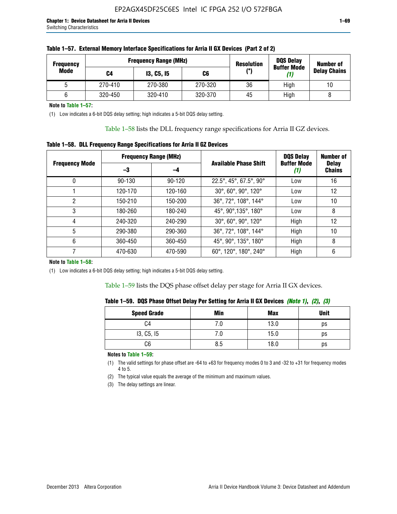| <b>Frequency</b> |         | <b>Frequency Range (MHz)</b> | <b>Resolution</b> | <b>DQS Delay</b><br><b>Buffer Mode</b> | Number of |                     |  |
|------------------|---------|------------------------------|-------------------|----------------------------------------|-----------|---------------------|--|
| Mode             | C4      | <b>13, C5, 15</b>            | C6                | (°)                                    |           | <b>Delay Chains</b> |  |
|                  | 270-410 | 270-380                      | 270-320           | 36                                     | High      | 10                  |  |
|                  | 320-450 | 320-410                      | 320-370           | 45                                     | High      |                     |  |

**Note to Table 1–57:**

(1) Low indicates a 6-bit DQS delay setting; high indicates a 5-bit DQS delay setting.

Table 1–58 lists the DLL frequency range specifications for Arria II GZ devices.

### **Table 1–58. DLL Frequency Range Specifications for Arria II GZ Devices**

|                       |            | <b>Frequency Range (MHz)</b> |                              | <b>DOS Delay</b>          | <b>Number of</b>              |
|-----------------------|------------|------------------------------|------------------------------|---------------------------|-------------------------------|
| <b>Frequency Mode</b> | -3         | -4                           | <b>Available Phase Shift</b> | <b>Buffer Mode</b><br>(1) | <b>Delay</b><br><b>Chains</b> |
| 0                     | $90 - 130$ | $90 - 120$                   | 22.5°, 45°, 67.5°, 90°       | Low                       | 16                            |
|                       | 120-170    | 120-160                      | 30°, 60°, 90°, 120°          | Low                       | 12                            |
| 2                     | 150-210    | 150-200                      | 36°, 72°, 108°, 144°         | Low                       | 10                            |
| 3                     | 180-260    | 180-240                      | 45°, 90°, 135°, 180°         | Low                       | 8                             |
| 4                     | 240-320    | 240-290                      | 30°, 60°, 90°, 120°          | High                      | 12                            |
| 5                     | 290-380    | 290-360                      | 36°, 72°, 108°, 144°         | High                      | 10                            |
| 6                     | 360-450    | 360-450                      | 45°, 90°, 135°, 180°         | High                      | 8                             |
|                       | 470-630    | 470-590                      | 60°, 120°, 180°, 240°        | High                      | 6                             |

#### **Note to Table 1–58:**

(1) Low indicates a 6-bit DQS delay setting; high indicates a 5-bit DQS delay setting.

Table 1–59 lists the DQS phase offset delay per stage for Arria II GX devices.

|  |  |  |  |  | Table 1–59.  DQS Phase Offset Delay Per Setting for Arria II GX Devices <i>(Note 1), (2), (3)</i> |  |  |  |
|--|--|--|--|--|---------------------------------------------------------------------------------------------------|--|--|--|
|--|--|--|--|--|---------------------------------------------------------------------------------------------------|--|--|--|

| <b>Speed Grade</b> | Min  | <b>Max</b> | <b>Unit</b> |
|--------------------|------|------------|-------------|
| C4                 | ن. ا | 13.0       | ps          |
| 13, C5, I5         | 7.U  | 15.0       | ps          |
| C6                 | 8.5  | 18.0       | ps          |

**Notes to Table 1–59:**

(1) The valid settings for phase offset are -64 to +63 for frequency modes 0 to 3 and -32 to +31 for frequency modes 4 to 5.

(2) The typical value equals the average of the minimum and maximum values.

(3) The delay settings are linear.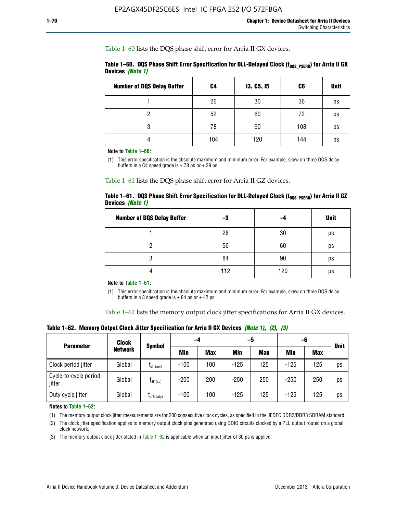Table 1–60 lists the DQS phase shift error for Arria II GX devices.

|                         |  |  | Table 1–60. DQS Phase Shift Error Specification for DLL-Delayed Clock (t <sub>DOS PSERR</sub> ) for Arria II GX |
|-------------------------|--|--|-----------------------------------------------------------------------------------------------------------------|
| <b>Devices (Note 1)</b> |  |  |                                                                                                                 |

| <b>Number of DQS Delay Buffer</b> | C4  | <b>13, C5, 15</b> | C6  | <b>Unit</b> |
|-----------------------------------|-----|-------------------|-----|-------------|
|                                   | 26  | 30                | 36  | ps          |
| っ                                 | 52  | 60                | 72  | ps          |
| 3                                 | 78  | 90                | 108 | ps          |
|                                   | 104 | 120               | 144 | ps          |

**Note to Table 1–60:**

(1) This error specification is the absolute maximum and minimum error. For example, skew on three DQS delay buffers in a C4 speed grade is  $\pm$  78 ps or  $\pm$  39 ps.

Table 1–61 lists the DQS phase shift error for Arria II GZ devices.

|                         |  | Table 1–61.DQS Phase Shift Error Specification for DLL-Delayed Clock (t <sub>oos PsERR</sub> ) for Arria II GZ |
|-------------------------|--|----------------------------------------------------------------------------------------------------------------|
| Devices <i>(Note 1)</i> |  |                                                                                                                |

| <b>Number of DQS Delay Buffer</b> | -3  |     | <b>Unit</b> |
|-----------------------------------|-----|-----|-------------|
|                                   | 28  | 30  | ps          |
|                                   | 56  | 60  | ps          |
| O                                 | 84  | 90  | ps          |
|                                   | 112 | 120 | ps          |

**Note to Table 1–61:**

(1) This error specification is the absolute maximum and minimum error. For example, skew on three DQS delay buffers in a 3 speed grade is  $\pm$  84 ps or  $\pm$  42 ps.

Table 1–62 lists the memory output clock jitter specifications for Arria II GX devices.

**Table 1–62. Memory Output Clock Jitter Specification for Arria II GX Devices** *(Note 1)***,** *(2)***,** *(3)*

| <b>Parameter</b>                | Clock<br><b>Network</b> | <b>Symbol</b>    | -4     |            | -5         |            | -6         |            |             |
|---------------------------------|-------------------------|------------------|--------|------------|------------|------------|------------|------------|-------------|
|                                 |                         |                  | Min    | <b>Max</b> | <b>Min</b> | <b>Max</b> | <b>Min</b> | <b>Max</b> | <b>Unit</b> |
| Clock period jitter             | Global                  | $L$ JIT(per)     | $-100$ | 100        | $-125$     | 125        | $-125$     | 125        | ps          |
| Cycle-to-cycle period<br>jitter | Global                  | $L$ JIT $(cc)$   | $-200$ | 200        | $-250$     | 250        | $-250$     | 250        | ps          |
| Duty cycle jitter               | Global                  | $L$ JIT $(duty)$ | $-100$ | 100        | $-125$     | 125        | $-125$     | 125        | ps          |

**Notes to Table 1–62:**

(1) The memory output clock jitter measurements are for 200 consecutive clock cycles, as specified in the JEDEC DDR2/DDR3 SDRAM standard.

(2) The clock jitter specification applies to memory output clock pins generated using DDIO circuits clocked by a PLL output routed on a global clock network.

(3) The memory output clock jitter stated in Table  $1-62$  is applicable when an input jitter of 30 ps is applied.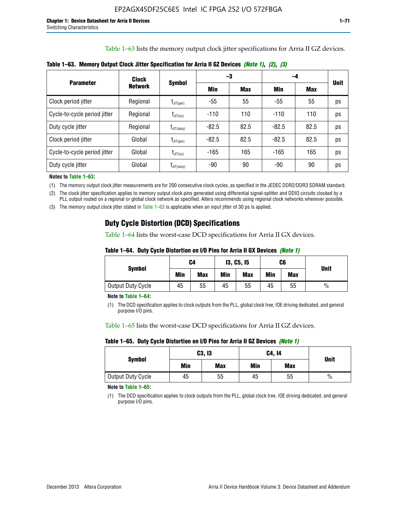Table 1–63 lists the memory output clock jitter specifications for Arria II GZ devices.

|                              | Clock          | <b>Symbol</b>                    | -3      |            | -4      |            |             |
|------------------------------|----------------|----------------------------------|---------|------------|---------|------------|-------------|
| <b>Parameter</b>             | <b>Network</b> |                                  | Min     | <b>Max</b> | Min     | <b>Max</b> | <b>Unit</b> |
| Clock period jitter          | Regional       | $\mathsf{I}_{\mathsf{JIT}(per)}$ | -55     | 55         | $-55$   | 55         | ps          |
| Cycle-to-cycle period jitter | Regional       | $t_{\text{JIT(cc)}}$             | $-110$  | 110        | $-110$  | 110        | ps          |
| Duty cycle jitter            | Regional       | $t_{\text{JIT(duty)}}$           | $-82.5$ | 82.5       | $-82.5$ | 82.5       | ps          |
| Clock period jitter          | Global         | $L_{\text{JIT(per)}}$            | $-82.5$ | 82.5       | $-82.5$ | 82.5       | ps          |
| Cycle-to-cycle period jitter | Global         | $I_{\text{JIT(cc)}}$             | $-165$  | 165        | $-165$  | 165        | ps          |
| Duty cycle jitter            | Global         | $t_{\text{JIT(duty)}}$           | -90     | 90         | -90     | 90         | ps          |

**Table 1–63. Memory Output Clock Jitter Specification for Arria II GZ Devices** *(Note 1)***,** *(2)***,** *(3)*

**Notes to Table 1–63:**

(1) The memory output clock jitter measurements are for 200 consecutive clock cycles, as specified in the JEDEC DDR2/DDR3 SDRAM standard.

(2) The clock jitter specification applies to memory output clock pins generated using differential signal-splitter and DDIO circuits clocked by a PLL output routed on a regional or global clock network as specified. Altera recommends using regional clock networks whenever possible.

(3) The memory output clock jitter stated in Table 1–63 is applicable when an input jitter of 30 ps is applied.

# **Duty Cycle Distortion (DCD) Specifications**

Table 1–64 lists the worst-case DCD specifications for Arria II GX devices.

| Table 1–64.  Duty Cycle Distortion on I/O Pins for Arria II GX Devices <i>(Note 1)</i> |  |  |  |  |  |
|----------------------------------------------------------------------------------------|--|--|--|--|--|
|----------------------------------------------------------------------------------------|--|--|--|--|--|

| <b>Symbol</b>     | C4  |            | <b>13, C5, 15</b> |            | C6  |            | <b>Unit</b>   |  |
|-------------------|-----|------------|-------------------|------------|-----|------------|---------------|--|
|                   | Min | <b>Max</b> | Min               | <b>Max</b> | Min | <b>Max</b> |               |  |
| Output Duty Cycle | 45  | 55         | 45                | 55         | 45  | 55         | $\frac{0}{0}$ |  |

**Note to Table 1–64:**

(1) The DCD specification applies to clock outputs from the PLL, global clock tree, IOE driving dedicated, and general purpose I/O pins.

Table 1–65 lists the worst-case DCD specifications for Arria II GZ devices.

**Table 1–65. Duty Cycle Distortion on I/O Pins for Arria II GZ Devices** *(Note 1)*

| <b>Symbol</b>     |     | <b>C3, I3</b> | C4, 14 | <b>Unit</b> |      |
|-------------------|-----|---------------|--------|-------------|------|
|                   | Min | <b>Max</b>    | Min    | <b>Max</b>  |      |
| Output Duty Cycle | 45  | 55            | 45     | 55          | $\%$ |

**Note to Table 1–65:**

(1) The DCD specification applies to clock outputs from the PLL, global clock tree, IOE driving dedicated, and general purpose I/O pins.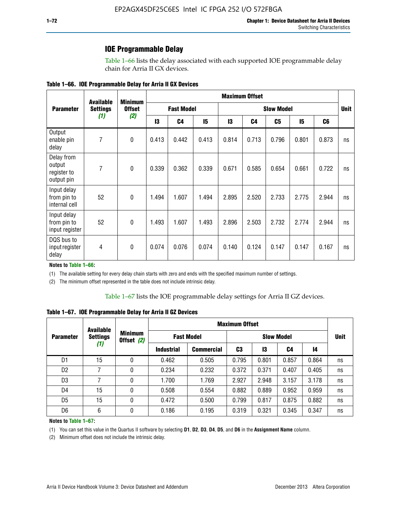## **IOE Programmable Delay**

Table 1–66 lists the delay associated with each supported IOE programmable delay chain for Arria II GX devices.

|  |  |  | Table 1–66. IOE Programmable Delay for Arria II GX Devices |
|--|--|--|------------------------------------------------------------|
|--|--|--|------------------------------------------------------------|

|                                                   | <b>Available</b> | <b>Minimum</b><br><b>Offset</b><br>(2) | <b>Maximum Offset</b> |                |                   |       |       |       |             |                |    |
|---------------------------------------------------|------------------|----------------------------------------|-----------------------|----------------|-------------------|-------|-------|-------|-------------|----------------|----|
| <b>Parameter</b>                                  | <b>Settings</b>  |                                        | <b>Fast Model</b>     |                | <b>Slow Model</b> |       |       |       | <b>Unit</b> |                |    |
|                                                   | (1)              |                                        | 13                    | C <sub>4</sub> | 15                | 13    | C4    | C5    | 15          | C <sub>6</sub> |    |
| Output<br>enable pin<br>delay                     | $\overline{7}$   | $\mathbf 0$                            | 0.413                 | 0.442          | 0.413             | 0.814 | 0.713 | 0.796 | 0.801       | 0.873          | ns |
| Delay from<br>output<br>register to<br>output pin | $\overline{7}$   | $\mathbf{0}$                           | 0.339                 | 0.362          | 0.339             | 0.671 | 0.585 | 0.654 | 0.661       | 0.722          | ns |
| Input delay<br>from pin to<br>internal cell       | 52               | $\mathbf{0}$                           | 1.494                 | 1.607          | 1.494             | 2.895 | 2.520 | 2.733 | 2.775       | 2.944          | ns |
| Input delay<br>from pin to<br>input register      | 52               | $\mathbf{0}$                           | 1.493                 | 1.607          | 1.493             | 2.896 | 2.503 | 2.732 | 2.774       | 2.944          | ns |
| DQS bus to<br>input register<br>delay             | $\overline{4}$   | 0                                      | 0.074                 | 0.076          | 0.074             | 0.140 | 0.124 | 0.147 | 0.147       | 0.167          | ns |

**Notes to Table 1–66:**

(1) The available setting for every delay chain starts with zero and ends with the specified maximum number of settings.

(2) The minimum offset represented in the table does not include intrinsic delay.

**Table 1–67. IOE Programmable Delay for Arria II GZ Devices**

|                  | <b>Available</b><br><b>Settings</b><br>(1) |                              | <b>Maximum Offset</b> |                   |                   |       |       |       |             |
|------------------|--------------------------------------------|------------------------------|-----------------------|-------------------|-------------------|-------|-------|-------|-------------|
| <b>Parameter</b> |                                            | <b>Minimum</b><br>Offset (2) | <b>Fast Model</b>     |                   | <b>Slow Model</b> |       |       |       | <b>Unit</b> |
|                  |                                            |                              | <b>Industrial</b>     | <b>Commercial</b> | C3                | 13    | C4    | 14    |             |
| D1               | 15                                         | 0                            | 0.462                 | 0.505             | 0.795             | 0.801 | 0.857 | 0.864 | ns          |
| D <sub>2</sub>   | 7                                          | 0                            | 0.234                 | 0.232             | 0.372             | 0.371 | 0.407 | 0.405 | ns          |
| D <sub>3</sub>   | 7                                          | 0                            | 1.700                 | 1.769             | 2.927             | 2.948 | 3.157 | 3.178 | ns          |
| D4               | 15                                         | 0                            | 0.508                 | 0.554             | 0.882             | 0.889 | 0.952 | 0.959 | ns          |
| D <sub>5</sub>   | 15                                         | 0                            | 0.472                 | 0.500             | 0.799             | 0.817 | 0.875 | 0.882 | ns          |
| D <sub>6</sub>   | 6                                          | 0                            | 0.186                 | 0.195             | 0.319             | 0.321 | 0.345 | 0.347 | ns          |

#### **Notes to Table 1–67:**

(1) You can set this value in the Quartus II software by selecting **D1**, **D2**, **D3**, **D4**, **D5**, and **D6** in the **Assignment Name** column.

(2) Minimum offset does not include the intrinsic delay.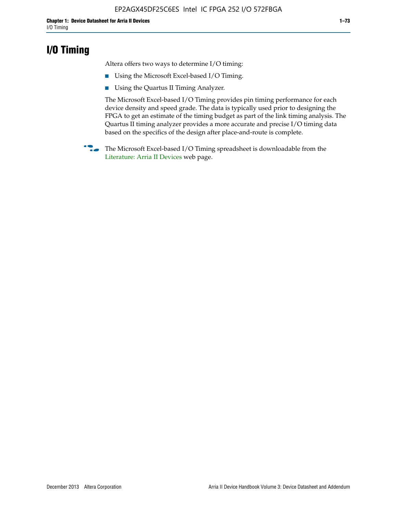# **I/O Timing**

Altera offers two ways to determine I/O timing:

- Using the Microsoft Excel-based I/O Timing.
- Using the Quartus II Timing Analyzer.

The Microsoft Excel-based I/O Timing provides pin timing performance for each device density and speed grade. The data is typically used prior to designing the FPGA to get an estimate of the timing budget as part of the link timing analysis. The Quartus II timing analyzer provides a more accurate and precise I/O timing data based on the specifics of the design after place-and-route is complete.

**f The Microsoft Excel-based I/O Timing spreadsheet is downloadable from the** [Literature: Arria II Devices](http://www.altera.com/literature/lit-arria-ii-gx.jsp) web page.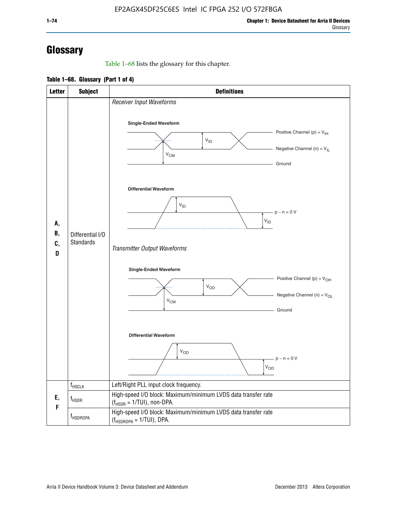# **Glossary**

Table 1–68 lists the glossary for this chapter.

**Table 1–68. Glossary (Part 1 of 4)**

| <b>Letter</b>  | <b>Subject</b>                       | <b>Definitions</b>                                                                                                                                                      |  |  |  |
|----------------|--------------------------------------|-------------------------------------------------------------------------------------------------------------------------------------------------------------------------|--|--|--|
|                |                                      | Receiver Input Waveforms<br>Single-Ended Waveform<br>Positive Channel (p) = $V_{\text{IH}}$<br>$V_{ID}$<br>Negative Channel (n) = $V_{IL}$                              |  |  |  |
|                |                                      | $V_{CM}$<br>Ground<br><b>Differential Waveform</b>                                                                                                                      |  |  |  |
| А,<br>В,<br>C, | Differential I/O<br><b>Standards</b> | $V_{ID}$<br>$-p - n = 0 V$<br>$V_{ID}$                                                                                                                                  |  |  |  |
| D              |                                      | Transmitter Output Waveforms<br><b>Single-Ended Waveform</b><br>Positive Channel (p) = $V_{OH}$<br><b>V<sub>OD</sub></b><br>Negative Channel (n) = $V_{OL}$<br>$V_{CM}$ |  |  |  |
|                |                                      | Ground<br><b>Differential Waveform</b><br>$V_{OD}$<br>$p - n = 0 V$<br>$V_{OD}$                                                                                         |  |  |  |
|                | $f_{\rm HSCLK}$                      | Left/Right PLL input clock frequency.                                                                                                                                   |  |  |  |
| Ε,<br>F        | $f_{\rm HSDR}$                       | High-speed I/O block: Maximum/minimum LVDS data transfer rate<br>$(f_{HSDR} = 1/TUI)$ , non-DPA.                                                                        |  |  |  |
|                | f <sub>HSDRDPA</sub>                 | High-speed I/O block: Maximum/minimum LVDS data transfer rate<br>$(f_{HSDRDPA} = 1/TUI)$ , DPA.                                                                         |  |  |  |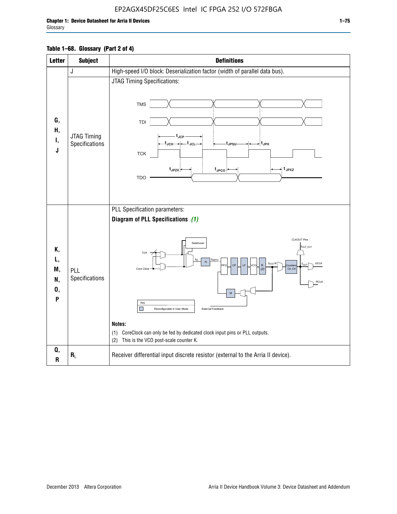## EP2AGX45DF25C6ES Intel IC FPGA 252 I/O 572FBGA

### **Table 1–68. Glossary (Part 2 of 4)**

| <b>Letter</b>                   | <b>Subject</b>                | <b>Definitions</b>                                                                                                                                                                                                                                                                                                                                                                                                                                                                                    |  |  |
|---------------------------------|-------------------------------|-------------------------------------------------------------------------------------------------------------------------------------------------------------------------------------------------------------------------------------------------------------------------------------------------------------------------------------------------------------------------------------------------------------------------------------------------------------------------------------------------------|--|--|
|                                 | J                             | High-speed I/O block: Deserialization factor (width of parallel data bus).                                                                                                                                                                                                                                                                                                                                                                                                                            |  |  |
| G,<br>Н,<br>Ι,<br>J             | JTAG Timing<br>Specifications | JTAG Timing Specifications:<br><b>TMS</b><br>TDI<br>$t_{\rm JCP}$<br>t <sub>JCH</sub> → ← t <sub>JCL</sub><br>- t <sub>JPH</sub><br>tJPSU<br><b>TCK</b><br>$t_{JPZX}$<br>≠ t <sub>JPXZ</sub><br>$t_{\text{JPCO}}$<br><b>TDO</b>                                                                                                                                                                                                                                                                       |  |  |
| Κ,<br>L,<br>M,<br>N,<br>0,<br>P | PLL<br>Specifications         | PLL Specification parameters:<br>Diagram of PLL Specifications (1)<br><b>CLKOUT Pins</b><br>Switchover<br>fout_ext<br>CLK<br>finPFD<br>$\overline{N}$<br>f <sub>vco</sub> /K<br><b>GCLK</b><br>CP<br>LF<br>K<br><b>PFD</b><br>ncc<br>nunter<br>Core Clock<br>CO. C9<br>(2)<br><b>RCLK</b><br>M<br>Key<br>External Feedback<br>Reconfigurable in User Mode<br>Notes:<br>CoreClock can only be fed by dedicated clock input pins or PLL outputs.<br>(1)<br>This is the VCO post-scale counter K.<br>(2) |  |  |
| Q,<br>$\mathsf R$               | $R_L$                         | Receiver differential input discrete resistor (external to the Arria II device).                                                                                                                                                                                                                                                                                                                                                                                                                      |  |  |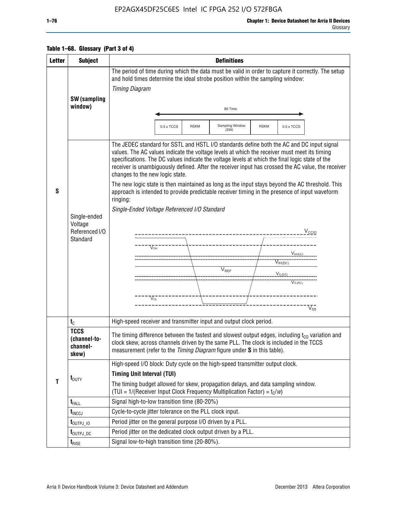## EP2AGX45DF25C6ES Intel IC FPGA 252 I/O 572FBGA

#### Glossary

| Table 1–68. Glossary (Part 3 of 4) |  |
|------------------------------------|--|
|------------------------------------|--|

| <b>Letter</b> | <b>Subject</b>                                   | <b>Definitions</b>                                                                                                                                                                                                                                                                                                                                                                                                                                                                                                                       |  |  |  |  |  |
|---------------|--------------------------------------------------|------------------------------------------------------------------------------------------------------------------------------------------------------------------------------------------------------------------------------------------------------------------------------------------------------------------------------------------------------------------------------------------------------------------------------------------------------------------------------------------------------------------------------------------|--|--|--|--|--|
|               | <b>SW</b> (sampling                              | The period of time during which the data must be valid in order to capture it correctly. The setup<br>and hold times determine the ideal strobe position within the sampling window:<br><b>Timing Diagram</b>                                                                                                                                                                                                                                                                                                                            |  |  |  |  |  |
|               | window)                                          | <b>Bit Time</b>                                                                                                                                                                                                                                                                                                                                                                                                                                                                                                                          |  |  |  |  |  |
|               |                                                  | Sampling Window<br>0.5 x TCCS<br><b>RSKM</b><br><b>RSKM</b><br>0.5 x TCCS<br>(SW)                                                                                                                                                                                                                                                                                                                                                                                                                                                        |  |  |  |  |  |
| S             |                                                  | The JEDEC standard for SSTL and HSTL I/O standards define both the AC and DC input signal<br>values. The AC values indicate the voltage levels at which the receiver must meet its timing<br>specifications. The DC values indicate the voltage levels at which the final logic state of the<br>receiver is unambiguously defined. After the receiver input has crossed the AC value, the receiver<br>changes to the new logic state.<br>The new logic state is then maintained as long as the input stays beyond the AC threshold. This |  |  |  |  |  |
|               |                                                  | approach is intended to provide predictable receiver timing in the presence of input waveform<br>ringing:                                                                                                                                                                                                                                                                                                                                                                                                                                |  |  |  |  |  |
|               | Single-ended                                     | Single-Ended Voltage Referenced I/O Standard                                                                                                                                                                                                                                                                                                                                                                                                                                                                                             |  |  |  |  |  |
|               | Voltage<br>Referenced I/O<br>Standard            | V <sub>CCIO</sub><br>---------------------                                                                                                                                                                                                                                                                                                                                                                                                                                                                                               |  |  |  |  |  |
|               |                                                  | $V_{OH}$<br>$V_{H(AC)}$                                                                                                                                                                                                                                                                                                                                                                                                                                                                                                                  |  |  |  |  |  |
|               |                                                  | $V_{IH(DC)}$                                                                                                                                                                                                                                                                                                                                                                                                                                                                                                                             |  |  |  |  |  |
|               |                                                  | V <sub>REF</sub><br>$V_{I L (DC)}$<br>$\overline{V_{\text{IL(AC)}}}$                                                                                                                                                                                                                                                                                                                                                                                                                                                                     |  |  |  |  |  |
|               |                                                  |                                                                                                                                                                                                                                                                                                                                                                                                                                                                                                                                          |  |  |  |  |  |
|               |                                                  | $\sqrt{\ }_{OL}$<br>$\rm\overline{V_{SS}}$                                                                                                                                                                                                                                                                                                                                                                                                                                                                                               |  |  |  |  |  |
|               | $t_{\rm C}$                                      | High-speed receiver and transmitter input and output clock period.                                                                                                                                                                                                                                                                                                                                                                                                                                                                       |  |  |  |  |  |
|               | <b>TCCS</b><br>(channel-to-<br>channel-<br>skew) | The timing difference between the fastest and slowest output edges, including $t_{c0}$ variation and<br>clock skew, across channels driven by the same PLL. The clock is included in the TCCS<br>measurement (refer to the Timing Diagram figure under S in this table).                                                                                                                                                                                                                                                                 |  |  |  |  |  |
|               |                                                  | High-speed I/O block: Duty cycle on the high-speed transmitter output clock.                                                                                                                                                                                                                                                                                                                                                                                                                                                             |  |  |  |  |  |
| T             | $t_{\text{DUTY}}$                                | <b>Timing Unit Interval (TUI)</b><br>The timing budget allowed for skew, propagation delays, and data sampling window.<br>(TUI = $1/($ Receiver Input Clock Frequency Multiplication Factor) = $t_c/w$ )                                                                                                                                                                                                                                                                                                                                 |  |  |  |  |  |
|               | $t_{\sf FALL}$                                   | Signal high-to-low transition time (80-20%)                                                                                                                                                                                                                                                                                                                                                                                                                                                                                              |  |  |  |  |  |
|               | $t_{\text{INCCJ}}$                               | Cycle-to-cycle jitter tolerance on the PLL clock input.                                                                                                                                                                                                                                                                                                                                                                                                                                                                                  |  |  |  |  |  |
|               | $t_{\text{OUTPJ\_10}}$                           | Period jitter on the general purpose I/O driven by a PLL.                                                                                                                                                                                                                                                                                                                                                                                                                                                                                |  |  |  |  |  |
|               | t <sub>outpj_dc</sub>                            | Period jitter on the dedicated clock output driven by a PLL.                                                                                                                                                                                                                                                                                                                                                                                                                                                                             |  |  |  |  |  |
|               | $t_{\text{RISE}}$                                | Signal low-to-high transition time (20-80%).                                                                                                                                                                                                                                                                                                                                                                                                                                                                                             |  |  |  |  |  |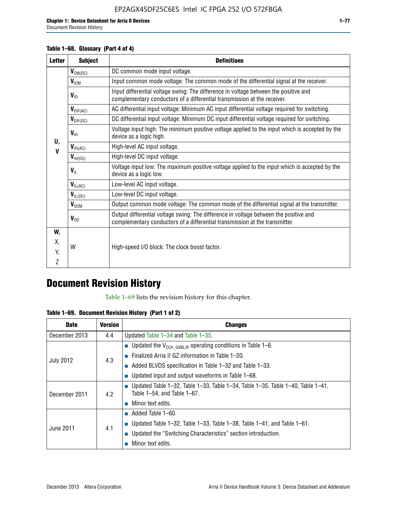### Document Revision History

### **Table 1–68. Glossary (Part 4 of 4)**

| <b>Letter</b> | <b>Subject</b>       | <b>Definitions</b>                                                                                                                                                   |
|---------------|----------------------|----------------------------------------------------------------------------------------------------------------------------------------------------------------------|
|               | $V_{CM(DC)}$         | DC common mode input voltage.                                                                                                                                        |
|               | $V_{IGM}$            | Input common mode voltage: The common mode of the differential signal at the receiver.                                                                               |
|               | $V_{ID}$             | Input differential voltage swing: The difference in voltage between the positive and<br>complementary conductors of a differential transmission at the receiver.     |
|               | $V_{\text{DIF(AC)}}$ | AC differential input voltage: Minimum AC input differential voltage required for switching.                                                                         |
|               | $V_{\text{DIF(DC)}}$ | DC differential input voltage: Minimum DC input differential voltage required for switching.                                                                         |
| U,            | $V_{\text{IH}}$      | Voltage input high: The minimum positive voltage applied to the input which is accepted by the<br>device as a logic high.                                            |
| $\mathbf v$   | $V_{\text{IH(AC)}}$  | High-level AC input voltage.                                                                                                                                         |
|               | $V_{H(DC)}$          | High-level DC input voltage.                                                                                                                                         |
|               | $V_{\text{IL}}$      | Voltage input low: The maximum positive voltage applied to the input which is accepted by the<br>device as a logic low.                                              |
|               | $V_{IL(AC)}$         | Low-level AC input voltage.                                                                                                                                          |
|               | $V_{IL(DC)}$         | Low-level DC input voltage.                                                                                                                                          |
|               | $V_{\text{OCM}}$     | Output common mode voltage: The common mode of the differential signal at the transmitter.                                                                           |
|               | $V_{OD}$             | Output differential voltage swing: The difference in voltage between the positive and<br>complementary conductors of a differential transmission at the transmitter. |
| W,            |                      |                                                                                                                                                                      |
| Χ,            | W                    | High-speed I/O block: The clock boost factor.                                                                                                                        |
| Y.            |                      |                                                                                                                                                                      |
| 7             |                      |                                                                                                                                                                      |

# **Document Revision History**

Table 1–69 lists the revision history for this chapter.

**Table 1–69. Document Revision History (Part 1 of 2)**

| <b>Date</b>      | <b>Version</b> | <b>Changes</b>                                                                                                                      |
|------------------|----------------|-------------------------------------------------------------------------------------------------------------------------------------|
| December 2013    | 4.4            | Updated Table $1-34$ and Table $1-35$ .                                                                                             |
|                  |                | <b>D</b> Updated the $V_{\text{CCH GXBL/R}}$ operating conditions in Table 1-6.                                                     |
|                  | 4.3            | <b>Example 1-20.</b> Finalized Arria II GZ information in Table 1-20.                                                               |
| <b>July 2012</b> |                | $\blacksquare$ Added BLVDS specification in Table 1-32 and Table 1-33.                                                              |
|                  |                | <b>Updated input and output waveforms in Table 1–68.</b>                                                                            |
| December 2011    | 4.2            | $\blacksquare$ Updated Table 1-32, Table 1-33, Table 1-34, Table 1-35, Table 1-40, Table 1-41,<br>Table $1-54$ , and Table $1-67$ . |
|                  |                | $\blacksquare$ Minor text edits.                                                                                                    |
|                  | 4.1            | $\blacksquare$ Added Table 1–60.                                                                                                    |
|                  |                | <b>Updated Table 1–32, Table 1–33, Table 1–38, Table 1–41, and Table 1–61.</b>                                                      |
| June 2011        |                | ■ Updated the "Switching Characteristics" section introduction.                                                                     |
|                  |                | Minor text edits.                                                                                                                   |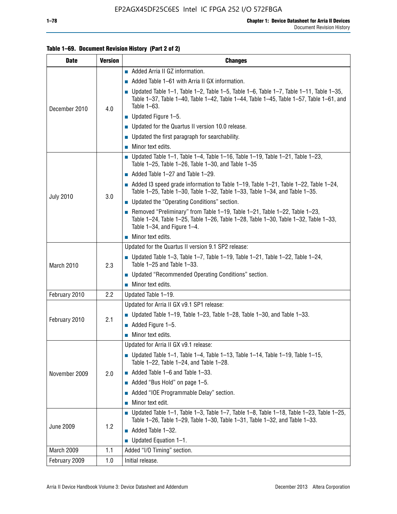### **Table 1–69. Document Revision History (Part 2 of 2)**

| <b>Date</b>      | <b>Version</b> | <b>Changes</b>                                                                                                                                                                                                  |
|------------------|----------------|-----------------------------------------------------------------------------------------------------------------------------------------------------------------------------------------------------------------|
|                  |                | Added Arria II GZ information.                                                                                                                                                                                  |
| December 2010    |                | $\blacksquare$ Added Table 1–61 with Arria II GX information.                                                                                                                                                   |
|                  | 4.0            | $\blacksquare$ Updated Table 1-1, Table 1-2, Table 1-5, Table 1-6, Table 1-7, Table 1-11, Table 1-35,<br>Table 1-37, Table 1-40, Table 1-42, Table 1-44, Table 1-45, Table 1-57, Table 1-61, and<br>Table 1-63. |
|                  |                | $\blacksquare$ Updated Figure 1-5.                                                                                                                                                                              |
|                  |                | • Updated for the Quartus II version 10.0 release.                                                                                                                                                              |
|                  |                | $\blacksquare$ Updated the first paragraph for searchability.                                                                                                                                                   |
|                  |                | $\blacksquare$ Minor text edits.                                                                                                                                                                                |
|                  |                | Updated Table 1-1, Table 1-4, Table 1-16, Table 1-19, Table 1-21, Table 1-23,<br>Table $1-25$ , Table $1-26$ , Table $1-30$ , and Table $1-35$                                                                  |
|                  |                | $\blacksquare$ Added Table 1-27 and Table 1-29.                                                                                                                                                                 |
|                  |                | $\blacksquare$ Added I3 speed grade information to Table 1-19, Table 1-21, Table 1-22, Table 1-24,<br>Table 1-25, Table 1-30, Table 1-32, Table 1-33, Table 1-34, and Table 1-35.                               |
| <b>July 2010</b> | 3.0            | • Updated the "Operating Conditions" section.                                                                                                                                                                   |
|                  |                | Removed "Preliminary" from Table $1-19$ , Table $1-21$ , Table $1-22$ , Table $1-23$ ,<br>Table 1-24, Table 1-25, Table 1-26, Table 1-28, Table 1-30, Table 1-32, Table 1-33,<br>Table 1-34, and Figure 1-4.    |
|                  |                | Minor text edits.                                                                                                                                                                                               |
|                  | 2.3            | Updated for the Quartus II version 9.1 SP2 release:                                                                                                                                                             |
| March 2010       |                | Updated Table 1–3, Table 1–7, Table 1–19, Table 1–21, Table 1–22, Table 1–24,<br>Table 1-25 and Table 1-33.                                                                                                     |
|                  |                | ■ Updated "Recommended Operating Conditions" section.                                                                                                                                                           |
|                  |                | $\blacksquare$ Minor text edits.                                                                                                                                                                                |
| February 2010    | 2.2            | Updated Table 1-19.                                                                                                                                                                                             |
|                  |                | Updated for Arria II GX v9.1 SP1 release:                                                                                                                                                                       |
| February 2010    | 2.1            | Updated Table 1–19, Table 1–23, Table 1–28, Table 1–30, and Table 1–33.                                                                                                                                         |
|                  |                | Added Figure 1-5.                                                                                                                                                                                               |
|                  |                | $\blacksquare$ Minor text edits.                                                                                                                                                                                |
|                  |                | Updated for Arria II GX v9.1 release:                                                                                                                                                                           |
|                  |                | Updated Table 1–1, Table 1–4, Table 1–13, Table 1–14, Table 1–19, Table 1–15,<br>Table 1-22, Table 1-24, and Table 1-28.                                                                                        |
| November 2009    | 2.0            | $\blacksquare$ Added Table 1-6 and Table 1-33.                                                                                                                                                                  |
|                  |                | Added "Bus Hold" on page 1-5.                                                                                                                                                                                   |
|                  |                | Added "IOE Programmable Delay" section.<br>П                                                                                                                                                                    |
|                  |                | Minor text edit.                                                                                                                                                                                                |
| <b>June 2009</b> | 1.2            | <b>Updated Table 1–1, Table 1–3, Table 1–7, Table 1–8, Table 1–18, Table 1–23, Table 1–25,</b><br>Table 1-26, Table 1-29, Table 1-30, Table 1-31, Table 1-32, and Table 1-33.                                   |
|                  |                | Added Table 1-32.                                                                                                                                                                                               |
|                  |                | Updated Equation 1-1.<br>$\mathcal{L}_{\mathcal{A}}$                                                                                                                                                            |
| March 2009       | 1.1            | Added "I/O Timing" section.                                                                                                                                                                                     |
| February 2009    | 1.0            | Initial release.                                                                                                                                                                                                |